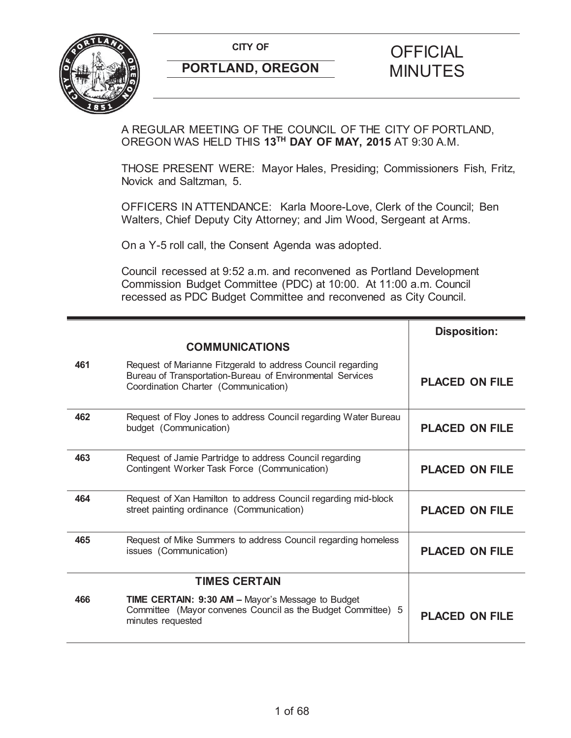

A REGULAR MEETING OF THE COUNCIL OF THE CITY OF PORTLAND, OREGON WAS HELD THIS **13TH DAY OF MAY, 2015** AT 9:30 A.M.

THOSE PRESENT WERE: Mayor Hales, Presiding; Commissioners Fish, Fritz, Novick and Saltzman, 5.

OFFICERS IN ATTENDANCE: Karla Moore-Love, Clerk of the Council; Ben Walters, Chief Deputy City Attorney; and Jim Wood, Sergeant at Arms.

On a Y-5 roll call, the Consent Agenda was adopted.

Council recessed at 9:52 a.m. and reconvened as Portland Development Commission Budget Committee (PDC) at 10:00. At 11:00 a.m. Council recessed as PDC Budget Committee and reconvened as City Council.

|     |                                                                                                                                                                  | <b>Disposition:</b>   |
|-----|------------------------------------------------------------------------------------------------------------------------------------------------------------------|-----------------------|
|     | <b>COMMUNICATIONS</b>                                                                                                                                            |                       |
| 461 | Request of Marianne Fitzgerald to address Council regarding<br>Bureau of Transportation-Bureau of Environmental Services<br>Coordination Charter (Communication) | <b>PLACED ON FILE</b> |
| 462 | Request of Floy Jones to address Council regarding Water Bureau<br>budget (Communication)                                                                        | <b>PLACED ON FILE</b> |
| 463 | Request of Jamie Partridge to address Council regarding<br>Contingent Worker Task Force (Communication)                                                          | <b>PLACED ON FILE</b> |
| 464 | Request of Xan Hamilton to address Council regarding mid-block<br>street painting ordinance (Communication)                                                      | <b>PLACED ON FILE</b> |
| 465 | Request of Mike Summers to address Council regarding homeless<br>issues (Communication)                                                                          | <b>PLACED ON FILE</b> |
|     | <b>TIMES CERTAIN</b>                                                                                                                                             |                       |
| 466 | TIME CERTAIN: 9:30 AM - Mayor's Message to Budget<br>Committee (Mayor convenes Council as the Budget Committee) 5<br>minutes requested                           | <b>PLACED ON FILE</b> |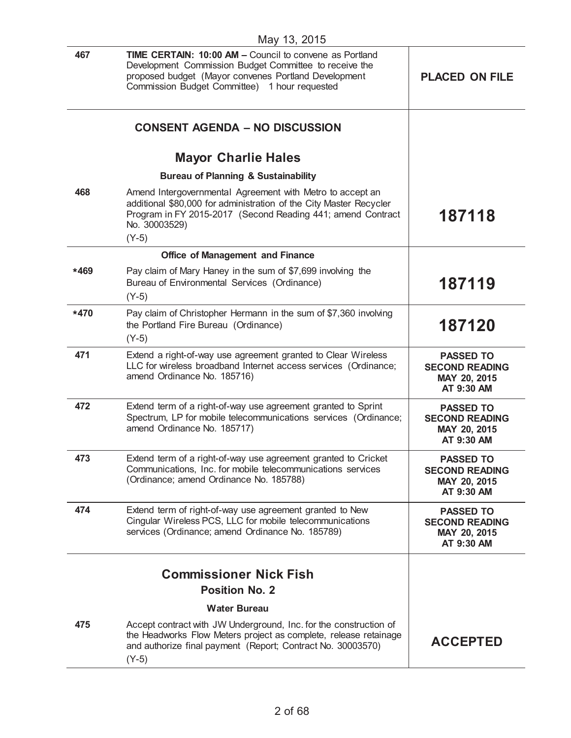| 467    | <b>TIME CERTAIN: 10:00 AM - Council to convene as Portland</b><br>Development Commission Budget Committee to receive the<br>proposed budget (Mayor convenes Portland Development<br>Commission Budget Committee) 1 hour requested | <b>PLACED ON FILE</b>                                                   |
|--------|-----------------------------------------------------------------------------------------------------------------------------------------------------------------------------------------------------------------------------------|-------------------------------------------------------------------------|
|        | <b>CONSENT AGENDA - NO DISCUSSION</b>                                                                                                                                                                                             |                                                                         |
|        | <b>Mayor Charlie Hales</b>                                                                                                                                                                                                        |                                                                         |
|        | <b>Bureau of Planning &amp; Sustainability</b>                                                                                                                                                                                    |                                                                         |
| 468    | Amend Intergovernmental Agreement with Metro to accept an<br>additional \$80,000 for administration of the City Master Recycler<br>Program in FY 2015-2017 (Second Reading 441; amend Contract<br>No. 30003529)<br>$(Y-5)$        | 187118                                                                  |
|        | <b>Office of Management and Finance</b>                                                                                                                                                                                           |                                                                         |
| *469   | Pay claim of Mary Haney in the sum of \$7,699 involving the<br>Bureau of Environmental Services (Ordinance)<br>$(Y-5)$                                                                                                            | 187119                                                                  |
| $*470$ | Pay claim of Christopher Hermann in the sum of \$7,360 involving<br>the Portland Fire Bureau (Ordinance)<br>$(Y-5)$                                                                                                               | 187120                                                                  |
| 471    | Extend a right-of-way use agreement granted to Clear Wireless<br>LLC for wireless broadband Internet access services (Ordinance;<br>amend Ordinance No. 185716)                                                                   | <b>PASSED TO</b><br><b>SECOND READING</b><br>MAY 20, 2015<br>AT 9:30 AM |
| 472    | Extend term of a right-of-way use agreement granted to Sprint<br>Spectrum, LP for mobile telecommunications services (Ordinance;<br>amend Ordinance No. 185717)                                                                   | <b>PASSED TO</b><br><b>SECOND READING</b><br>MAY 20, 2015<br>AT 9:30 AM |
| 473    | Extend term of a right-of-way use agreement granted to Cricket<br>Communications, Inc. for mobile telecommunications services<br>(Ordinance; amend Ordinance No. 185788)                                                          | <b>PASSED TO</b><br><b>SECOND READING</b><br>MAY 20, 2015<br>AT 9:30 AM |
| 474    | Extend term of right-of-way use agreement granted to New<br>Cingular Wireless PCS, LLC for mobile telecommunications<br>services (Ordinance; amend Ordinance No. 185789)                                                          | <b>PASSED TO</b><br><b>SECOND READING</b><br>MAY 20, 2015<br>AT 9:30 AM |
|        | <b>Commissioner Nick Fish</b><br><b>Position No. 2</b>                                                                                                                                                                            |                                                                         |
|        | <b>Water Bureau</b>                                                                                                                                                                                                               |                                                                         |
| 475    | Accept contract with JW Underground, Inc. for the construction of<br>the Headworks Flow Meters project as complete, release retainage<br>and authorize final payment (Report; Contract No. 30003570)<br>$(Y-5)$                   | <b>ACCEPTED</b>                                                         |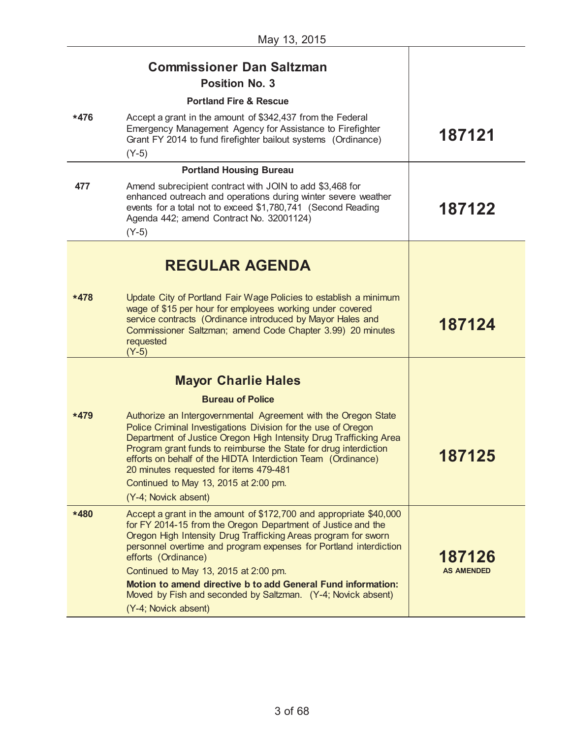|        | <b>Commissioner Dan Saltzman</b><br><b>Position No. 3</b>                                                                                                                                                                                                                                                                                                                                                                                                                                         |                             |
|--------|---------------------------------------------------------------------------------------------------------------------------------------------------------------------------------------------------------------------------------------------------------------------------------------------------------------------------------------------------------------------------------------------------------------------------------------------------------------------------------------------------|-----------------------------|
| *476   | <b>Portland Fire &amp; Rescue</b><br>Accept a grant in the amount of \$342,437 from the Federal<br>Emergency Management Agency for Assistance to Firefighter<br>Grant FY 2014 to fund firefighter bailout systems (Ordinance)<br>$(Y-5)$                                                                                                                                                                                                                                                          | 187121                      |
|        | <b>Portland Housing Bureau</b>                                                                                                                                                                                                                                                                                                                                                                                                                                                                    |                             |
| 477    | Amend subrecipient contract with JOIN to add \$3,468 for<br>enhanced outreach and operations during winter severe weather<br>events for a total not to exceed \$1,780,741 (Second Reading<br>Agenda 442; amend Contract No. 32001124)<br>$(Y-5)$                                                                                                                                                                                                                                                  | 187122                      |
|        | <b>REGULAR AGENDA</b>                                                                                                                                                                                                                                                                                                                                                                                                                                                                             |                             |
| $*478$ | Update City of Portland Fair Wage Policies to establish a minimum<br>wage of \$15 per hour for employees working under covered<br>service contracts (Ordinance introduced by Mayor Hales and<br>Commissioner Saltzman; amend Code Chapter 3.99) 20 minutes<br>requested<br>$(Y-5)$                                                                                                                                                                                                                | 187124                      |
|        | <b>Mayor Charlie Hales</b>                                                                                                                                                                                                                                                                                                                                                                                                                                                                        |                             |
| $*479$ | <b>Bureau of Police</b><br>Authorize an Intergovernmental Agreement with the Oregon State<br>Police Criminal Investigations Division for the use of Oregon<br>Department of Justice Oregon High Intensity Drug Trafficking Area<br>Program grant funds to reimburse the State for drug interdiction<br>efforts on behalf of the HIDTA Interdiction Team (Ordinance)<br>20 minutes requested for items 479-481<br>Continued to May 13, 2015 at 2:00 pm.<br>(Y-4; Novick absent)                    | 187125                      |
| *480   | Accept a grant in the amount of \$172,700 and appropriate \$40,000<br>for FY 2014-15 from the Oregon Department of Justice and the<br>Oregon High Intensity Drug Trafficking Areas program for sworn<br>personnel overtime and program expenses for Portland interdiction<br>efforts (Ordinance)<br>Continued to May 13, 2015 at 2:00 pm.<br>Motion to amend directive b to add General Fund information:<br>Moved by Fish and seconded by Saltzman. (Y-4; Novick absent)<br>(Y-4; Novick absent) | 187126<br><b>AS AMENDED</b> |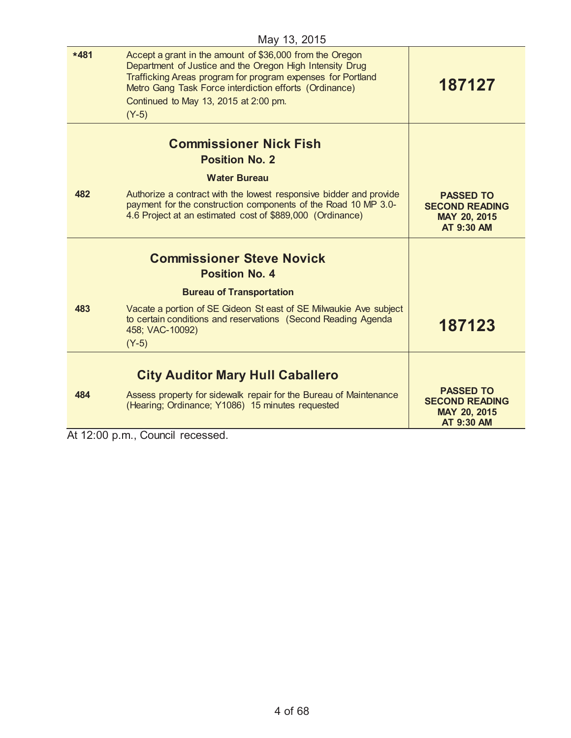| <b>NICH TO, ZUTO</b> |                                                                                                                                                                                                                                                                                                   |                                                                         |
|----------------------|---------------------------------------------------------------------------------------------------------------------------------------------------------------------------------------------------------------------------------------------------------------------------------------------------|-------------------------------------------------------------------------|
| $*481$               | Accept a grant in the amount of \$36,000 from the Oregon<br>Department of Justice and the Oregon High Intensity Drug<br>Trafficking Areas program for program expenses for Portland<br>Metro Gang Task Force interdiction efforts (Ordinance)<br>Continued to May 13, 2015 at 2:00 pm.<br>$(Y-5)$ | 187127                                                                  |
|                      | <b>Commissioner Nick Fish</b>                                                                                                                                                                                                                                                                     |                                                                         |
|                      | <b>Position No. 2</b>                                                                                                                                                                                                                                                                             |                                                                         |
|                      | <b>Water Bureau</b>                                                                                                                                                                                                                                                                               |                                                                         |
| 482                  | Authorize a contract with the lowest responsive bidder and provide<br>payment for the construction components of the Road 10 MP 3.0-<br>4.6 Project at an estimated cost of \$889,000 (Ordinance)                                                                                                 | <b>PASSED TO</b><br><b>SECOND READING</b><br>MAY 20, 2015<br>AT 9:30 AM |
|                      | <b>Commissioner Steve Novick</b><br><b>Position No. 4</b>                                                                                                                                                                                                                                         |                                                                         |
|                      | <b>Bureau of Transportation</b>                                                                                                                                                                                                                                                                   |                                                                         |
| 483                  | Vacate a portion of SE Gideon St east of SE Milwaukie Ave subject<br>to certain conditions and reservations (Second Reading Agenda<br>458; VAC-10092)<br>$(Y-5)$                                                                                                                                  | 187123                                                                  |
|                      |                                                                                                                                                                                                                                                                                                   |                                                                         |
|                      | <b>City Auditor Mary Hull Caballero</b>                                                                                                                                                                                                                                                           |                                                                         |
| 484                  | Assess property for sidewalk repair for the Bureau of Maintenance                                                                                                                                                                                                                                 | <b>PASSED TO</b><br><b>SECOND READING</b>                               |
|                      | (Hearing; Ordinance; Y1086) 15 minutes requested                                                                                                                                                                                                                                                  | MAY 20, 2015<br>AT 9:30 AM                                              |

At 12:00 p.m., Council recessed.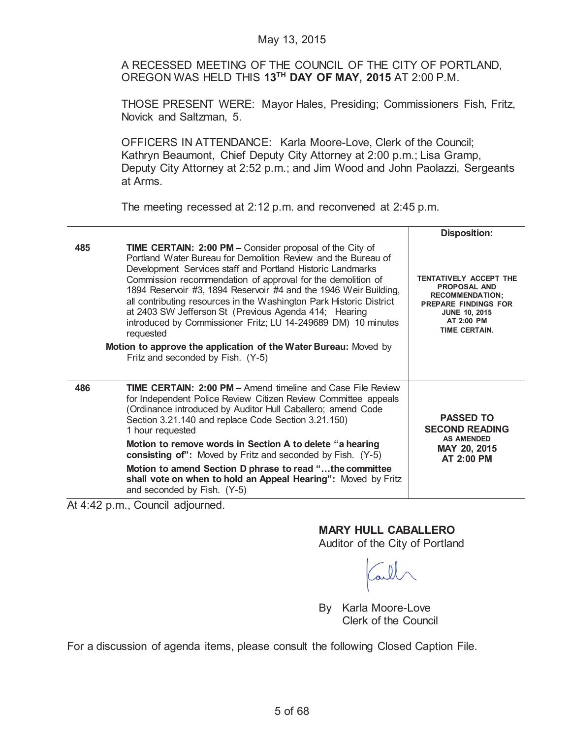A RECESSED MEETING OF THE COUNCIL OF THE CITY OF PORTLAND, OREGON WAS HELD THIS **13TH DAY OF MAY, 2015** AT 2:00 P.M.

THOSE PRESENT WERE: Mayor Hales, Presiding; Commissioners Fish, Fritz, Novick and Saltzman, 5.

OFFICERS IN ATTENDANCE: Karla Moore-Love, Clerk of the Council; Kathryn Beaumont, Chief Deputy City Attorney at 2:00 p.m.; Lisa Gramp, Deputy City Attorney at 2:52 p.m.; and Jim Wood and John Paolazzi, Sergeants at Arms.

The meeting recessed at 2:12 p.m. and reconvened at 2:45 p.m.

|     |                                                                                                                                                                                                                                                                                                                                                                                                                                                                                                                                                                                                                                                         | <b>Disposition:</b>                                                                                                                                                  |
|-----|---------------------------------------------------------------------------------------------------------------------------------------------------------------------------------------------------------------------------------------------------------------------------------------------------------------------------------------------------------------------------------------------------------------------------------------------------------------------------------------------------------------------------------------------------------------------------------------------------------------------------------------------------------|----------------------------------------------------------------------------------------------------------------------------------------------------------------------|
| 485 | <b>TIME CERTAIN: 2:00 PM - Consider proposal of the City of</b><br>Portland Water Bureau for Demolition Review and the Bureau of<br>Development Services staff and Portland Historic Landmarks<br>Commission recommendation of approval for the demolition of<br>1894 Reservoir #3, 1894 Reservoir #4 and the 1946 Weir Building,<br>all contributing resources in the Washington Park Historic District<br>at 2403 SW Jefferson St (Previous Agenda 414; Hearing<br>introduced by Commissioner Fritz; LU 14-249689 DM) 10 minutes<br>requested<br>Motion to approve the application of the Water Bureau: Moved by<br>Fritz and seconded by Fish. (Y-5) | TENTATIVELY ACCEPT THE<br><b>PROPOSAL AND</b><br><b>RECOMMENDATION:</b><br><b>PREPARE FINDINGS FOR</b><br><b>JUNE 10, 2015</b><br>AT 2:00 PM<br><b>TIME CERTAIN.</b> |
| 486 | <b>TIME CERTAIN: 2:00 PM - Amend fimeline and Case File Review</b><br>for Independent Police Review Citizen Review Committee appeals<br>(Ordinance introduced by Auditor Hull Caballero; amend Code<br>Section 3.21.140 and replace Code Section 3.21.150)<br>1 hour requested<br>Motion to remove words in Section A to delete "a hearing<br>consisting of": Moved by Fritz and seconded by Fish. (Y-5)<br>Motion to amend Section D phrase to read "the committee<br>shall vote on when to hold an Appeal Hearing": Moved by Fritz<br>and seconded by Fish. (Y-5)                                                                                     | <b>PASSED TO</b><br><b>SECOND READING</b><br><b>AS AMENDED</b><br>MAY 20, 2015<br>AT 2:00 PM                                                                         |

At 4:42 p.m., Council adjourned.

# **MARY HULL CABALLERO**

Auditor of the City of Portland

By Karla Moore-Love Clerk of the Council

For a discussion of agenda items, please consult the following Closed Caption File.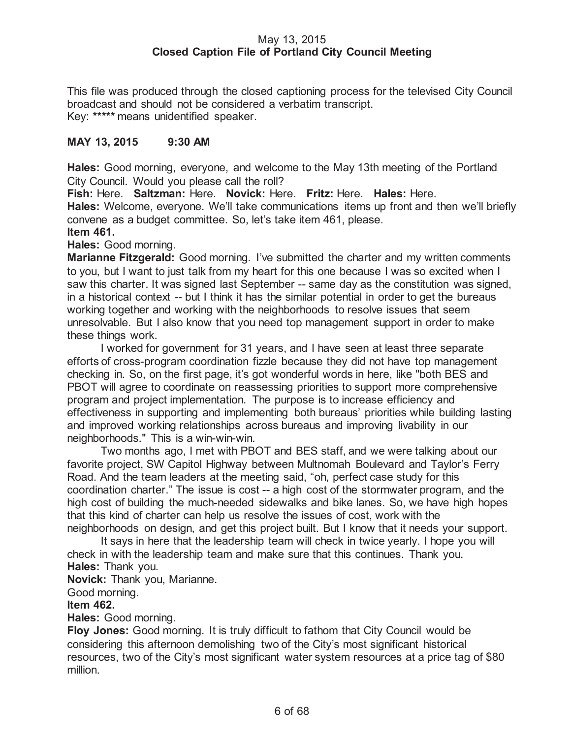# May 13, 2015 **Closed Caption File of Portland City Council Meeting**

This file was produced through the closed captioning process for the televised City Council broadcast and should not be considered a verbatim transcript. Key: **\*\*\*\*\*** means unidentified speaker.

# **MAY 13, 2015 9:30 AM**

**Hales:** Good morning, everyone, and welcome to the May 13th meeting of the Portland City Council. Would you please call the roll?

**Fish:** Here. **Saltzman:** Here. **Novick:** Here. **Fritz:** Here. **Hales:** Here. **Hales:** Welcome, everyone. We'll take communications items up front and then we'll briefly convene as a budget committee. So, let's take item 461, please. **Item 461.**

# **Hales:** Good morning.

**Marianne Fitzgerald:** Good morning. I've submitted the charter and my written comments to you, but I want to just talk from my heart for this one because I was so excited when I saw this charter. It was signed last September -- same day as the constitution was signed, in a historical context -- but I think it has the similar potential in order to get the bureaus working together and working with the neighborhoods to resolve issues that seem unresolvable. But I also know that you need top management support in order to make these things work.

I worked for government for 31 years, and I have seen at least three separate efforts of cross-program coordination fizzle because they did not have top management checking in. So, on the first page, it's got wonderful words in here, like "both BES and PBOT will agree to coordinate on reassessing priorities to support more comprehensive program and project implementation. The purpose is to increase efficiency and effectiveness in supporting and implementing both bureaus' priorities while building lasting and improved working relationships across bureaus and improving livability in our neighborhoods." This is a win-win-win.

Two months ago, I met with PBOT and BES staff, and we were talking about our favorite project, SW Capitol Highway between Multnomah Boulevard and Taylor's Ferry Road. And the team leaders at the meeting said, "oh, perfect case study for this coordination charter." The issue is cost -- a high cost of the stormwater program, and the high cost of building the much-needed sidewalks and bike lanes. So, we have high hopes that this kind of charter can help us resolve the issues of cost, work with the neighborhoods on design, and get this project built. But I know that it needs your support.

It says in here that the leadership team will check in twice yearly. I hope you will check in with the leadership team and make sure that this continues. Thank you. **Hales:** Thank you.

**Novick:** Thank you, Marianne.

Good morning.

# **Item 462.**

**Hales:** Good morning.

**Floy Jones:** Good morning. It is truly difficult to fathom that City Council would be considering this afternoon demolishing two of the City's most significant historical resources, two of the City's most significant water system resources at a price tag of \$80 million.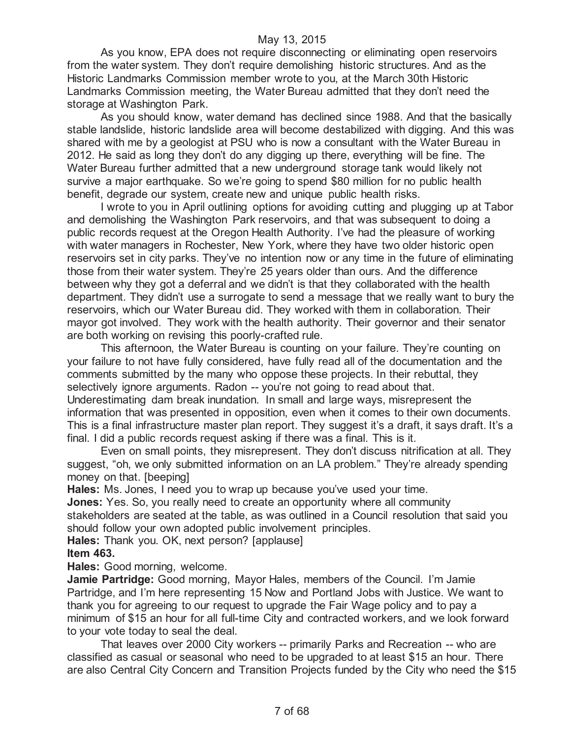As you know, EPA does not require disconnecting or eliminating open reservoirs from the water system. They don't require demolishing historic structures. And as the Historic Landmarks Commission member wrote to you, at the March 30th Historic Landmarks Commission meeting, the Water Bureau admitted that they don't need the storage at Washington Park.

As you should know, water demand has declined since 1988. And that the basically stable landslide, historic landslide area will become destabilized with digging. And this was shared with me by a geologist at PSU who is now a consultant with the Water Bureau in 2012. He said as long they don't do any digging up there, everything will be fine. The Water Bureau further admitted that a new underground storage tank would likely not survive a major earthquake. So we're going to spend \$80 million for no public health benefit, degrade our system, create new and unique public health risks.

I wrote to you in April outlining options for avoiding cutting and plugging up at Tabor and demolishing the Washington Park reservoirs, and that was subsequent to doing a public records request at the Oregon Health Authority. I've had the pleasure of working with water managers in Rochester, New York, where they have two older historic open reservoirs set in city parks. They've no intention now or any time in the future of eliminating those from their water system. They're 25 years older than ours. And the difference between why they got a deferral and we didn't is that they collaborated with the health department. They didn't use a surrogate to send a message that we really want to bury the reservoirs, which our Water Bureau did. They worked with them in collaboration. Their mayor got involved. They work with the health authority. Their governor and their senator are both working on revising this poorly-crafted rule.

This afternoon, the Water Bureau is counting on your failure. They're counting on your failure to not have fully considered, have fully read all of the documentation and the comments submitted by the many who oppose these projects. In their rebuttal, they selectively ignore arguments. Radon -- you're not going to read about that. Underestimating dam break inundation. In small and large ways, misrepresent the information that was presented in opposition, even when it comes to their own documents. This is a final infrastructure master plan report. They suggest it's a draft, it says draft. It's a final. I did a public records request asking if there was a final. This is it.

Even on small points, they misrepresent. They don't discuss nitrification at all. They suggest, "oh, we only submitted information on an LA problem." They're already spending money on that. [beeping]

**Hales:** Ms. Jones, I need you to wrap up because you've used your time. **Jones:** Yes. So, you really need to create an opportunity where all community stakeholders are seated at the table, as was outlined in a Council resolution that said you should follow your own adopted public involvement principles.

**Hales:** Thank you. OK, next person? [applause]

#### **Item 463.**

**Hales:** Good morning, welcome.

**Jamie Partridge:** Good morning, Mayor Hales, members of the Council. I'm Jamie Partridge, and I'm here representing 15 Now and Portland Jobs with Justice. We want to thank you for agreeing to our request to upgrade the Fair Wage policy and to pay a minimum of \$15 an hour for all full-time City and contracted workers, and we look forward to your vote today to seal the deal.

That leaves over 2000 City workers -- primarily Parks and Recreation -- who are classified as casual or seasonal who need to be upgraded to at least \$15 an hour. There are also Central City Concern and Transition Projects funded by the City who need the \$15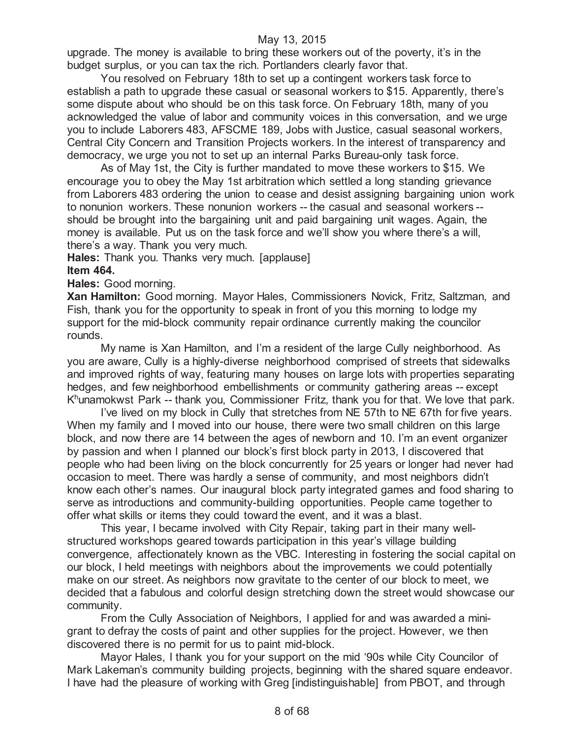upgrade. The money is available to bring these workers out of the poverty, it's in the budget surplus, or you can tax the rich. Portlanders clearly favor that.

You resolved on February 18th to set up a contingent workers task force to establish a path to upgrade these casual or seasonal workers to \$15. Apparently, there's some dispute about who should be on this task force. On February 18th, many of you acknowledged the value of labor and community voices in this conversation, and we urge you to include Laborers 483, AFSCME 189, Jobs with Justice, casual seasonal workers, Central City Concern and Transition Projects workers. In the interest of transparency and democracy, we urge you not to set up an internal Parks Bureau-only task force.

As of May 1st, the City is further mandated to move these workers to \$15. We encourage you to obey the May 1st arbitration which settled a long standing grievance from Laborers 483 ordering the union to cease and desist assigning bargaining union work to nonunion workers. These nonunion workers -- the casual and seasonal workers - should be brought into the bargaining unit and paid bargaining unit wages. Again, the money is available. Put us on the task force and we'll show you where there's a will, there's a way. Thank you very much.

**Hales:** Thank you. Thanks very much. [applause]

# **Item 464.**

**Hales:** Good morning.

**Xan Hamilton:** Good morning. Mayor Hales, Commissioners Novick, Fritz, Saltzman, and Fish, thank you for the opportunity to speak in front of you this morning to lodge my support for the mid-block community repair ordinance currently making the councilor rounds.

My name is Xan Hamilton, and I'm a resident of the large Cully neighborhood. As you are aware, Cully is a highly-diverse neighborhood comprised of streets that sidewalks and improved rights of way, featuring many houses on large lots with properties separating hedges, and few neighborhood embellishments or community gathering areas -- except K<sup>h</sup>unamokwst Park -- thank you, Commissioner Fritz, thank you for that. We love that park.

I've lived on my block in Cully that stretches from NE 57th to NE 67th for five years. When my family and I moved into our house, there were two small children on this large block, and now there are 14 between the ages of newborn and 10. I'm an event organizer by passion and when I planned our block's first block party in 2013, I discovered that people who had been living on the block concurrently for 25 years or longer had never had occasion to meet. There was hardly a sense of community, and most neighbors didn't know each other's names. Our inaugural block party integrated games and food sharing to serve as introductions and community-building opportunities. People came together to offer what skills or items they could toward the event, and it was a blast.

This year, I became involved with City Repair, taking part in their many wellstructured workshops geared towards participation in this year's village building convergence, affectionately known as the VBC. Interesting in fostering the social capital on our block, I held meetings with neighbors about the improvements we could potentially make on our street. As neighbors now gravitate to the center of our block to meet, we decided that a fabulous and colorful design stretching down the street would showcase our community.

From the Cully Association of Neighbors, I applied for and was awarded a minigrant to defray the costs of paint and other supplies for the project. However, we then discovered there is no permit for us to paint mid-block.

Mayor Hales, I thank you for your support on the mid '90s while City Councilor of Mark Lakeman's community building projects, beginning with the shared square endeavor. I have had the pleasure of working with Greg [indistinguishable] from PBOT, and through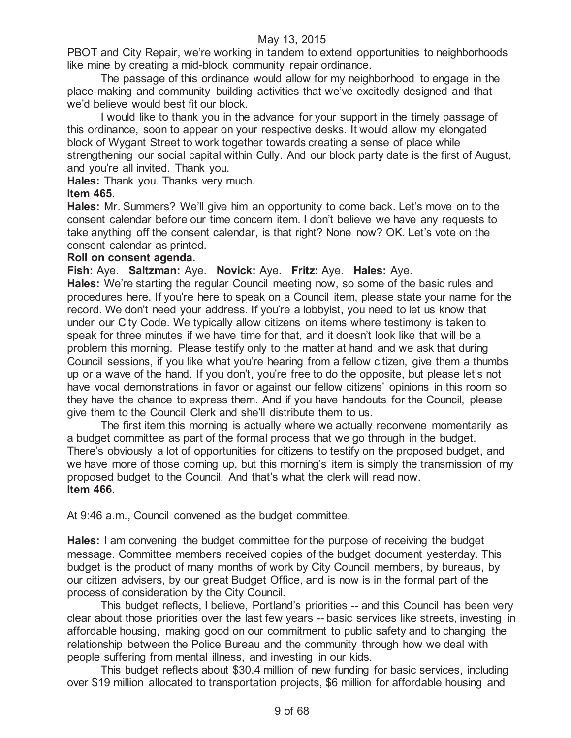PBOT and City Repair, we're working in tandem to extend opportunities to neighborhoods like mine by creating a mid-block community repair ordinance.

The passage of this ordinance would allow for my neighborhood to engage in the place-making and community building activities that we've excitedly designed and that we'd believe would best fit our block.

I would like to thank you in the advance for your support in the timely passage of this ordinance, soon to appear on your respective desks. It would allow my elongated block of Wygant Street to work together towards creating a sense of place while strengthening our social capital within Cully. And our block party date is the first of August, and you're all invited. Thank you.

**Hales:** Thank you. Thanks very much.

# **Item 465.**

**Hales:** Mr. Summers? We'll give him an opportunity to come back. Let's move on to the consent calendar before our time concern item. I don't believe we have any requests to take anything off the consent calendar, is that right? None now? OK. Let's vote on the consent calendar as printed.

# **Roll on consent agenda.**

**Fish:** Aye. **Saltzman:** Aye. **Novick:** Aye. **Fritz:** Aye. **Hales:** Aye.

**Hales:** We're starting the regular Council meeting now, so some of the basic rules and procedures here. If you're here to speak on a Council item, please state your name for the record. We don't need your address. If you're a lobbyist, you need to let us know that under our City Code. We typically allow citizens on items where testimony is taken to speak for three minutes if we have time for that, and it doesn't look like that will be a problem this morning. Please testify only to the matter at hand and we ask that during Council sessions, if you like what you're hearing from a fellow citizen, give them a thumbs up or a wave of the hand. If you don't, you're free to do the opposite, but please let's not have vocal demonstrations in favor or against our fellow citizens' opinions in this room so they have the chance to express them. And if you have handouts for the Council, please give them to the Council Clerk and she'll distribute them to us.

The first item this morning is actually where we actually reconvene momentarily as a budget committee as part of the formal process that we go through in the budget. There's obviously a lot of opportunities for citizens to testify on the proposed budget, and we have more of those coming up, but this morning's item is simply the transmission of my proposed budget to the Council. And that's what the clerk will read now. **Item 466.**

At 9:46 a.m., Council convened as the budget committee.

**Hales:** I am convening the budget committee for the purpose of receiving the budget message. Committee members received copies of the budget document yesterday. This budget is the product of many months of work by City Council members, by bureaus, by our citizen advisers, by our great Budget Office, and is now is in the formal part of the process of consideration by the City Council.

This budget reflects, I believe, Portland's priorities -- and this Council has been very clear about those priorities over the last few years -- basic services like streets, investing in affordable housing, making good on our commitment to public safety and to changing the relationship between the Police Bureau and the community through how we deal with people suffering from mental illness, and investing in our kids.

This budget reflects about \$30.4 million of new funding for basic services, including over \$19 million allocated to transportation projects, \$6 million for affordable housing and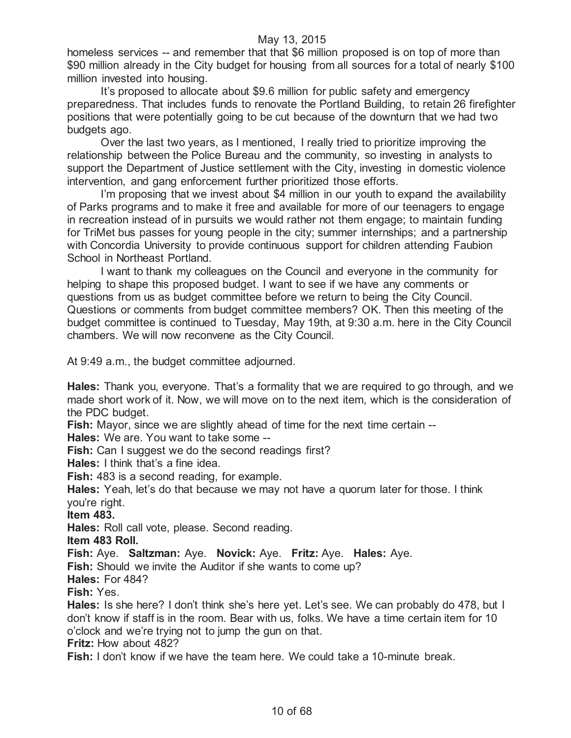homeless services -- and remember that that \$6 million proposed is on top of more than \$90 million already in the City budget for housing from all sources for a total of nearly \$100 million invested into housing.

It's proposed to allocate about \$9.6 million for public safety and emergency preparedness. That includes funds to renovate the Portland Building, to retain 26 firefighter positions that were potentially going to be cut because of the downturn that we had two budgets ago.

Over the last two years, as I mentioned, I really tried to prioritize improving the relationship between the Police Bureau and the community, so investing in analysts to support the Department of Justice settlement with the City, investing in domestic violence intervention, and gang enforcement further prioritized those efforts.

I'm proposing that we invest about \$4 million in our youth to expand the availability of Parks programs and to make it free and available for more of our teenagers to engage in recreation instead of in pursuits we would rather not them engage; to maintain funding for TriMet bus passes for young people in the city; summer internships; and a partnership with Concordia University to provide continuous support for children attending Faubion School in Northeast Portland.

I want to thank my colleagues on the Council and everyone in the community for helping to shape this proposed budget. I want to see if we have any comments or questions from us as budget committee before we return to being the City Council. Questions or comments from budget committee members? OK. Then this meeting of the budget committee is continued to Tuesday, May 19th, at 9:30 a.m. here in the City Council chambers. We will now reconvene as the City Council.

At 9:49 a.m., the budget committee adjourned.

**Hales:** Thank you, everyone. That's a formality that we are required to go through, and we made short work of it. Now, we will move on to the next item, which is the consideration of the PDC budget.

**Fish:** Mayor, since we are slightly ahead of time for the next time certain --

**Hales:** We are. You want to take some --

**Fish:** Can I suggest we do the second readings first?

**Hales:** I think that's a fine idea.

**Fish:** 483 is a second reading, for example.

**Hales:** Yeah, let's do that because we may not have a quorum later for those. I think you're right.

**Item 483.**

**Hales:** Roll call vote, please. Second reading.

**Item 483 Roll.**

**Fish:** Aye. **Saltzman:** Aye. **Novick:** Aye. **Fritz:** Aye. **Hales:** Aye.

**Fish:** Should we invite the Auditor if she wants to come up?

**Hales:** For 484?

**Fish:** Yes.

**Hales:** Is she here? I don't think she's here yet. Let's see. We can probably do 478, but I don't know if staff is in the room. Bear with us, folks. We have a time certain item for 10 o'clock and we're trying not to jump the gun on that.

**Fritz:** How about 482?

**Fish:** I don't know if we have the team here. We could take a 10-minute break.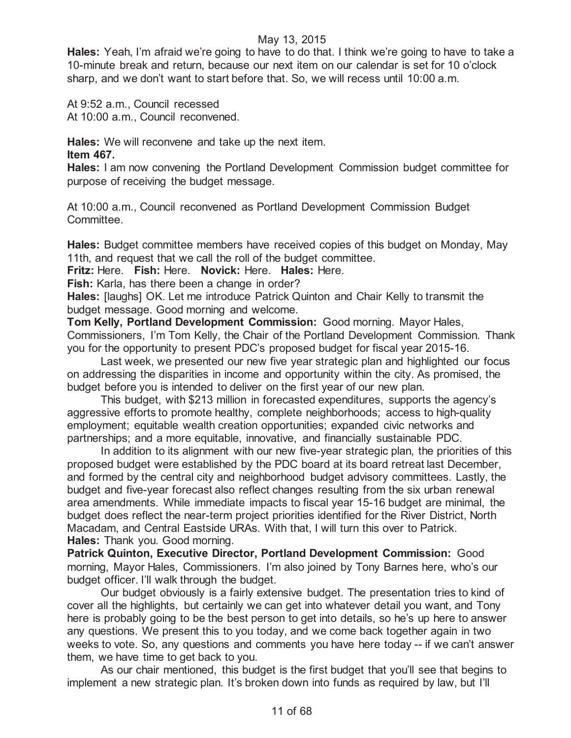**Hales:** Yeah, I'm afraid we're going to have to do that. I think we're going to have to take a 10-minute break and return, because our next item on our calendar is set for 10 o'clock sharp, and we don't want to start before that. So, we will recess until 10:00 a.m.

At 9:52 a.m., Council recessed At 10:00 a.m., Council reconvened.

**Hales:** We will reconvene and take up the next item. **Item 467.**

**Hales:** I am now convening the Portland Development Commission budget committee for purpose of receiving the budget message.

At 10:00 a.m., Council reconvened as Portland Development Commission Budget Committee.

**Hales:** Budget committee members have received copies of this budget on Monday, May 11th, and request that we call the roll of the budget committee.

**Fritz:** Here. **Fish:** Here. **Novick:** Here. **Hales:** Here.

**Fish:** Karla, has there been a change in order?

**Hales:** [laughs] OK. Let me introduce Patrick Quinton and Chair Kelly to transmit the budget message. Good morning and welcome.

**Tom Kelly, Portland Development Commission:** Good morning. Mayor Hales, Commissioners, I'm Tom Kelly, the Chair of the Portland Development Commission. Thank you for the opportunity to present PDC's proposed budget for fiscal year 2015-16.

Last week, we presented our new five year strategic plan and highlighted our focus on addressing the disparities in income and opportunity within the city. As promised, the budget before you is intended to deliver on the first year of our new plan.

This budget, with \$213 million in forecasted expenditures, supports the agency's aggressive efforts to promote healthy, complete neighborhoods; access to high-quality employment; equitable wealth creation opportunities; expanded civic networks and partnerships; and a more equitable, innovative, and financially sustainable PDC.

In addition to its alignment with our new five-year strategic plan, the priorities of this proposed budget were established by the PDC board at its board retreat last December, and formed by the central city and neighborhood budget advisory committees. Lastly, the budget and five-year forecast also reflect changes resulting from the six urban renewal area amendments. While immediate impacts to fiscal year 15-16 budget are minimal, the budget does reflect the near-term project priorities identified for the River District, North Macadam, and Central Eastside URAs. With that, I will turn this over to Patrick. **Hales:** Thank you. Good morning.

**Patrick Quinton, Executive Director, Portland Development Commission:** Good morning, Mayor Hales, Commissioners. I'm also joined by Tony Barnes here, who's our budget officer. I'll walk through the budget.

Our budget obviously is a fairly extensive budget. The presentation tries to kind of cover all the highlights, but certainly we can get into whatever detail you want, and Tony here is probably going to be the best person to get into details, so he's up here to answer any questions. We present this to you today, and we come back together again in two weeks to vote. So, any questions and comments you have here today -- if we can't answer them, we have time to get back to you.

As our chair mentioned, this budget is the first budget that you'll see that begins to implement a new strategic plan. It's broken down into funds as required by law, but I'll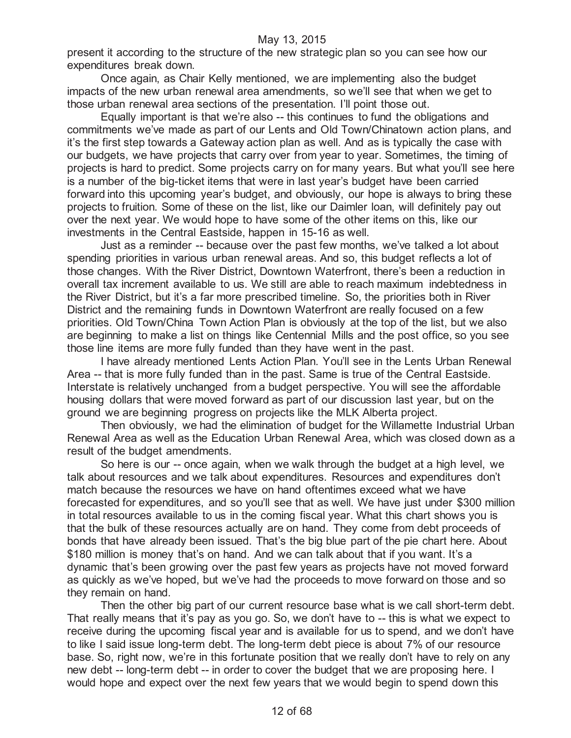present it according to the structure of the new strategic plan so you can see how our expenditures break down.

Once again, as Chair Kelly mentioned, we are implementing also the budget impacts of the new urban renewal area amendments, so we'll see that when we get to those urban renewal area sections of the presentation. I'll point those out.

Equally important is that we're also -- this continues to fund the obligations and commitments we've made as part of our Lents and Old Town/Chinatown action plans, and it's the first step towards a Gateway action plan as well. And as is typically the case with our budgets, we have projects that carry over from year to year. Sometimes, the timing of projects is hard to predict. Some projects carry on for many years. But what you'll see here is a number of the big-ticket items that were in last year's budget have been carried forward into this upcoming year's budget, and obviously, our hope is always to bring these projects to fruition. Some of these on the list, like our Daimler loan, will definitely pay out over the next year. We would hope to have some of the other items on this, like our investments in the Central Eastside, happen in 15-16 as well.

Just as a reminder -- because over the past few months, we've talked a lot about spending priorities in various urban renewal areas. And so, this budget reflects a lot of those changes. With the River District, Downtown Waterfront, there's been a reduction in overall tax increment available to us. We still are able to reach maximum indebtedness in the River District, but it's a far more prescribed timeline. So, the priorities both in River District and the remaining funds in Downtown Waterfront are really focused on a few priorities. Old Town/China Town Action Plan is obviously at the top of the list, but we also are beginning to make a list on things like Centennial Mills and the post office, so you see those line items are more fully funded than they have went in the past.

I have already mentioned Lents Action Plan. You'll see in the Lents Urban Renewal Area -- that is more fully funded than in the past. Same is true of the Central Eastside. Interstate is relatively unchanged from a budget perspective. You will see the affordable housing dollars that were moved forward as part of our discussion last year, but on the ground we are beginning progress on projects like the MLK Alberta project.

Then obviously, we had the elimination of budget for the Willamette Industrial Urban Renewal Area as well as the Education Urban Renewal Area, which was closed down as a result of the budget amendments.

So here is our -- once again, when we walk through the budget at a high level, we talk about resources and we talk about expenditures. Resources and expenditures don't match because the resources we have on hand oftentimes exceed what we have forecasted for expenditures, and so you'll see that as well. We have just under \$300 million in total resources available to us in the coming fiscal year. What this chart shows you is that the bulk of these resources actually are on hand. They come from debt proceeds of bonds that have already been issued. That's the big blue part of the pie chart here. About \$180 million is money that's on hand. And we can talk about that if you want. It's a dynamic that's been growing over the past few years as projects have not moved forward as quickly as we've hoped, but we've had the proceeds to move forward on those and so they remain on hand.

Then the other big part of our current resource base what is we call short-term debt. That really means that it's pay as you go. So, we don't have to -- this is what we expect to receive during the upcoming fiscal year and is available for us to spend, and we don't have to like I said issue long-term debt. The long-term debt piece is about 7% of our resource base. So, right now, we're in this fortunate position that we really don't have to rely on any new debt -- long-term debt -- in order to cover the budget that we are proposing here. I would hope and expect over the next few years that we would begin to spend down this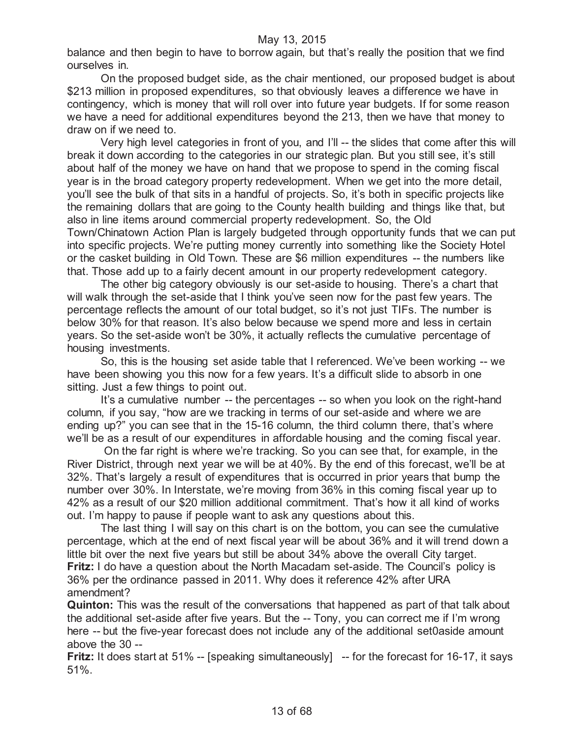balance and then begin to have to borrow again, but that's really the position that we find ourselves in.

On the proposed budget side, as the chair mentioned, our proposed budget is about \$213 million in proposed expenditures, so that obviously leaves a difference we have in contingency, which is money that will roll over into future year budgets. If for some reason we have a need for additional expenditures beyond the 213, then we have that money to draw on if we need to.

Very high level categories in front of you, and I'll -- the slides that come after this will break it down according to the categories in our strategic plan. But you still see, it's still about half of the money we have on hand that we propose to spend in the coming fiscal year is in the broad category property redevelopment. When we get into the more detail, you'll see the bulk of that sits in a handful of projects. So, it's both in specific projects like the remaining dollars that are going to the County health building and things like that, but also in line items around commercial property redevelopment. So, the Old Town/Chinatown Action Plan is largely budgeted through opportunity funds that we can put into specific projects. We're putting money currently into something like the Society Hotel or the casket building in Old Town. These are \$6 million expenditures -- the numbers like that. Those add up to a fairly decent amount in our property redevelopment category.

The other big category obviously is our set-aside to housing. There's a chart that will walk through the set-aside that I think you've seen now for the past few years. The percentage reflects the amount of our total budget, so it's not just TIFs. The number is below 30% for that reason. It's also below because we spend more and less in certain years. So the set-aside won't be 30%, it actually reflects the cumulative percentage of housing investments.

So, this is the housing set aside table that I referenced. We've been working -- we have been showing you this now for a few years. It's a difficult slide to absorb in one sitting. Just a few things to point out.

It's a cumulative number -- the percentages -- so when you look on the right-hand column, if you say, "how are we tracking in terms of our set-aside and where we are ending up?" you can see that in the 15-16 column, the third column there, that's where we'll be as a result of our expenditures in affordable housing and the coming fiscal year.

On the far right is where we're tracking. So you can see that, for example, in the River District, through next year we will be at 40%. By the end of this forecast, we'll be at 32%. That's largely a result of expenditures that is occurred in prior years that bump the number over 30%. In Interstate, we're moving from 36% in this coming fiscal year up to 42% as a result of our \$20 million additional commitment. That's how it all kind of works out. I'm happy to pause if people want to ask any questions about this.

The last thing I will say on this chart is on the bottom, you can see the cumulative percentage, which at the end of next fiscal year will be about 36% and it will trend down a little bit over the next five years but still be about 34% above the overall City target. **Fritz:** I do have a question about the North Macadam set-aside. The Council's policy is 36% per the ordinance passed in 2011. Why does it reference 42% after URA amendment?

**Quinton:** This was the result of the conversations that happened as part of that talk about the additional set-aside after five years. But the -- Tony, you can correct me if I'm wrong here -- but the five-year forecast does not include any of the additional set0aside amount above the 30 --

**Fritz:** It does start at 51% -- [speaking simultaneously] -- for the forecast for 16-17, it says 51%.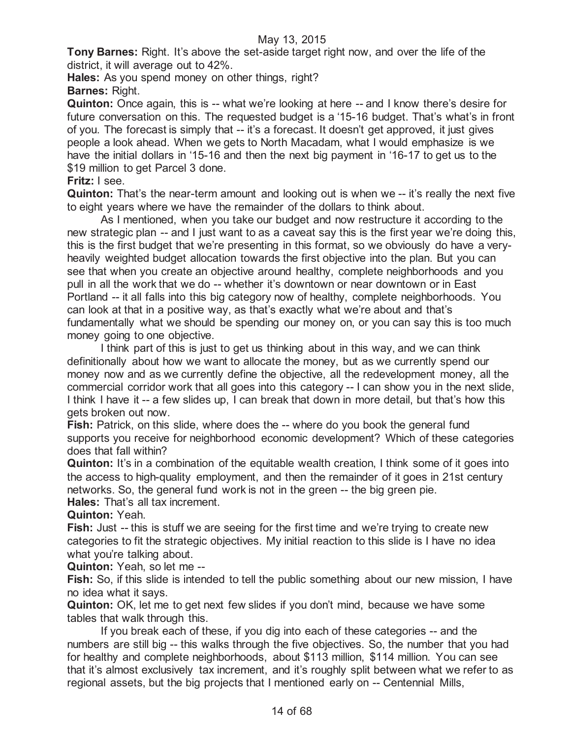**Tony Barnes:** Right. It's above the set-aside target right now, and over the life of the district, it will average out to 42%.

**Hales:** As you spend money on other things, right? **Barnes:** Right.

**Quinton:** Once again, this is -- what we're looking at here -- and I know there's desire for future conversation on this. The requested budget is a '15-16 budget. That's what's in front of you. The forecast is simply that -- it's a forecast. It doesn't get approved, it just gives people a look ahead. When we gets to North Macadam, what I would emphasize is we have the initial dollars in '15-16 and then the next big payment in '16-17 to get us to the \$19 million to get Parcel 3 done.

# **Fritz:** I see.

**Quinton:** That's the near-term amount and looking out is when we -- it's really the next five to eight years where we have the remainder of the dollars to think about.

As I mentioned, when you take our budget and now restructure it according to the new strategic plan -- and I just want to as a caveat say this is the first year we're doing this, this is the first budget that we're presenting in this format, so we obviously do have a veryheavily weighted budget allocation towards the first objective into the plan. But you can see that when you create an objective around healthy, complete neighborhoods and you pull in all the work that we do -- whether it's downtown or near downtown or in East Portland -- it all falls into this big category now of healthy, complete neighborhoods. You can look at that in a positive way, as that's exactly what we're about and that's fundamentally what we should be spending our money on, or you can say this is too much money going to one objective.

I think part of this is just to get us thinking about in this way, and we can think definitionally about how we want to allocate the money, but as we currently spend our money now and as we currently define the objective, all the redevelopment money, all the commercial corridor work that all goes into this category -- I can show you in the next slide, I think I have it -- a few slides up, I can break that down in more detail, but that's how this gets broken out now.

**Fish:** Patrick, on this slide, where does the -- where do you book the general fund supports you receive for neighborhood economic development? Which of these categories does that fall within?

**Quinton:** It's in a combination of the equitable wealth creation, I think some of it goes into the access to high-quality employment, and then the remainder of it goes in 21st century networks. So, the general fund work is not in the green -- the big green pie.

**Hales:** That's all tax increment.

**Quinton:** Yeah.

**Fish:** Just -- this is stuff we are seeing for the first time and we're trying to create new categories to fit the strategic objectives. My initial reaction to this slide is I have no idea what you're talking about.

**Quinton:** Yeah, so let me --

**Fish:** So, if this slide is intended to tell the public something about our new mission, I have no idea what it says.

**Quinton:** OK, let me to get next few slides if you don't mind, because we have some tables that walk through this.

If you break each of these, if you dig into each of these categories -- and the numbers are still big -- this walks through the five objectives. So, the number that you had for healthy and complete neighborhoods, about \$113 million, \$114 million. You can see that it's almost exclusively tax increment, and it's roughly split between what we refer to as regional assets, but the big projects that I mentioned early on -- Centennial Mills,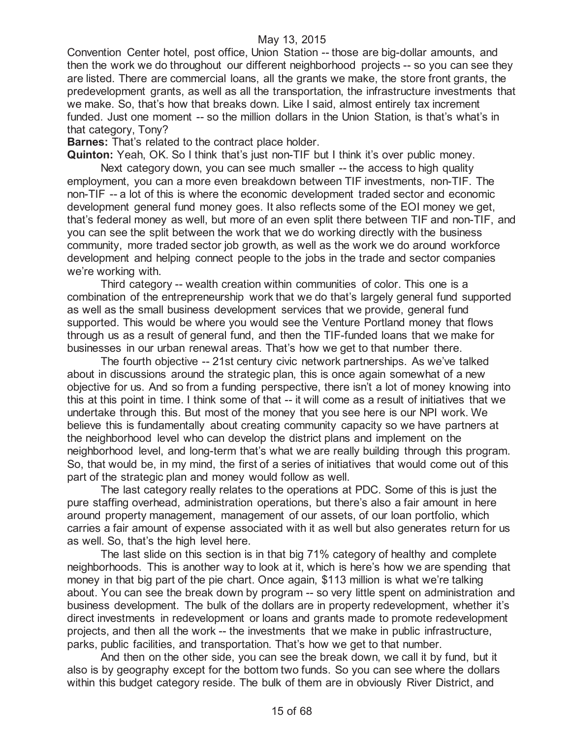Convention Center hotel, post office, Union Station -- those are big-dollar amounts, and then the work we do throughout our different neighborhood projects -- so you can see they are listed. There are commercial loans, all the grants we make, the store front grants, the predevelopment grants, as well as all the transportation, the infrastructure investments that we make. So, that's how that breaks down. Like I said, almost entirely tax increment funded. Just one moment -- so the million dollars in the Union Station, is that's what's in that category, Tony?

**Barnes:** That's related to the contract place holder.

**Quinton:** Yeah, OK. So I think that's just non-TIF but I think it's over public money.

Next category down, you can see much smaller -- the access to high quality employment, you can a more even breakdown between TIF investments, non-TIF. The non-TIF -- a lot of this is where the economic development traded sector and economic development general fund money goes. It also reflects some of the EOI money we get, that's federal money as well, but more of an even split there between TIF and non-TIF, and you can see the split between the work that we do working directly with the business community, more traded sector job growth, as well as the work we do around workforce development and helping connect people to the jobs in the trade and sector companies we're working with.

Third category -- wealth creation within communities of color. This one is a combination of the entrepreneurship work that we do that's largely general fund supported as well as the small business development services that we provide, general fund supported. This would be where you would see the Venture Portland money that flows through us as a result of general fund, and then the TIF-funded loans that we make for businesses in our urban renewal areas. That's how we get to that number there.

The fourth objective -- 21st century civic network partnerships. As we've talked about in discussions around the strategic plan, this is once again somewhat of a new objective for us. And so from a funding perspective, there isn't a lot of money knowing into this at this point in time. I think some of that -- it will come as a result of initiatives that we undertake through this. But most of the money that you see here is our NPI work. We believe this is fundamentally about creating community capacity so we have partners at the neighborhood level who can develop the district plans and implement on the neighborhood level, and long-term that's what we are really building through this program. So, that would be, in my mind, the first of a series of initiatives that would come out of this part of the strategic plan and money would follow as well.

The last category really relates to the operations at PDC. Some of this is just the pure staffing overhead, administration operations, but there's also a fair amount in here around property management, management of our assets, of our loan portfolio, which carries a fair amount of expense associated with it as well but also generates return for us as well. So, that's the high level here.

The last slide on this section is in that big 71% category of healthy and complete neighborhoods. This is another way to look at it, which is here's how we are spending that money in that big part of the pie chart. Once again, \$113 million is what we're talking about. You can see the break down by program -- so very little spent on administration and business development. The bulk of the dollars are in property redevelopment, whether it's direct investments in redevelopment or loans and grants made to promote redevelopment projects, and then all the work -- the investments that we make in public infrastructure, parks, public facilities, and transportation. That's how we get to that number.

And then on the other side, you can see the break down, we call it by fund, but it also is by geography except for the bottom two funds. So you can see where the dollars within this budget category reside. The bulk of them are in obviously River District, and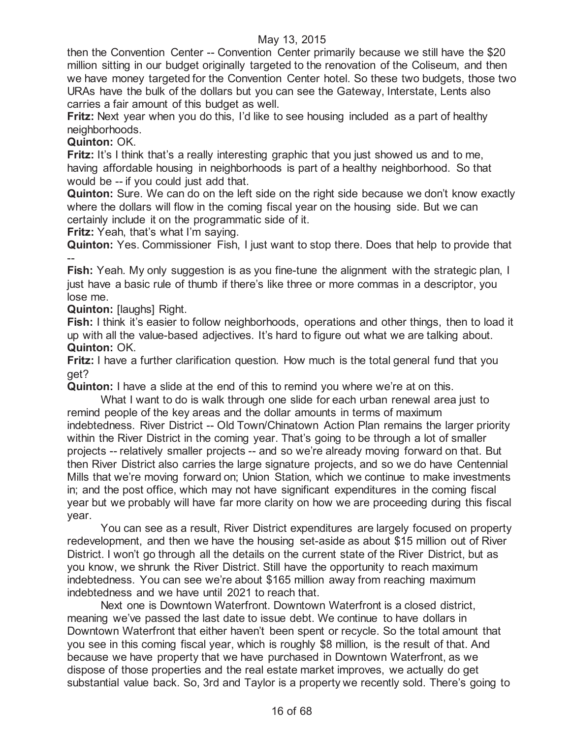then the Convention Center -- Convention Center primarily because we still have the \$20 million sitting in our budget originally targeted to the renovation of the Coliseum, and then we have money targeted for the Convention Center hotel. So these two budgets, those two URAs have the bulk of the dollars but you can see the Gateway, Interstate, Lents also carries a fair amount of this budget as well.

**Fritz:** Next year when you do this, I'd like to see housing included as a part of healthy neighborhoods.

# **Quinton:** OK.

**Fritz:** It's I think that's a really interesting graphic that you just showed us and to me, having affordable housing in neighborhoods is part of a healthy neighborhood. So that would be -- if you could just add that.

**Quinton:** Sure. We can do on the left side on the right side because we don't know exactly where the dollars will flow in the coming fiscal year on the housing side. But we can certainly include it on the programmatic side of it.

**Fritz:** Yeah, that's what I'm saying.

**Quinton:** Yes. Commissioner Fish, I just want to stop there. Does that help to provide that --

**Fish:** Yeah. My only suggestion is as you fine-tune the alignment with the strategic plan, I just have a basic rule of thumb if there's like three or more commas in a descriptor, you lose me.

**Quinton: Ilaughs] Right.** 

**Fish:** I think it's easier to follow neighborhoods, operations and other things, then to load it up with all the value-based adjectives. It's hard to figure out what we are talking about. **Quinton:** OK.

**Fritz:** I have a further clarification question. How much is the total general fund that you get?

**Quinton:** I have a slide at the end of this to remind you where we're at on this.

What I want to do is walk through one slide for each urban renewal area just to remind people of the key areas and the dollar amounts in terms of maximum indebtedness. River District -- Old Town/Chinatown Action Plan remains the larger priority within the River District in the coming year. That's going to be through a lot of smaller projects -- relatively smaller projects -- and so we're already moving forward on that. But then River District also carries the large signature projects, and so we do have Centennial Mills that we're moving forward on; Union Station, which we continue to make investments in; and the post office, which may not have significant expenditures in the coming fiscal year but we probably will have far more clarity on how we are proceeding during this fiscal year.

You can see as a result, River District expenditures are largely focused on property redevelopment, and then we have the housing set-aside as about \$15 million out of River District. I won't go through all the details on the current state of the River District, but as you know, we shrunk the River District. Still have the opportunity to reach maximum indebtedness. You can see we're about \$165 million away from reaching maximum indebtedness and we have until 2021 to reach that.

Next one is Downtown Waterfront. Downtown Waterfront is a closed district, meaning we've passed the last date to issue debt. We continue to have dollars in Downtown Waterfront that either haven't been spent or recycle. So the total amount that you see in this coming fiscal year, which is roughly \$8 million, is the result of that. And because we have property that we have purchased in Downtown Waterfront, as we dispose of those properties and the real estate market improves, we actually do get substantial value back. So, 3rd and Taylor is a property we recently sold. There's going to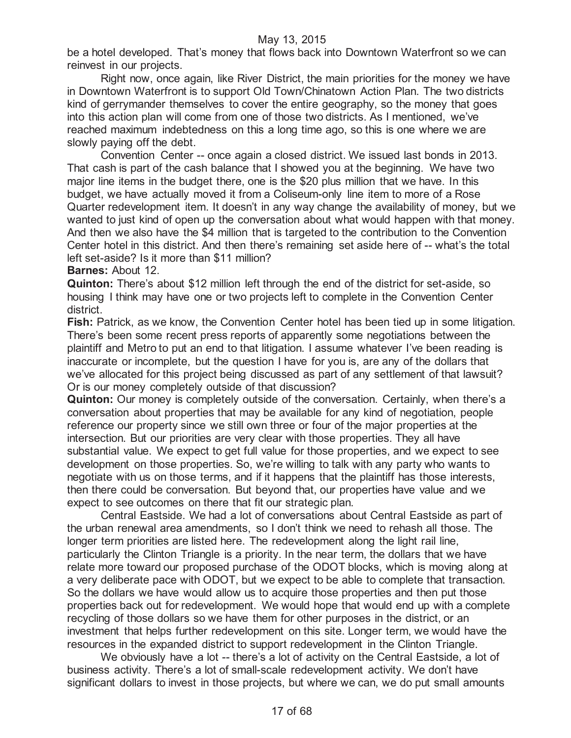be a hotel developed. That's money that flows back into Downtown Waterfront so we can reinvest in our projects.

Right now, once again, like River District, the main priorities for the money we have in Downtown Waterfront is to support Old Town/Chinatown Action Plan. The two districts kind of gerrymander themselves to cover the entire geography, so the money that goes into this action plan will come from one of those two districts. As I mentioned, we've reached maximum indebtedness on this a long time ago, so this is one where we are slowly paying off the debt.

Convention Center -- once again a closed district. We issued last bonds in 2013. That cash is part of the cash balance that I showed you at the beginning. We have two major line items in the budget there, one is the \$20 plus million that we have. In this budget, we have actually moved it from a Coliseum-only line item to more of a Rose Quarter redevelopment item. It doesn't in any way change the availability of money, but we wanted to just kind of open up the conversation about what would happen with that money. And then we also have the \$4 million that is targeted to the contribution to the Convention Center hotel in this district. And then there's remaining set aside here of -- what's the total left set-aside? Is it more than \$11 million?

**Barnes:** About 12.

**Quinton:** There's about \$12 million left through the end of the district for set-aside, so housing I think may have one or two projects left to complete in the Convention Center district.

**Fish:** Patrick, as we know, the Convention Center hotel has been tied up in some litigation. There's been some recent press reports of apparently some negotiations between the plaintiff and Metro to put an end to that litigation. I assume whatever I've been reading is inaccurate or incomplete, but the question I have for you is, are any of the dollars that we've allocated for this project being discussed as part of any settlement of that lawsuit? Or is our money completely outside of that discussion?

**Quinton:** Our money is completely outside of the conversation. Certainly, when there's a conversation about properties that may be available for any kind of negotiation, people reference our property since we still own three or four of the major properties at the intersection. But our priorities are very clear with those properties. They all have substantial value. We expect to get full value for those properties, and we expect to see development on those properties. So, we're willing to talk with any party who wants to negotiate with us on those terms, and if it happens that the plaintiff has those interests, then there could be conversation. But beyond that, our properties have value and we expect to see outcomes on there that fit our strategic plan.

Central Eastside. We had a lot of conversations about Central Eastside as part of the urban renewal area amendments, so I don't think we need to rehash all those. The longer term priorities are listed here. The redevelopment along the light rail line, particularly the Clinton Triangle is a priority. In the near term, the dollars that we have relate more toward our proposed purchase of the ODOT blocks, which is moving along at a very deliberate pace with ODOT, but we expect to be able to complete that transaction. So the dollars we have would allow us to acquire those properties and then put those properties back out for redevelopment. We would hope that would end up with a complete recycling of those dollars so we have them for other purposes in the district, or an investment that helps further redevelopment on this site. Longer term, we would have the resources in the expanded district to support redevelopment in the Clinton Triangle.

We obviously have a lot -- there's a lot of activity on the Central Eastside, a lot of business activity. There's a lot of small-scale redevelopment activity. We don't have significant dollars to invest in those projects, but where we can, we do put small amounts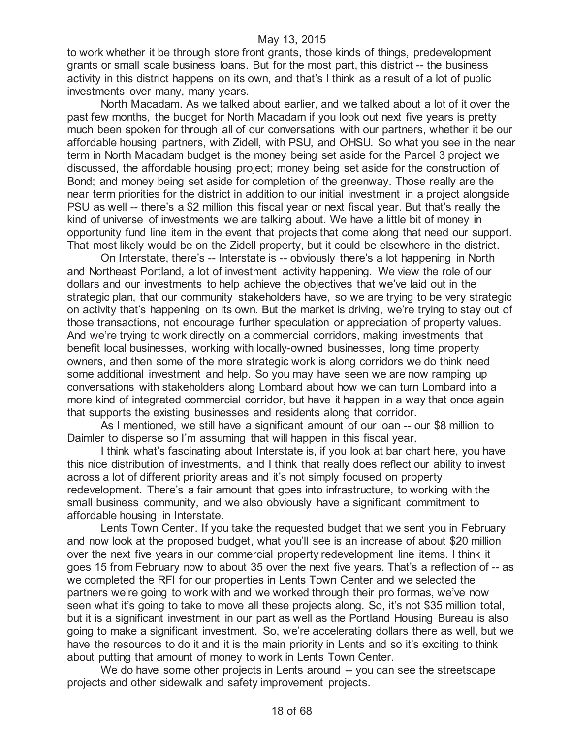to work whether it be through store front grants, those kinds of things, predevelopment grants or small scale business loans. But for the most part, this district -- the business activity in this district happens on its own, and that's I think as a result of a lot of public investments over many, many years.

North Macadam. As we talked about earlier, and we talked about a lot of it over the past few months, the budget for North Macadam if you look out next five years is pretty much been spoken for through all of our conversations with our partners, whether it be our affordable housing partners, with Zidell, with PSU, and OHSU. So what you see in the near term in North Macadam budget is the money being set aside for the Parcel 3 project we discussed, the affordable housing project; money being set aside for the construction of Bond; and money being set aside for completion of the greenway. Those really are the near term priorities for the district in addition to our initial investment in a project alongside PSU as well -- there's a \$2 million this fiscal year or next fiscal year. But that's really the kind of universe of investments we are talking about. We have a little bit of money in opportunity fund line item in the event that projects that come along that need our support. That most likely would be on the Zidell property, but it could be elsewhere in the district.

On Interstate, there's -- Interstate is -- obviously there's a lot happening in North and Northeast Portland, a lot of investment activity happening. We view the role of our dollars and our investments to help achieve the objectives that we've laid out in the strategic plan, that our community stakeholders have, so we are trying to be very strategic on activity that's happening on its own. But the market is driving, we're trying to stay out of those transactions, not encourage further speculation or appreciation of property values. And we're trying to work directly on a commercial corridors, making investments that benefit local businesses, working with locally-owned businesses, long time property owners, and then some of the more strategic work is along corridors we do think need some additional investment and help. So you may have seen we are now ramping up conversations with stakeholders along Lombard about how we can turn Lombard into a more kind of integrated commercial corridor, but have it happen in a way that once again that supports the existing businesses and residents along that corridor.

As I mentioned, we still have a significant amount of our loan -- our \$8 million to Daimler to disperse so I'm assuming that will happen in this fiscal year.

I think what's fascinating about Interstate is, if you look at bar chart here, you have this nice distribution of investments, and I think that really does reflect our ability to invest across a lot of different priority areas and it's not simply focused on property redevelopment. There's a fair amount that goes into infrastructure, to working with the small business community, and we also obviously have a significant commitment to affordable housing in Interstate.

Lents Town Center. If you take the requested budget that we sent you in February and now look at the proposed budget, what you'll see is an increase of about \$20 million over the next five years in our commercial property redevelopment line items. I think it goes 15 from February now to about 35 over the next five years. That's a reflection of -- as we completed the RFI for our properties in Lents Town Center and we selected the partners we're going to work with and we worked through their pro formas, we've now seen what it's going to take to move all these projects along. So, it's not \$35 million total, but it is a significant investment in our part as well as the Portland Housing Bureau is also going to make a significant investment. So, we're accelerating dollars there as well, but we have the resources to do it and it is the main priority in Lents and so it's exciting to think about putting that amount of money to work in Lents Town Center.

We do have some other projects in Lents around -- you can see the streetscape projects and other sidewalk and safety improvement projects.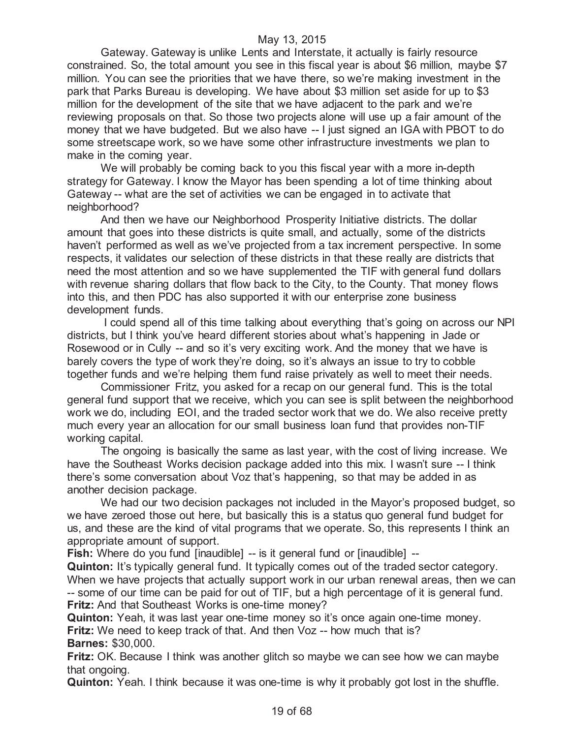Gateway. Gateway is unlike Lents and Interstate, it actually is fairly resource constrained. So, the total amount you see in this fiscal year is about \$6 million, maybe \$7 million. You can see the priorities that we have there, so we're making investment in the park that Parks Bureau is developing. We have about \$3 million set aside for up to \$3 million for the development of the site that we have adjacent to the park and we're reviewing proposals on that. So those two projects alone will use up a fair amount of the money that we have budgeted. But we also have -- I just signed an IGA with PBOT to do some streetscape work, so we have some other infrastructure investments we plan to make in the coming year.

We will probably be coming back to you this fiscal year with a more in-depth strategy for Gateway. I know the Mayor has been spending a lot of time thinking about Gateway -- what are the set of activities we can be engaged in to activate that neighborhood?

And then we have our Neighborhood Prosperity Initiative districts. The dollar amount that goes into these districts is quite small, and actually, some of the districts haven't performed as well as we've projected from a tax increment perspective. In some respects, it validates our selection of these districts in that these really are districts that need the most attention and so we have supplemented the TIF with general fund dollars with revenue sharing dollars that flow back to the City, to the County. That money flows into this, and then PDC has also supported it with our enterprise zone business development funds.

I could spend all of this time talking about everything that's going on across our NPI districts, but I think you've heard different stories about what's happening in Jade or Rosewood or in Cully -- and so it's very exciting work. And the money that we have is barely covers the type of work they're doing, so it's always an issue to try to cobble together funds and we're helping them fund raise privately as well to meet their needs.

Commissioner Fritz, you asked for a recap on our general fund. This is the total general fund support that we receive, which you can see is split between the neighborhood work we do, including EOI, and the traded sector work that we do. We also receive pretty much every year an allocation for our small business loan fund that provides non-TIF working capital.

The ongoing is basically the same as last year, with the cost of living increase. We have the Southeast Works decision package added into this mix. I wasn't sure -- I think there's some conversation about Voz that's happening, so that may be added in as another decision package.

We had our two decision packages not included in the Mayor's proposed budget, so we have zeroed those out here, but basically this is a status quo general fund budget for us, and these are the kind of vital programs that we operate. So, this represents I think an appropriate amount of support.

**Fish:** Where do you fund [inaudible] -- is it general fund or [inaudible] --

**Quinton:** It's typically general fund. It typically comes out of the traded sector category. When we have projects that actually support work in our urban renewal areas, then we can -- some of our time can be paid for out of TIF, but a high percentage of it is general fund. **Fritz:** And that Southeast Works is one-time money?

**Quinton:** Yeah, it was last year one-time money so it's once again one-time money.

**Fritz:** We need to keep track of that. And then Voz -- how much that is? **Barnes:** \$30,000.

**Fritz:** OK. Because I think was another glitch so maybe we can see how we can maybe that ongoing.

**Quinton:** Yeah. I think because it was one-time is why it probably got lost in the shuffle.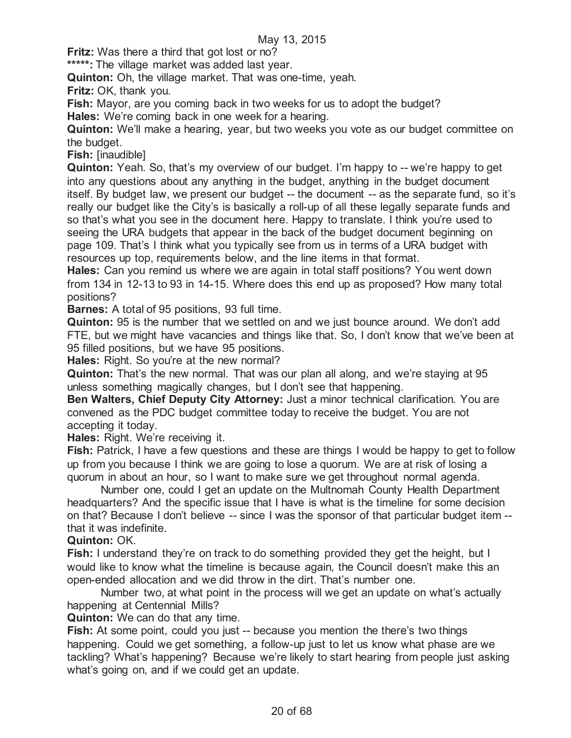**Fritz:** Was there a third that got lost or no?

**\*\*\*\*\*:** The village market was added last year.

**Quinton:** Oh, the village market. That was one-time, yeah.

**Fritz:** OK, thank you.

**Fish:** Mayor, are you coming back in two weeks for us to adopt the budget?

**Hales:** We're coming back in one week for a hearing.

**Quinton:** We'll make a hearing, year, but two weeks you vote as our budget committee on the budget.

**Fish:** [inaudible]

**Quinton:** Yeah. So, that's my overview of our budget. I'm happy to -- we're happy to get into any questions about any anything in the budget, anything in the budget document itself. By budget law, we present our budget -- the document -- as the separate fund, so it's really our budget like the City's is basically a roll-up of all these legally separate funds and so that's what you see in the document here. Happy to translate. I think you're used to seeing the URA budgets that appear in the back of the budget document beginning on page 109. That's I think what you typically see from us in terms of a URA budget with resources up top, requirements below, and the line items in that format.

**Hales:** Can you remind us where we are again in total staff positions? You went down from 134 in 12-13 to 93 in 14-15. Where does this end up as proposed? How many total positions?

**Barnes:** A total of 95 positions, 93 full time.

**Quinton:** 95 is the number that we settled on and we just bounce around. We don't add FTE, but we might have vacancies and things like that. So, I don't know that we've been at 95 filled positions, but we have 95 positions.

**Hales:** Right. So you're at the new normal?

**Quinton:** That's the new normal. That was our plan all along, and we're staying at 95 unless something magically changes, but I don't see that happening.

**Ben Walters, Chief Deputy City Attorney:** Just a minor technical clarification. You are convened as the PDC budget committee today to receive the budget. You are not accepting it today.

**Hales:** Right. We're receiving it.

**Fish:** Patrick, I have a few questions and these are things I would be happy to get to follow up from you because I think we are going to lose a quorum. We are at risk of losing a quorum in about an hour, so I want to make sure we get throughout normal agenda.

Number one, could I get an update on the Multnomah County Health Department headquarters? And the specific issue that I have is what is the timeline for some decision on that? Because I don't believe -- since I was the sponsor of that particular budget item - that it was indefinite.

#### **Quinton:** OK.

**Fish:** I understand they're on track to do something provided they get the height, but I would like to know what the timeline is because again, the Council doesn't make this an open-ended allocation and we did throw in the dirt. That's number one.

Number two, at what point in the process will we get an update on what's actually happening at Centennial Mills?

**Quinton:** We can do that any time.

**Fish:** At some point, could you just -- because you mention the there's two things happening. Could we get something, a follow-up just to let us know what phase are we tackling? What's happening? Because we're likely to start hearing from people just asking what's going on, and if we could get an update.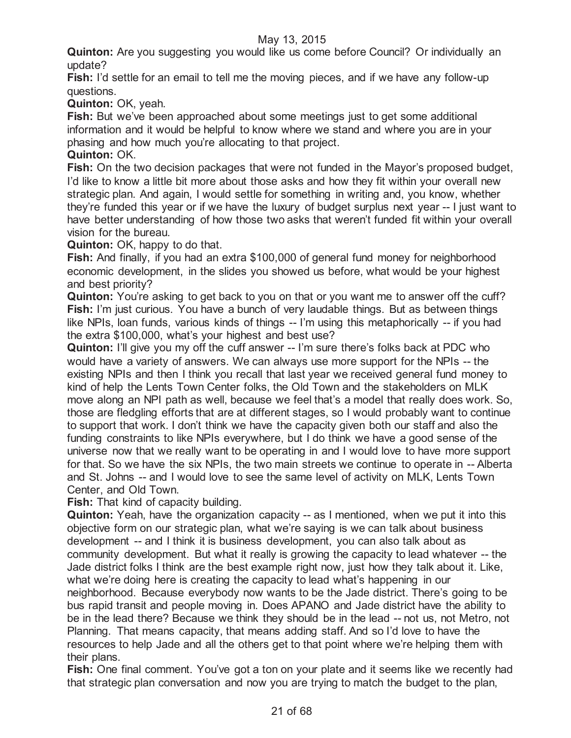**Quinton:** Are you suggesting you would like us come before Council? Or individually an update?

**Fish:** I'd settle for an email to tell me the moving pieces, and if we have any follow-up questions.

**Quinton:** OK, yeah.

**Fish:** But we've been approached about some meetings just to get some additional information and it would be helpful to know where we stand and where you are in your phasing and how much you're allocating to that project.

**Quinton:** OK.

**Fish:** On the two decision packages that were not funded in the Mayor's proposed budget, I'd like to know a little bit more about those asks and how they fit within your overall new strategic plan. And again, I would settle for something in writing and, you know, whether they're funded this year or if we have the luxury of budget surplus next year -- I just want to have better understanding of how those two asks that weren't funded fit within your overall vision for the bureau.

**Quinton:** OK, happy to do that.

**Fish:** And finally, if you had an extra \$100,000 of general fund money for neighborhood economic development, in the slides you showed us before, what would be your highest and best priority?

**Quinton:** You're asking to get back to you on that or you want me to answer off the cuff? **Fish:** I'm just curious. You have a bunch of very laudable things. But as between things like NPIs, loan funds, various kinds of things -- I'm using this metaphorically -- if you had the extra \$100,000, what's your highest and best use?

**Quinton:** I'll give you my off the cuff answer -- I'm sure there's folks back at PDC who would have a variety of answers. We can always use more support for the NPIs -- the existing NPIs and then I think you recall that last year we received general fund money to kind of help the Lents Town Center folks, the Old Town and the stakeholders on MLK move along an NPI path as well, because we feel that's a model that really does work. So, those are fledgling efforts that are at different stages, so I would probably want to continue to support that work. I don't think we have the capacity given both our staff and also the funding constraints to like NPIs everywhere, but I do think we have a good sense of the universe now that we really want to be operating in and I would love to have more support for that. So we have the six NPIs, the two main streets we continue to operate in -- Alberta and St. Johns -- and I would love to see the same level of activity on MLK, Lents Town Center, and Old Town.

**Fish:** That kind of capacity building.

**Quinton:** Yeah, have the organization capacity -- as I mentioned, when we put it into this objective form on our strategic plan, what we're saying is we can talk about business development -- and I think it is business development, you can also talk about as community development. But what it really is growing the capacity to lead whatever -- the Jade district folks I think are the best example right now, just how they talk about it. Like, what we're doing here is creating the capacity to lead what's happening in our neighborhood. Because everybody now wants to be the Jade district. There's going to be bus rapid transit and people moving in. Does APANO and Jade district have the ability to be in the lead there? Because we think they should be in the lead -- not us, not Metro, not Planning. That means capacity, that means adding staff. And so I'd love to have the resources to help Jade and all the others get to that point where we're helping them with their plans.

**Fish:** One final comment. You've got a ton on your plate and it seems like we recently had that strategic plan conversation and now you are trying to match the budget to the plan,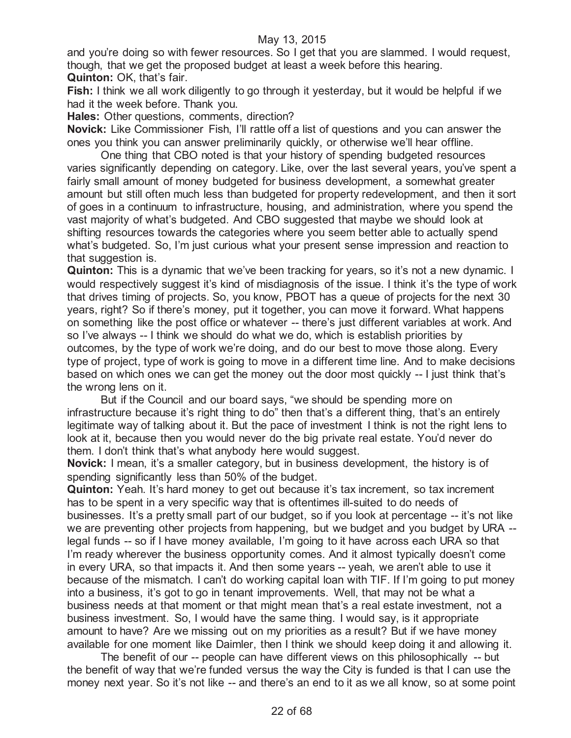and you're doing so with fewer resources. So I get that you are slammed. I would request, though, that we get the proposed budget at least a week before this hearing. **Quinton:** OK, that's fair.

**Fish:** I think we all work diligently to go through it yesterday, but it would be helpful if we had it the week before. Thank you.

**Hales:** Other questions, comments, direction?

**Novick:** Like Commissioner Fish, I'll rattle off a list of questions and you can answer the ones you think you can answer preliminarily quickly, or otherwise we'll hear offline.

One thing that CBO noted is that your history of spending budgeted resources varies significantly depending on category. Like, over the last several years, you've spent a fairly small amount of money budgeted for business development, a somewhat greater amount but still often much less than budgeted for property redevelopment, and then it sort of goes in a continuum to infrastructure, housing, and administration, where you spend the vast majority of what's budgeted. And CBO suggested that maybe we should look at shifting resources towards the categories where you seem better able to actually spend what's budgeted. So, I'm just curious what your present sense impression and reaction to that suggestion is.

**Quinton:** This is a dynamic that we've been tracking for years, so it's not a new dynamic. I would respectively suggest it's kind of misdiagnosis of the issue. I think it's the type of work that drives timing of projects. So, you know, PBOT has a queue of projects for the next 30 years, right? So if there's money, put it together, you can move it forward. What happens on something like the post office or whatever -- there's just different variables at work. And so I've always -- I think we should do what we do, which is establish priorities by outcomes, by the type of work we're doing, and do our best to move those along. Every type of project, type of work is going to move in a different time line. And to make decisions based on which ones we can get the money out the door most quickly -- I just think that's the wrong lens on it.

But if the Council and our board says, "we should be spending more on infrastructure because it's right thing to do" then that's a different thing, that's an entirely legitimate way of talking about it. But the pace of investment I think is not the right lens to look at it, because then you would never do the big private real estate. You'd never do them. I don't think that's what anybody here would suggest.

**Novick:** I mean, it's a smaller category, but in business development, the history is of spending significantly less than 50% of the budget.

**Quinton:** Yeah. It's hard money to get out because it's tax increment, so tax increment has to be spent in a very specific way that is oftentimes ill-suited to do needs of businesses. It's a pretty small part of our budget, so if you look at percentage -- it's not like we are preventing other projects from happening, but we budget and you budget by URA - legal funds -- so if I have money available, I'm going to it have across each URA so that I'm ready wherever the business opportunity comes. And it almost typically doesn't come in every URA, so that impacts it. And then some years -- yeah, we aren't able to use it because of the mismatch. I can't do working capital loan with TIF. If I'm going to put money into a business, it's got to go in tenant improvements. Well, that may not be what a business needs at that moment or that might mean that's a real estate investment, not a business investment. So, I would have the same thing. I would say, is it appropriate amount to have? Are we missing out on my priorities as a result? But if we have money available for one moment like Daimler, then I think we should keep doing it and allowing it.

The benefit of our -- people can have different views on this philosophically -- but the benefit of way that we're funded versus the way the City is funded is that I can use the money next year. So it's not like -- and there's an end to it as we all know, so at some point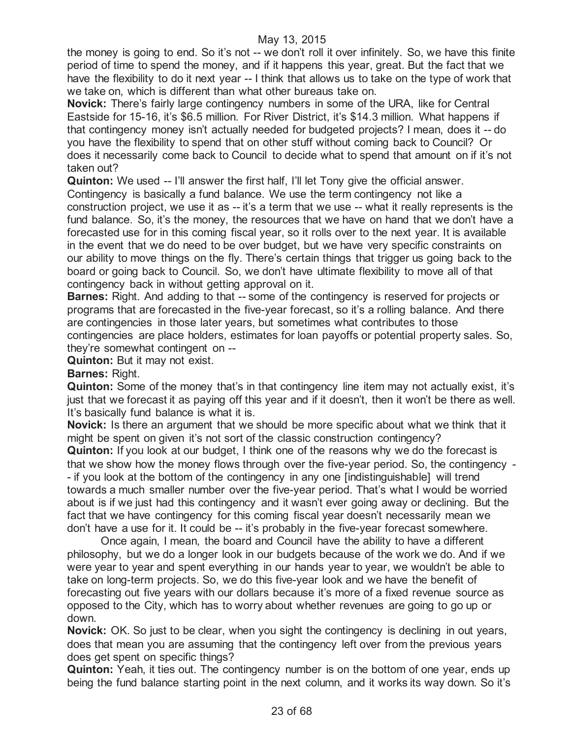the money is going to end. So it's not -- we don't roll it over infinitely. So, we have this finite period of time to spend the money, and if it happens this year, great. But the fact that we have the flexibility to do it next year -- I think that allows us to take on the type of work that we take on, which is different than what other bureaus take on.

**Novick:** There's fairly large contingency numbers in some of the URA, like for Central Eastside for 15-16, it's \$6.5 million. For River District, it's \$14.3 million. What happens if that contingency money isn't actually needed for budgeted projects? I mean, does it -- do you have the flexibility to spend that on other stuff without coming back to Council? Or does it necessarily come back to Council to decide what to spend that amount on if it's not taken out?

**Quinton:** We used -- I'll answer the first half, I'll let Tony give the official answer. Contingency is basically a fund balance. We use the term contingency not like a construction project, we use it as -- it's a term that we use -- what it really represents is the fund balance. So, it's the money, the resources that we have on hand that we don't have a forecasted use for in this coming fiscal year, so it rolls over to the next year. It is available in the event that we do need to be over budget, but we have very specific constraints on our ability to move things on the fly. There's certain things that trigger us going back to the board or going back to Council. So, we don't have ultimate flexibility to move all of that contingency back in without getting approval on it.

**Barnes:** Right. And adding to that -- some of the contingency is reserved for projects or programs that are forecasted in the five-year forecast, so it's a rolling balance. And there are contingencies in those later years, but sometimes what contributes to those contingencies are place holders, estimates for loan payoffs or potential property sales. So, they're somewhat contingent on --

**Quinton:** But it may not exist.

# **Barnes:** Right.

**Quinton:** Some of the money that's in that contingency line item may not actually exist, it's just that we forecast it as paying off this year and if it doesn't, then it won't be there as well. It's basically fund balance is what it is.

**Novick:** Is there an argument that we should be more specific about what we think that it might be spent on given it's not sort of the classic construction contingency?

**Quinton:** If you look at our budget, I think one of the reasons why we do the forecast is that we show how the money flows through over the five-year period. So, the contingency - - if you look at the bottom of the contingency in any one [indistinguishable] will trend towards a much smaller number over the five-year period. That's what I would be worried about is if we just had this contingency and it wasn't ever going away or declining. But the fact that we have contingency for this coming fiscal year doesn't necessarily mean we don't have a use for it. It could be -- it's probably in the five-year forecast somewhere.

Once again, I mean, the board and Council have the ability to have a different philosophy, but we do a longer look in our budgets because of the work we do. And if we were year to year and spent everything in our hands year to year, we wouldn't be able to take on long-term projects. So, we do this five-year look and we have the benefit of forecasting out five years with our dollars because it's more of a fixed revenue source as opposed to the City, which has to worry about whether revenues are going to go up or down.

**Novick:** OK. So just to be clear, when you sight the contingency is declining in out years, does that mean you are assuming that the contingency left over from the previous years does get spent on specific things?

**Quinton:** Yeah, it ties out. The contingency number is on the bottom of one year, ends up being the fund balance starting point in the next column, and it works its way down. So it's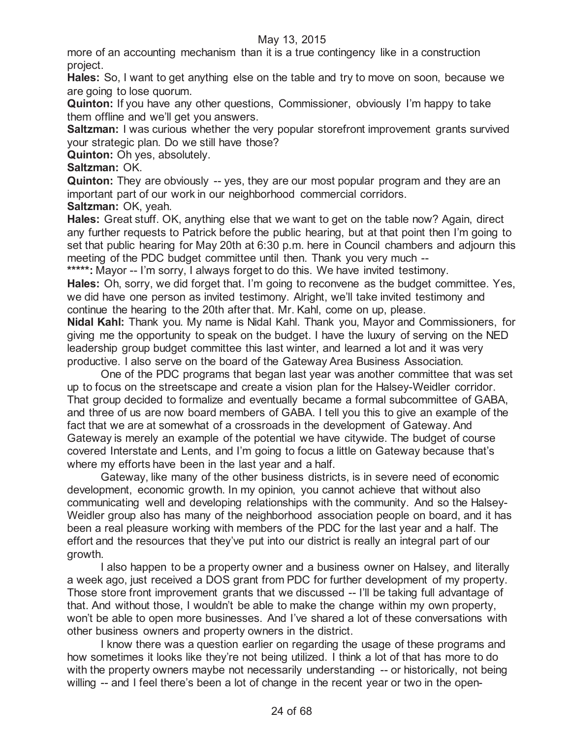more of an accounting mechanism than it is a true contingency like in a construction project.

**Hales:** So, I want to get anything else on the table and try to move on soon, because we are going to lose quorum.

**Quinton:** If you have any other questions, Commissioner, obviously I'm happy to take them offline and we'll get you answers.

**Saltzman:** I was curious whether the very popular storefront improvement grants survived your strategic plan. Do we still have those?

**Quinton:** Oh yes, absolutely.

**Saltzman:** OK.

**Quinton:** They are obviously -- yes, they are our most popular program and they are an important part of our work in our neighborhood commercial corridors.

**Saltzman:** OK, yeah.

**Hales:** Great stuff. OK, anything else that we want to get on the table now? Again, direct any further requests to Patrick before the public hearing, but at that point then I'm going to set that public hearing for May 20th at 6:30 p.m. here in Council chambers and adjourn this meeting of the PDC budget committee until then. Thank you very much --

\*\*\*\*\*: Mayor -- I'm sorry, I always forget to do this. We have invited testimony.

**Hales:** Oh, sorry, we did forget that. I'm going to reconvene as the budget committee. Yes, we did have one person as invited testimony. Alright, we'll take invited testimony and continue the hearing to the 20th after that. Mr. Kahl, come on up, please.

**Nidal Kahl:** Thank you. My name is Nidal Kahl. Thank you, Mayor and Commissioners, for giving me the opportunity to speak on the budget. I have the luxury of serving on the NED leadership group budget committee this last winter, and learned a lot and it was very productive. I also serve on the board of the Gateway Area Business Association.

One of the PDC programs that began last year was another committee that was set up to focus on the streetscape and create a vision plan for the Halsey-Weidler corridor. That group decided to formalize and eventually became a formal subcommittee of GABA, and three of us are now board members of GABA. I tell you this to give an example of the fact that we are at somewhat of a crossroads in the development of Gateway. And Gateway is merely an example of the potential we have citywide. The budget of course covered Interstate and Lents, and I'm going to focus a little on Gateway because that's where my efforts have been in the last year and a half.

Gateway, like many of the other business districts, is in severe need of economic development, economic growth. In my opinion, you cannot achieve that without also communicating well and developing relationships with the community. And so the Halsey-Weidler group also has many of the neighborhood association people on board, and it has been a real pleasure working with members of the PDC for the last year and a half. The effort and the resources that they've put into our district is really an integral part of our growth.

I also happen to be a property owner and a business owner on Halsey, and literally a week ago, just received a DOS grant from PDC for further development of my property. Those store front improvement grants that we discussed -- I'll be taking full advantage of that. And without those, I wouldn't be able to make the change within my own property, won't be able to open more businesses. And I've shared a lot of these conversations with other business owners and property owners in the district.

I know there was a question earlier on regarding the usage of these programs and how sometimes it looks like they're not being utilized. I think a lot of that has more to do with the property owners maybe not necessarily understanding -- or historically, not being willing -- and I feel there's been a lot of change in the recent year or two in the open-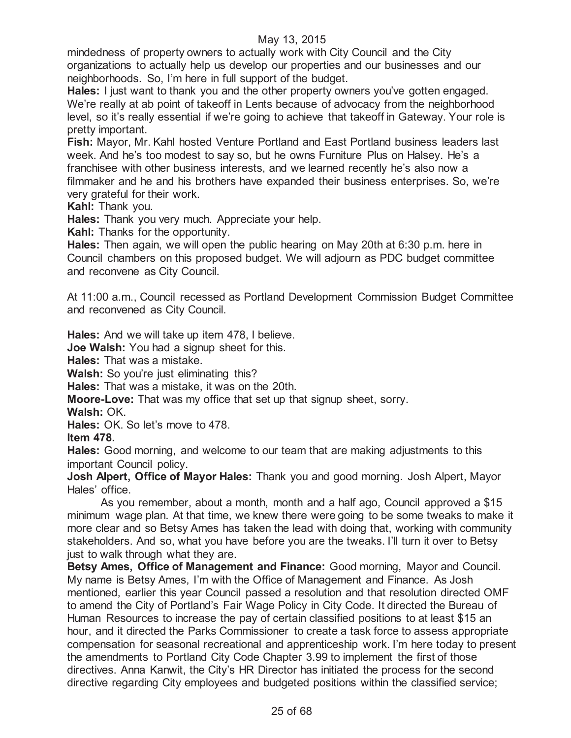mindedness of property owners to actually work with City Council and the City organizations to actually help us develop our properties and our businesses and our neighborhoods. So, I'm here in full support of the budget.

**Hales:** I just want to thank you and the other property owners you've gotten engaged. We're really at ab point of takeoff in Lents because of advocacy from the neighborhood level, so it's really essential if we're going to achieve that takeoff in Gateway. Your role is pretty important.

**Fish:** Mayor, Mr. Kahl hosted Venture Portland and East Portland business leaders last week. And he's too modest to say so, but he owns Furniture Plus on Halsey. He's a franchisee with other business interests, and we learned recently he's also now a filmmaker and he and his brothers have expanded their business enterprises. So, we're very grateful for their work.

**Kahl:** Thank you.

**Hales:** Thank you very much. Appreciate your help.

**Kahl:** Thanks for the opportunity.

**Hales:** Then again, we will open the public hearing on May 20th at 6:30 p.m. here in Council chambers on this proposed budget. We will adjourn as PDC budget committee and reconvene as City Council.

At 11:00 a.m., Council recessed as Portland Development Commission Budget Committee and reconvened as City Council.

**Hales:** And we will take up item 478, I believe.

**Joe Walsh:** You had a signup sheet for this.

**Hales:** That was a mistake.

**Walsh:** So you're just eliminating this?

**Hales:** That was a mistake, it was on the 20th.

**Moore-Love:** That was my office that set up that signup sheet, sorry.

**Walsh:** OK.

**Hales:** OK. So let's move to 478.

**Item 478.**

**Hales:** Good morning, and welcome to our team that are making adjustments to this important Council policy.

**Josh Alpert, Office of Mayor Hales:** Thank you and good morning. Josh Alpert, Mayor Hales' office.

As you remember, about a month, month and a half ago, Council approved a \$15 minimum wage plan. At that time, we knew there were going to be some tweaks to make it more clear and so Betsy Ames has taken the lead with doing that, working with community stakeholders. And so, what you have before you are the tweaks. I'll turn it over to Betsy just to walk through what they are.

**Betsy Ames, Office of Management and Finance:** Good morning, Mayor and Council. My name is Betsy Ames, I'm with the Office of Management and Finance. As Josh mentioned, earlier this year Council passed a resolution and that resolution directed OMF to amend the City of Portland's Fair Wage Policy in City Code. It directed the Bureau of Human Resources to increase the pay of certain classified positions to at least \$15 an hour, and it directed the Parks Commissioner to create a task force to assess appropriate compensation for seasonal recreational and apprenticeship work. I'm here today to present the amendments to Portland City Code Chapter 3.99 to implement the first of those directives. Anna Kanwit, the City's HR Director has initiated the process for the second directive regarding City employees and budgeted positions within the classified service;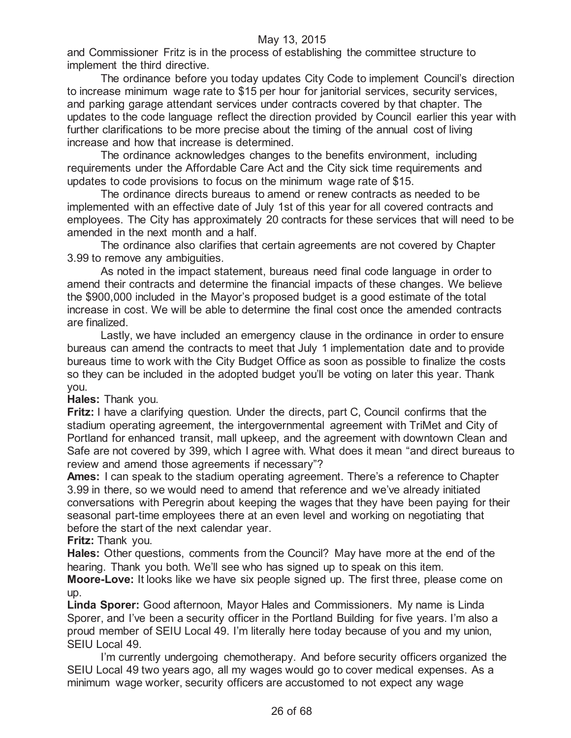and Commissioner Fritz is in the process of establishing the committee structure to implement the third directive.

The ordinance before you today updates City Code to implement Council's direction to increase minimum wage rate to \$15 per hour for janitorial services, security services, and parking garage attendant services under contracts covered by that chapter. The updates to the code language reflect the direction provided by Council earlier this year with further clarifications to be more precise about the timing of the annual cost of living increase and how that increase is determined.

The ordinance acknowledges changes to the benefits environment, including requirements under the Affordable Care Act and the City sick time requirements and updates to code provisions to focus on the minimum wage rate of \$15.

The ordinance directs bureaus to amend or renew contracts as needed to be implemented with an effective date of July 1st of this year for all covered contracts and employees. The City has approximately 20 contracts for these services that will need to be amended in the next month and a half.

The ordinance also clarifies that certain agreements are not covered by Chapter 3.99 to remove any ambiguities.

As noted in the impact statement, bureaus need final code language in order to amend their contracts and determine the financial impacts of these changes. We believe the \$900,000 included in the Mayor's proposed budget is a good estimate of the total increase in cost. We will be able to determine the final cost once the amended contracts are finalized.

Lastly, we have included an emergency clause in the ordinance in order to ensure bureaus can amend the contracts to meet that July 1 implementation date and to provide bureaus time to work with the City Budget Office as soon as possible to finalize the costs so they can be included in the adopted budget you'll be voting on later this year. Thank you.

**Hales:** Thank you.

**Fritz:** I have a clarifying question. Under the directs, part C, Council confirms that the stadium operating agreement, the intergovernmental agreement with TriMet and City of Portland for enhanced transit, mall upkeep, and the agreement with downtown Clean and Safe are not covered by 399, which I agree with. What does it mean "and direct bureaus to review and amend those agreements if necessary"?

**Ames:** I can speak to the stadium operating agreement. There's a reference to Chapter 3.99 in there, so we would need to amend that reference and we've already initiated conversations with Peregrin about keeping the wages that they have been paying for their seasonal part-time employees there at an even level and working on negotiating that before the start of the next calendar year.

**Fritz:** Thank you.

**Hales:** Other questions, comments from the Council? May have more at the end of the hearing. Thank you both. We'll see who has signed up to speak on this item.

**Moore-Love:** It looks like we have six people signed up. The first three, please come on up.

**Linda Sporer:** Good afternoon, Mayor Hales and Commissioners. My name is Linda Sporer, and I've been a security officer in the Portland Building for five years. I'm also a proud member of SEIU Local 49. I'm literally here today because of you and my union, SEIU Local 49.

I'm currently undergoing chemotherapy. And before security officers organized the SEIU Local 49 two years ago, all my wages would go to cover medical expenses. As a minimum wage worker, security officers are accustomed to not expect any wage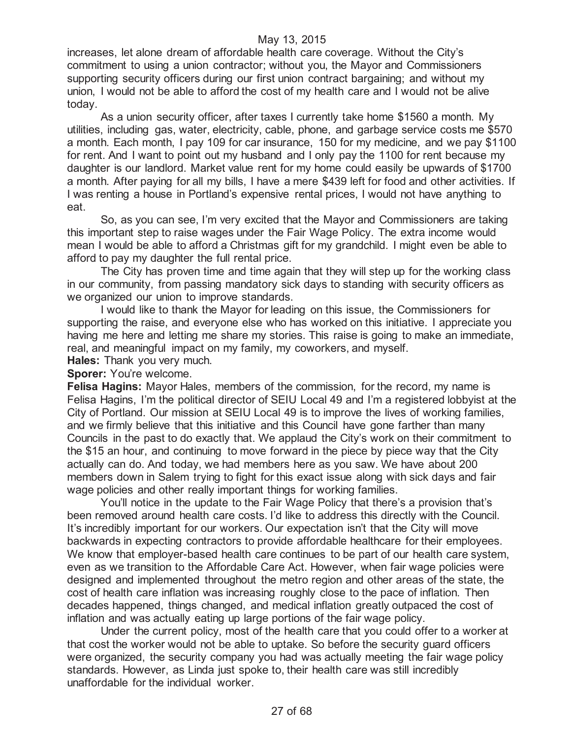increases, let alone dream of affordable health care coverage. Without the City's commitment to using a union contractor; without you, the Mayor and Commissioners supporting security officers during our first union contract bargaining; and without my union, I would not be able to afford the cost of my health care and I would not be alive today.

As a union security officer, after taxes I currently take home \$1560 a month. My utilities, including gas, water, electricity, cable, phone, and garbage service costs me \$570 a month. Each month, I pay 109 for car insurance, 150 for my medicine, and we pay \$1100 for rent. And I want to point out my husband and I only pay the 1100 for rent because my daughter is our landlord. Market value rent for my home could easily be upwards of \$1700 a month. After paying for all my bills, I have a mere \$439 left for food and other activities. If I was renting a house in Portland's expensive rental prices, I would not have anything to eat.

So, as you can see, I'm very excited that the Mayor and Commissioners are taking this important step to raise wages under the Fair Wage Policy. The extra income would mean I would be able to afford a Christmas gift for my grandchild. I might even be able to afford to pay my daughter the full rental price.

The City has proven time and time again that they will step up for the working class in our community, from passing mandatory sick days to standing with security officers as we organized our union to improve standards.

I would like to thank the Mayor for leading on this issue, the Commissioners for supporting the raise, and everyone else who has worked on this initiative. I appreciate you having me here and letting me share my stories. This raise is going to make an immediate, real, and meaningful impact on my family, my coworkers, and myself.

**Hales:** Thank you very much.

Sporer: You're welcome.

**Felisa Hagins:** Mayor Hales, members of the commission, for the record, my name is Felisa Hagins, I'm the political director of SEIU Local 49 and I'm a registered lobbyist at the City of Portland. Our mission at SEIU Local 49 is to improve the lives of working families, and we firmly believe that this initiative and this Council have gone farther than many Councils in the past to do exactly that. We applaud the City's work on their commitment to the \$15 an hour, and continuing to move forward in the piece by piece way that the City actually can do. And today, we had members here as you saw. We have about 200 members down in Salem trying to fight for this exact issue along with sick days and fair wage policies and other really important things for working families.

You'll notice in the update to the Fair Wage Policy that there's a provision that's been removed around health care costs. I'd like to address this directly with the Council. It's incredibly important for our workers. Our expectation isn't that the City will move backwards in expecting contractors to provide affordable healthcare for their employees. We know that employer-based health care continues to be part of our health care system, even as we transition to the Affordable Care Act. However, when fair wage policies were designed and implemented throughout the metro region and other areas of the state, the cost of health care inflation was increasing roughly close to the pace of inflation. Then decades happened, things changed, and medical inflation greatly outpaced the cost of inflation and was actually eating up large portions of the fair wage policy.

Under the current policy, most of the health care that you could offer to a worker at that cost the worker would not be able to uptake. So before the security guard officers were organized, the security company you had was actually meeting the fair wage policy standards. However, as Linda just spoke to, their health care was still incredibly unaffordable for the individual worker.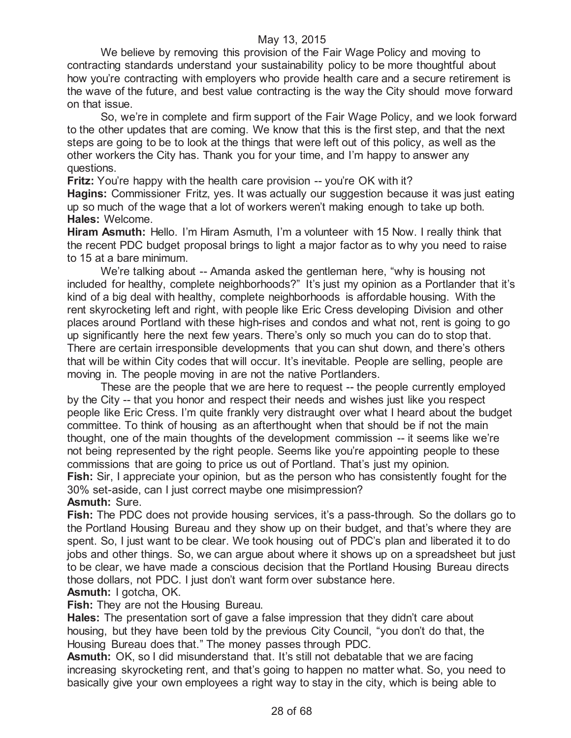We believe by removing this provision of the Fair Wage Policy and moving to contracting standards understand your sustainability policy to be more thoughtful about how you're contracting with employers who provide health care and a secure retirement is the wave of the future, and best value contracting is the way the City should move forward on that issue.

So, we're in complete and firm support of the Fair Wage Policy, and we look forward to the other updates that are coming. We know that this is the first step, and that the next steps are going to be to look at the things that were left out of this policy, as well as the other workers the City has. Thank you for your time, and I'm happy to answer any questions.

**Fritz:** You're happy with the health care provision -- you're OK with it?

**Hagins:** Commissioner Fritz, yes. It was actually our suggestion because it was just eating up so much of the wage that a lot of workers weren't making enough to take up both. **Hales:** Welcome.

**Hiram Asmuth:** Hello. I'm Hiram Asmuth, I'm a volunteer with 15 Now. I really think that the recent PDC budget proposal brings to light a major factor as to why you need to raise to 15 at a bare minimum.

We're talking about -- Amanda asked the gentleman here, "why is housing not included for healthy, complete neighborhoods?" It's just my opinion as a Portlander that it's kind of a big deal with healthy, complete neighborhoods is affordable housing. With the rent skyrocketing left and right, with people like Eric Cress developing Division and other places around Portland with these high-rises and condos and what not, rent is going to go up significantly here the next few years. There's only so much you can do to stop that. There are certain irresponsible developments that you can shut down, and there's others that will be within City codes that will occur. It's inevitable. People are selling, people are moving in. The people moving in are not the native Portlanders.

These are the people that we are here to request -- the people currently employed by the City -- that you honor and respect their needs and wishes just like you respect people like Eric Cress. I'm quite frankly very distraught over what I heard about the budget committee. To think of housing as an afterthought when that should be if not the main thought, one of the main thoughts of the development commission -- it seems like we're not being represented by the right people. Seems like you're appointing people to these commissions that are going to price us out of Portland. That's just my opinion. **Fish:** Sir, I appreciate your opinion, but as the person who has consistently fought for the 30% set-aside, can I just correct maybe one misimpression?

**Asmuth:** Sure.

**Fish:** The PDC does not provide housing services, it's a pass-through. So the dollars go to the Portland Housing Bureau and they show up on their budget, and that's where they are spent. So, I just want to be clear. We took housing out of PDC's plan and liberated it to do jobs and other things. So, we can argue about where it shows up on a spreadsheet but just to be clear, we have made a conscious decision that the Portland Housing Bureau directs those dollars, not PDC. I just don't want form over substance here.

#### **Asmuth:** I gotcha, OK.

**Fish:** They are not the Housing Bureau.

**Hales:** The presentation sort of gave a false impression that they didn't care about housing, but they have been told by the previous City Council, "you don't do that, the Housing Bureau does that." The money passes through PDC.

**Asmuth:** OK, so I did misunderstand that. It's still not debatable that we are facing increasing skyrocketing rent, and that's going to happen no matter what. So, you need to basically give your own employees a right way to stay in the city, which is being able to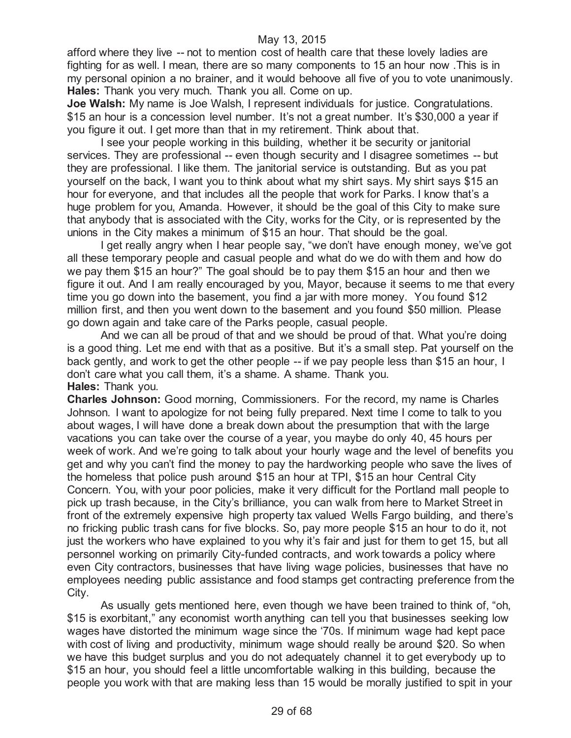afford where they live -- not to mention cost of health care that these lovely ladies are fighting for as well. I mean, there are so many components to 15 an hour now .This is in my personal opinion a no brainer, and it would behoove all five of you to vote unanimously. **Hales:** Thank you very much. Thank you all. Come on up.

**Joe Walsh:** My name is Joe Walsh, I represent individuals for justice. Congratulations. \$15 an hour is a concession level number. It's not a great number. It's \$30,000 a year if you figure it out. I get more than that in my retirement. Think about that.

I see your people working in this building, whether it be security or janitorial services. They are professional -- even though security and I disagree sometimes -- but they are professional. I like them. The janitorial service is outstanding. But as you pat yourself on the back, I want you to think about what my shirt says. My shirt says \$15 an hour for everyone, and that includes all the people that work for Parks. I know that's a huge problem for you, Amanda. However, it should be the goal of this City to make sure that anybody that is associated with the City, works for the City, or is represented by the unions in the City makes a minimum of \$15 an hour. That should be the goal.

I get really angry when I hear people say, "we don't have enough money, we've got all these temporary people and casual people and what do we do with them and how do we pay them \$15 an hour?" The goal should be to pay them \$15 an hour and then we figure it out. And I am really encouraged by you, Mayor, because it seems to me that every time you go down into the basement, you find a jar with more money. You found \$12 million first, and then you went down to the basement and you found \$50 million. Please go down again and take care of the Parks people, casual people.

And we can all be proud of that and we should be proud of that. What you're doing is a good thing. Let me end with that as a positive. But it's a small step. Pat yourself on the back gently, and work to get the other people -- if we pay people less than \$15 an hour, I don't care what you call them, it's a shame. A shame. Thank you. **Hales:** Thank you.

**Charles Johnson:** Good morning, Commissioners. For the record, my name is Charles Johnson. I want to apologize for not being fully prepared. Next time I come to talk to you about wages, I will have done a break down about the presumption that with the large vacations you can take over the course of a year, you maybe do only 40, 45 hours per week of work. And we're going to talk about your hourly wage and the level of benefits you get and why you can't find the money to pay the hardworking people who save the lives of the homeless that police push around \$15 an hour at TPI, \$15 an hour Central City Concern. You, with your poor policies, make it very difficult for the Portland mall people to pick up trash because, in the City's brilliance, you can walk from here to Market Street in front of the extremely expensive high property tax valued Wells Fargo building, and there's no fricking public trash cans for five blocks. So, pay more people \$15 an hour to do it, not just the workers who have explained to you why it's fair and just for them to get 15, but all personnel working on primarily City-funded contracts, and work towards a policy where even City contractors, businesses that have living wage policies, businesses that have no employees needing public assistance and food stamps get contracting preference from the City.

As usually gets mentioned here, even though we have been trained to think of, "oh, \$15 is exorbitant," any economist worth anything can tell you that businesses seeking low wages have distorted the minimum wage since the '70s. If minimum wage had kept pace with cost of living and productivity, minimum wage should really be around \$20. So when we have this budget surplus and you do not adequately channel it to get everybody up to \$15 an hour, you should feel a little uncomfortable walking in this building, because the people you work with that are making less than 15 would be morally justified to spit in your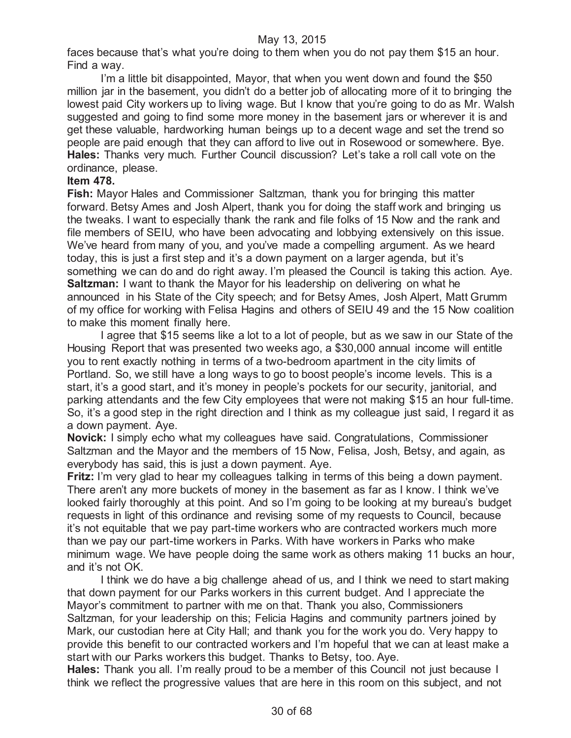faces because that's what you're doing to them when you do not pay them \$15 an hour. Find a way.

I'm a little bit disappointed, Mayor, that when you went down and found the \$50 million jar in the basement, you didn't do a better job of allocating more of it to bringing the lowest paid City workers up to living wage. But I know that you're going to do as Mr. Walsh suggested and going to find some more money in the basement jars or wherever it is and get these valuable, hardworking human beings up to a decent wage and set the trend so people are paid enough that they can afford to live out in Rosewood or somewhere. Bye. **Hales:** Thanks very much. Further Council discussion? Let's take a roll call vote on the ordinance, please.

# **Item 478.**

**Fish:** Mayor Hales and Commissioner Saltzman, thank you for bringing this matter forward. Betsy Ames and Josh Alpert, thank you for doing the staff work and bringing us the tweaks. I want to especially thank the rank and file folks of 15 Now and the rank and file members of SEIU, who have been advocating and lobbying extensively on this issue. We've heard from many of you, and you've made a compelling argument. As we heard today, this is just a first step and it's a down payment on a larger agenda, but it's something we can do and do right away. I'm pleased the Council is taking this action. Aye. **Saltzman:** I want to thank the Mayor for his leadership on delivering on what he announced in his State of the City speech; and for Betsy Ames, Josh Alpert, Matt Grumm of my office for working with Felisa Hagins and others of SEIU 49 and the 15 Now coalition to make this moment finally here.

I agree that \$15 seems like a lot to a lot of people, but as we saw in our State of the Housing Report that was presented two weeks ago, a \$30,000 annual income will entitle you to rent exactly nothing in terms of a two-bedroom apartment in the city limits of Portland. So, we still have a long ways to go to boost people's income levels. This is a start, it's a good start, and it's money in people's pockets for our security, janitorial, and parking attendants and the few City employees that were not making \$15 an hour full-time. So, it's a good step in the right direction and I think as my colleague just said, I regard it as a down payment. Aye.

**Novick:** I simply echo what my colleagues have said. Congratulations, Commissioner Saltzman and the Mayor and the members of 15 Now, Felisa, Josh, Betsy, and again, as everybody has said, this is just a down payment. Aye.

**Fritz:** I'm very glad to hear my colleagues talking in terms of this being a down payment. There aren't any more buckets of money in the basement as far as I know. I think we've looked fairly thoroughly at this point. And so I'm going to be looking at my bureau's budget requests in light of this ordinance and revising some of my requests to Council, because it's not equitable that we pay part-time workers who are contracted workers much more than we pay our part-time workers in Parks. With have workers in Parks who make minimum wage. We have people doing the same work as others making 11 bucks an hour, and it's not OK.

I think we do have a big challenge ahead of us, and I think we need to start making that down payment for our Parks workers in this current budget. And I appreciate the Mayor's commitment to partner with me on that. Thank you also, Commissioners Saltzman, for your leadership on this; Felicia Hagins and community partners joined by Mark, our custodian here at City Hall; and thank you for the work you do. Very happy to provide this benefit to our contracted workers and I'm hopeful that we can at least make a start with our Parks workers this budget. Thanks to Betsy, too. Aye.

**Hales:** Thank you all. I'm really proud to be a member of this Council not just because I think we reflect the progressive values that are here in this room on this subject, and not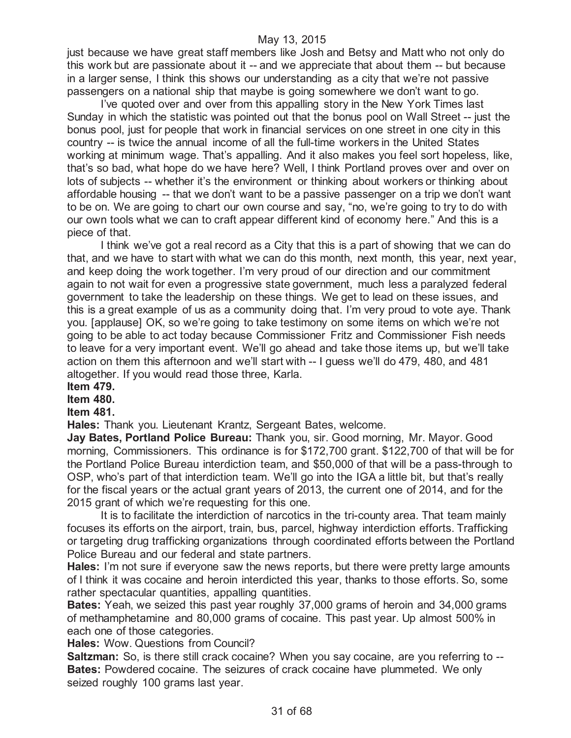just because we have great staff members like Josh and Betsy and Matt who not only do this work but are passionate about it -- and we appreciate that about them -- but because in a larger sense, I think this shows our understanding as a city that we're not passive passengers on a national ship that maybe is going somewhere we don't want to go.

I've quoted over and over from this appalling story in the New York Times last Sunday in which the statistic was pointed out that the bonus pool on Wall Street -- just the bonus pool, just for people that work in financial services on one street in one city in this country -- is twice the annual income of all the full-time workers in the United States working at minimum wage. That's appalling. And it also makes you feel sort hopeless, like, that's so bad, what hope do we have here? Well, I think Portland proves over and over on lots of subjects -- whether it's the environment or thinking about workers or thinking about affordable housing -- that we don't want to be a passive passenger on a trip we don't want to be on. We are going to chart our own course and say, "no, we're going to try to do with our own tools what we can to craft appear different kind of economy here." And this is a piece of that.

I think we've got a real record as a City that this is a part of showing that we can do that, and we have to start with what we can do this month, next month, this year, next year, and keep doing the work together. I'm very proud of our direction and our commitment again to not wait for even a progressive state government, much less a paralyzed federal government to take the leadership on these things. We get to lead on these issues, and this is a great example of us as a community doing that. I'm very proud to vote aye. Thank you. [applause] OK, so we're going to take testimony on some items on which we're not going to be able to act today because Commissioner Fritz and Commissioner Fish needs to leave for a very important event. We'll go ahead and take those items up, but we'll take action on them this afternoon and we'll start with -- I guess we'll do 479, 480, and 481 altogether. If you would read those three, Karla.

# **Item 479.**

# **Item 480.**

# **Item 481.**

**Hales:** Thank you. Lieutenant Krantz, Sergeant Bates, welcome.

**Jay Bates, Portland Police Bureau:** Thank you, sir. Good morning, Mr. Mayor. Good morning, Commissioners. This ordinance is for \$172,700 grant. \$122,700 of that will be for the Portland Police Bureau interdiction team, and \$50,000 of that will be a pass-through to OSP, who's part of that interdiction team. We'll go into the IGA a little bit, but that's really for the fiscal years or the actual grant years of 2013, the current one of 2014, and for the 2015 grant of which we're requesting for this one.

It is to facilitate the interdiction of narcotics in the tri-county area. That team mainly focuses its efforts on the airport, train, bus, parcel, highway interdiction efforts. Trafficking or targeting drug trafficking organizations through coordinated efforts between the Portland Police Bureau and our federal and state partners.

**Hales:** I'm not sure if everyone saw the news reports, but there were pretty large amounts of I think it was cocaine and heroin interdicted this year, thanks to those efforts. So, some rather spectacular quantities, appalling quantities.

**Bates:** Yeah, we seized this past year roughly 37,000 grams of heroin and 34,000 grams of methamphetamine and 80,000 grams of cocaine. This past year. Up almost 500% in each one of those categories.

**Hales:** Wow. Questions from Council?

**Saltzman:** So, is there still crack cocaine? When you say cocaine, are you referring to --**Bates:** Powdered cocaine. The seizures of crack cocaine have plummeted. We only seized roughly 100 grams last year.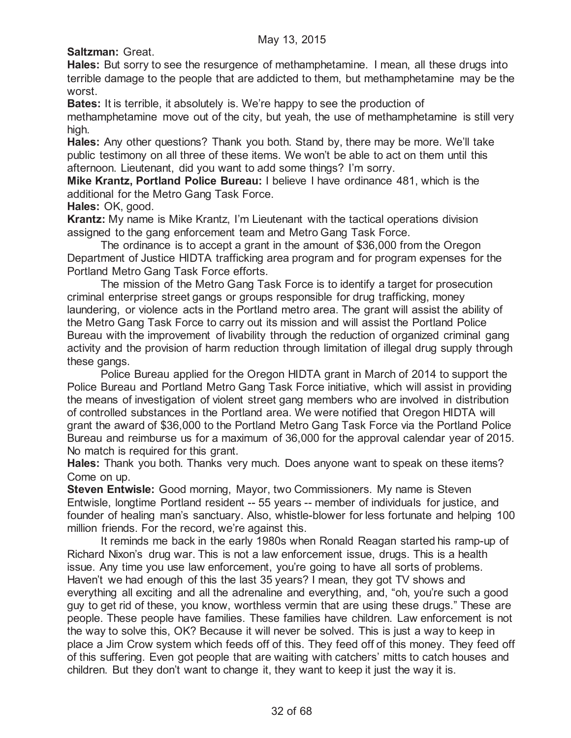**Saltzman:** Great.

**Hales:** But sorry to see the resurgence of methamphetamine. I mean, all these drugs into terrible damage to the people that are addicted to them, but methamphetamine may be the worst.

**Bates:** It is terrible, it absolutely is. We're happy to see the production of

methamphetamine move out of the city, but yeah, the use of methamphetamine is still very high.

**Hales:** Any other questions? Thank you both. Stand by, there may be more. We'll take public testimony on all three of these items. We won't be able to act on them until this afternoon. Lieutenant, did you want to add some things? I'm sorry.

**Mike Krantz, Portland Police Bureau:** I believe I have ordinance 481, which is the additional for the Metro Gang Task Force.

**Hales:** OK, good.

**Krantz:** My name is Mike Krantz, I'm Lieutenant with the tactical operations division assigned to the gang enforcement team and Metro Gang Task Force.

The ordinance is to accept a grant in the amount of \$36,000 from the Oregon Department of Justice HIDTA trafficking area program and for program expenses for the Portland Metro Gang Task Force efforts.

The mission of the Metro Gang Task Force is to identify a target for prosecution criminal enterprise street gangs or groups responsible for drug trafficking, money laundering, or violence acts in the Portland metro area. The grant will assist the ability of the Metro Gang Task Force to carry out its mission and will assist the Portland Police Bureau with the improvement of livability through the reduction of organized criminal gang activity and the provision of harm reduction through limitation of illegal drug supply through these gangs.

Police Bureau applied for the Oregon HIDTA grant in March of 2014 to support the Police Bureau and Portland Metro Gang Task Force initiative, which will assist in providing the means of investigation of violent street gang members who are involved in distribution of controlled substances in the Portland area. We were notified that Oregon HIDTA will grant the award of \$36,000 to the Portland Metro Gang Task Force via the Portland Police Bureau and reimburse us for a maximum of 36,000 for the approval calendar year of 2015. No match is required for this grant.

**Hales:** Thank you both. Thanks very much. Does anyone want to speak on these items? Come on up.

**Steven Entwisle:** Good morning, Mayor, two Commissioners. My name is Steven Entwisle, longtime Portland resident -- 55 years -- member of individuals for justice, and founder of healing man's sanctuary. Also, whistle-blower for less fortunate and helping 100 million friends. For the record, we're against this.

It reminds me back in the early 1980s when Ronald Reagan started his ramp-up of Richard Nixon's drug war. This is not a law enforcement issue, drugs. This is a health issue. Any time you use law enforcement, you're going to have all sorts of problems. Haven't we had enough of this the last 35 years? I mean, they got TV shows and everything all exciting and all the adrenaline and everything, and, "oh, you're such a good guy to get rid of these, you know, worthless vermin that are using these drugs." These are people. These people have families. These families have children. Law enforcement is not the way to solve this, OK? Because it will never be solved. This is just a way to keep in place a Jim Crow system which feeds off of this. They feed off of this money. They feed off of this suffering. Even got people that are waiting with catchers' mitts to catch houses and children. But they don't want to change it, they want to keep it just the way it is.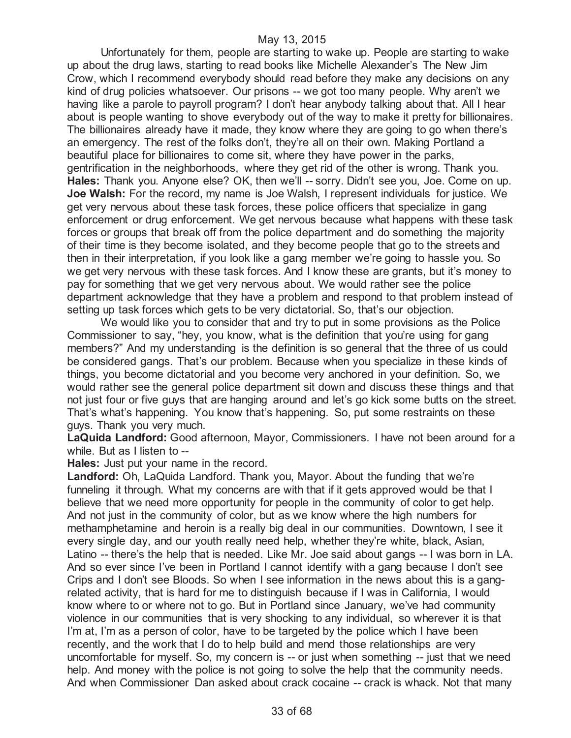Unfortunately for them, people are starting to wake up. People are starting to wake up about the drug laws, starting to read books like Michelle Alexander's The New Jim Crow, which I recommend everybody should read before they make any decisions on any kind of drug policies whatsoever. Our prisons -- we got too many people. Why aren't we having like a parole to payroll program? I don't hear anybody talking about that. All I hear about is people wanting to shove everybody out of the way to make it pretty for billionaires. The billionaires already have it made, they know where they are going to go when there's an emergency. The rest of the folks don't, they're all on their own. Making Portland a beautiful place for billionaires to come sit, where they have power in the parks, gentrification in the neighborhoods, where they get rid of the other is wrong. Thank you. Hales: Thank you. Anyone else? OK, then we'll -- sorry. Didn't see you, Joe. Come on up. **Joe Walsh:** For the record, my name is Joe Walsh, I represent individuals for justice. We get very nervous about these task forces, these police officers that specialize in gang enforcement or drug enforcement. We get nervous because what happens with these task forces or groups that break off from the police department and do something the majority of their time is they become isolated, and they become people that go to the streets and then in their interpretation, if you look like a gang member we're going to hassle you. So we get very nervous with these task forces. And I know these are grants, but it's money to pay for something that we get very nervous about. We would rather see the police department acknowledge that they have a problem and respond to that problem instead of setting up task forces which gets to be very dictatorial. So, that's our objection.

We would like you to consider that and try to put in some provisions as the Police Commissioner to say, "hey, you know, what is the definition that you're using for gang members?" And my understanding is the definition is so general that the three of us could be considered gangs. That's our problem. Because when you specialize in these kinds of things, you become dictatorial and you become very anchored in your definition. So, we would rather see the general police department sit down and discuss these things and that not just four or five guys that are hanging around and let's go kick some butts on the street. That's what's happening. You know that's happening. So, put some restraints on these guys. Thank you very much.

**LaQuida Landford:** Good afternoon, Mayor, Commissioners. I have not been around for a while. But as I listen to --

**Hales:** Just put your name in the record.

**Landford:** Oh, LaQuida Landford. Thank you, Mayor. About the funding that we're funneling it through. What my concerns are with that if it gets approved would be that I believe that we need more opportunity for people in the community of color to get help. And not just in the community of color, but as we know where the high numbers for methamphetamine and heroin is a really big deal in our communities. Downtown, I see it every single day, and our youth really need help, whether they're white, black, Asian, Latino -- there's the help that is needed. Like Mr. Joe said about gangs -- I was born in LA. And so ever since I've been in Portland I cannot identify with a gang because I don't see Crips and I don't see Bloods. So when I see information in the news about this is a gangrelated activity, that is hard for me to distinguish because if I was in California, I would know where to or where not to go. But in Portland since January, we've had community violence in our communities that is very shocking to any individual, so wherever it is that I'm at, I'm as a person of color, have to be targeted by the police which I have been recently, and the work that I do to help build and mend those relationships are very uncomfortable for myself. So, my concern is -- or just when something -- just that we need help. And money with the police is not going to solve the help that the community needs. And when Commissioner Dan asked about crack cocaine -- crack is whack. Not that many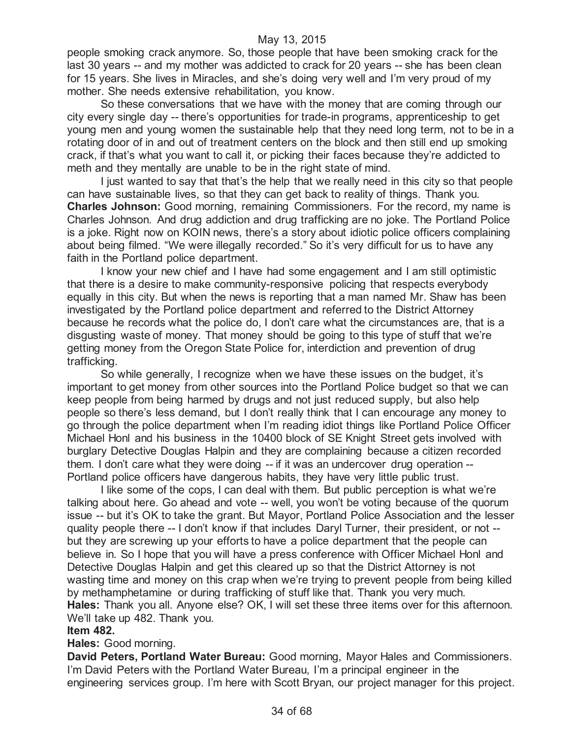people smoking crack anymore. So, those people that have been smoking crack for the last 30 years -- and my mother was addicted to crack for 20 years -- she has been clean for 15 years. She lives in Miracles, and she's doing very well and I'm very proud of my mother. She needs extensive rehabilitation, you know.

So these conversations that we have with the money that are coming through our city every single day -- there's opportunities for trade-in programs, apprenticeship to get young men and young women the sustainable help that they need long term, not to be in a rotating door of in and out of treatment centers on the block and then still end up smoking crack, if that's what you want to call it, or picking their faces because they're addicted to meth and they mentally are unable to be in the right state of mind.

I just wanted to say that that's the help that we really need in this city so that people can have sustainable lives, so that they can get back to reality of things. Thank you. **Charles Johnson:** Good morning, remaining Commissioners. For the record, my name is Charles Johnson. And drug addiction and drug trafficking are no joke. The Portland Police is a joke. Right now on KOIN news, there's a story about idiotic police officers complaining about being filmed. "We were illegally recorded." So it's very difficult for us to have any faith in the Portland police department.

I know your new chief and I have had some engagement and I am still optimistic that there is a desire to make community-responsive policing that respects everybody equally in this city. But when the news is reporting that a man named Mr. Shaw has been investigated by the Portland police department and referred to the District Attorney because he records what the police do, I don't care what the circumstances are, that is a disgusting waste of money. That money should be going to this type of stuff that we're getting money from the Oregon State Police for, interdiction and prevention of drug trafficking.

So while generally, I recognize when we have these issues on the budget, it's important to get money from other sources into the Portland Police budget so that we can keep people from being harmed by drugs and not just reduced supply, but also help people so there's less demand, but I don't really think that I can encourage any money to go through the police department when I'm reading idiot things like Portland Police Officer Michael Honl and his business in the 10400 block of SE Knight Street gets involved with burglary Detective Douglas Halpin and they are complaining because a citizen recorded them. I don't care what they were doing -- if it was an undercover drug operation -- Portland police officers have dangerous habits, they have very little public trust.

I like some of the cops, I can deal with them. But public perception is what we're talking about here. Go ahead and vote -- well, you won't be voting because of the quorum issue -- but it's OK to take the grant. But Mayor, Portland Police Association and the lesser quality people there -- I don't know if that includes Daryl Turner, their president, or not - but they are screwing up your efforts to have a police department that the people can believe in. So I hope that you will have a press conference with Officer Michael Honl and Detective Douglas Halpin and get this cleared up so that the District Attorney is not wasting time and money on this crap when we're trying to prevent people from being killed by methamphetamine or during trafficking of stuff like that. Thank you very much. **Hales:** Thank you all. Anyone else? OK, I will set these three items over for this afternoon. We'll take up 482. Thank you.

#### **Item 482.**

#### **Hales:** Good morning.

**David Peters, Portland Water Bureau:** Good morning, Mayor Hales and Commissioners. I'm David Peters with the Portland Water Bureau, I'm a principal engineer in the engineering services group. I'm here with Scott Bryan, our project manager for this project.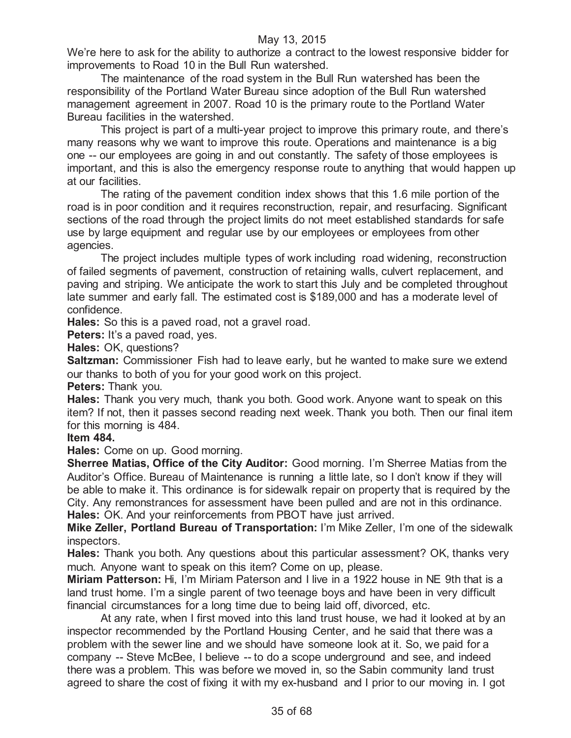We're here to ask for the ability to authorize a contract to the lowest responsive bidder for improvements to Road 10 in the Bull Run watershed.

The maintenance of the road system in the Bull Run watershed has been the responsibility of the Portland Water Bureau since adoption of the Bull Run watershed management agreement in 2007. Road 10 is the primary route to the Portland Water Bureau facilities in the watershed.

This project is part of a multi-year project to improve this primary route, and there's many reasons why we want to improve this route. Operations and maintenance is a big one -- our employees are going in and out constantly. The safety of those employees is important, and this is also the emergency response route to anything that would happen up at our facilities.

The rating of the pavement condition index shows that this 1.6 mile portion of the road is in poor condition and it requires reconstruction, repair, and resurfacing. Significant sections of the road through the project limits do not meet established standards for safe use by large equipment and regular use by our employees or employees from other agencies.

The project includes multiple types of work including road widening, reconstruction of failed segments of pavement, construction of retaining walls, culvert replacement, and paving and striping. We anticipate the work to start this July and be completed throughout late summer and early fall. The estimated cost is \$189,000 and has a moderate level of confidence.

**Hales:** So this is a paved road, not a gravel road.

**Peters:** It's a paved road, yes.

**Hales:** OK, questions?

**Saltzman:** Commissioner Fish had to leave early, but he wanted to make sure we extend our thanks to both of you for your good work on this project.

**Peters:** Thank you.

**Hales:** Thank you very much, thank you both. Good work. Anyone want to speak on this item? If not, then it passes second reading next week. Thank you both. Then our final item for this morning is 484.

#### **Item 484.**

**Hales:** Come on up. Good morning.

**Sherree Matias, Office of the City Auditor:** Good morning. I'm Sherree Matias from the Auditor's Office. Bureau of Maintenance is running a little late, so I don't know if they will be able to make it. This ordinance is for sidewalk repair on property that is required by the City. Any remonstrances for assessment have been pulled and are not in this ordinance. **Hales:** OK. And your reinforcements from PBOT have just arrived.

**Mike Zeller, Portland Bureau of Transportation:** I'm Mike Zeller, I'm one of the sidewalk inspectors.

**Hales:** Thank you both. Any questions about this particular assessment? OK, thanks very much. Anyone want to speak on this item? Come on up, please.

**Miriam Patterson:** Hi, I'm Miriam Paterson and I live in a 1922 house in NE 9th that is a land trust home. I'm a single parent of two teenage boys and have been in very difficult financial circumstances for a long time due to being laid off, divorced, etc.

At any rate, when I first moved into this land trust house, we had it looked at by an inspector recommended by the Portland Housing Center, and he said that there was a problem with the sewer line and we should have someone look at it. So, we paid for a company -- Steve McBee, I believe -- to do a scope underground and see, and indeed there was a problem. This was before we moved in, so the Sabin community land trust agreed to share the cost of fixing it with my ex-husband and I prior to our moving in. I got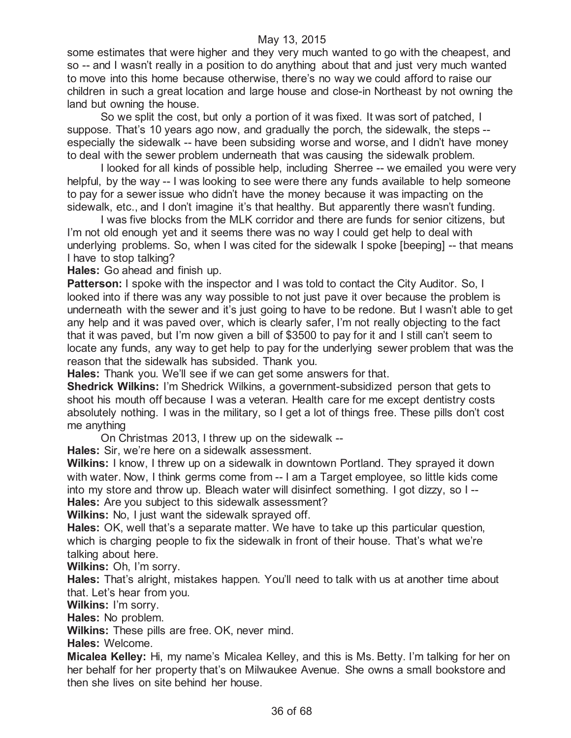some estimates that were higher and they very much wanted to go with the cheapest, and so -- and I wasn't really in a position to do anything about that and just very much wanted to move into this home because otherwise, there's no way we could afford to raise our children in such a great location and large house and close-in Northeast by not owning the land but owning the house.

So we split the cost, but only a portion of it was fixed. It was sort of patched, I suppose. That's 10 years ago now, and gradually the porch, the sidewalk, the steps - especially the sidewalk -- have been subsiding worse and worse, and I didn't have money to deal with the sewer problem underneath that was causing the sidewalk problem.

I looked for all kinds of possible help, including Sherree -- we emailed you were very helpful, by the way -- I was looking to see were there any funds available to help someone to pay for a sewer issue who didn't have the money because it was impacting on the sidewalk, etc., and I don't imagine it's that healthy. But apparently there wasn't funding.

I was five blocks from the MLK corridor and there are funds for senior citizens, but I'm not old enough yet and it seems there was no way I could get help to deal with underlying problems. So, when I was cited for the sidewalk I spoke [beeping] -- that means I have to stop talking?

**Hales:** Go ahead and finish up.

**Patterson:** I spoke with the inspector and I was told to contact the City Auditor. So, I looked into if there was any way possible to not just pave it over because the problem is underneath with the sewer and it's just going to have to be redone. But I wasn't able to get any help and it was paved over, which is clearly safer, I'm not really objecting to the fact that it was paved, but I'm now given a bill of \$3500 to pay for it and I still can't seem to locate any funds, any way to get help to pay for the underlying sewer problem that was the reason that the sidewalk has subsided. Thank you.

**Hales:** Thank you. We'll see if we can get some answers for that.

**Shedrick Wilkins:** I'm Shedrick Wilkins, a government-subsidized person that gets to shoot his mouth off because I was a veteran. Health care for me except dentistry costs absolutely nothing. I was in the military, so I get a lot of things free. These pills don't cost me anything

On Christmas 2013, I threw up on the sidewalk --

**Hales:** Sir, we're here on a sidewalk assessment.

**Wilkins:** I know, I threw up on a sidewalk in downtown Portland. They sprayed it down with water. Now, I think germs come from -- I am a Target employee, so little kids come into my store and throw up. Bleach water will disinfect something. I got dizzy, so I -- **Hales:** Are you subject to this sidewalk assessment?

**Wilkins:** No, I just want the sidewalk sprayed off.

**Hales:** OK, well that's a separate matter. We have to take up this particular question, which is charging people to fix the sidewalk in front of their house. That's what we're talking about here.

**Wilkins:** Oh, I'm sorry.

**Hales:** That's alright, mistakes happen. You'll need to talk with us at another time about that. Let's hear from you.

**Wilkins:** I'm sorry.

**Hales:** No problem.

**Wilkins:** These pills are free. OK, never mind.

**Hales:** Welcome.

**Micalea Kelley:** Hi, my name's Micalea Kelley, and this is Ms. Betty. I'm talking for her on her behalf for her property that's on Milwaukee Avenue. She owns a small bookstore and then she lives on site behind her house.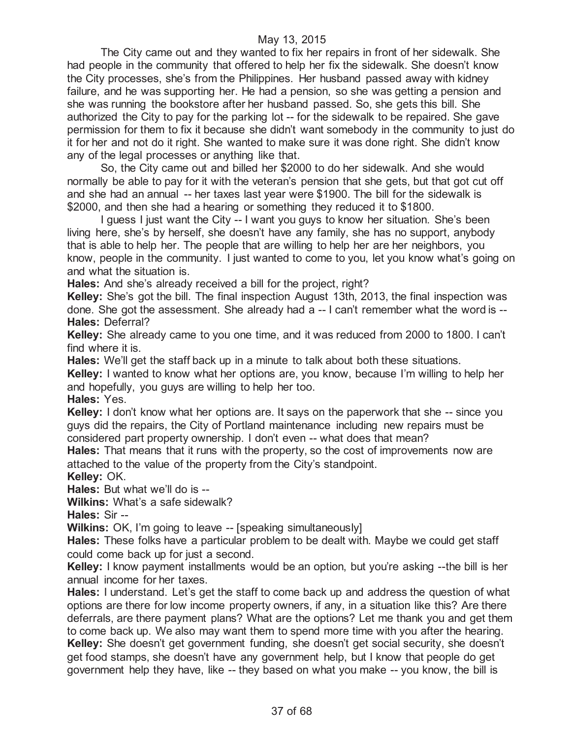The City came out and they wanted to fix her repairs in front of her sidewalk. She had people in the community that offered to help her fix the sidewalk. She doesn't know the City processes, she's from the Philippines. Her husband passed away with kidney failure, and he was supporting her. He had a pension, so she was getting a pension and she was running the bookstore after her husband passed. So, she gets this bill. She authorized the City to pay for the parking lot -- for the sidewalk to be repaired. She gave permission for them to fix it because she didn't want somebody in the community to just do it for her and not do it right. She wanted to make sure it was done right. She didn't know any of the legal processes or anything like that.

So, the City came out and billed her \$2000 to do her sidewalk. And she would normally be able to pay for it with the veteran's pension that she gets, but that got cut off and she had an annual -- her taxes last year were \$1900. The bill for the sidewalk is \$2000, and then she had a hearing or something they reduced it to \$1800.

I guess I just want the City -- I want you guys to know her situation. She's been living here, she's by herself, she doesn't have any family, she has no support, anybody that is able to help her. The people that are willing to help her are her neighbors, you know, people in the community. I just wanted to come to you, let you know what's going on and what the situation is.

**Hales:** And she's already received a bill for the project, right?

**Kelley:** She's got the bill. The final inspection August 13th, 2013, the final inspection was done. She got the assessment. She already had a -- I can't remember what the word is -- **Hales:** Deferral?

**Kelley:** She already came to you one time, and it was reduced from 2000 to 1800. I can't find where it is.

**Hales:** We'll get the staff back up in a minute to talk about both these situations.

**Kelley:** I wanted to know what her options are, you know, because I'm willing to help her and hopefully, you guys are willing to help her too.

**Hales:** Yes.

**Kelley:** I don't know what her options are. It says on the paperwork that she -- since you guys did the repairs, the City of Portland maintenance including new repairs must be considered part property ownership. I don't even -- what does that mean?

**Hales:** That means that it runs with the property, so the cost of improvements now are attached to the value of the property from the City's standpoint.

#### **Kelley:** OK.

**Hales:** But what we'll do is --

**Wilkins:** What's a safe sidewalk?

**Hales:** Sir --

**Wilkins:** OK, I'm going to leave -- [speaking simultaneously]

**Hales:** These folks have a particular problem to be dealt with. Maybe we could get staff could come back up for just a second.

**Kelley:** I know payment installments would be an option, but you're asking --the bill is her annual income for her taxes.

**Hales:** I understand. Let's get the staff to come back up and address the question of what options are there for low income property owners, if any, in a situation like this? Are there deferrals, are there payment plans? What are the options? Let me thank you and get them to come back up. We also may want them to spend more time with you after the hearing. **Kelley:** She doesn't get government funding, she doesn't get social security, she doesn't get food stamps, she doesn't have any government help, but I know that people do get government help they have, like -- they based on what you make -- you know, the bill is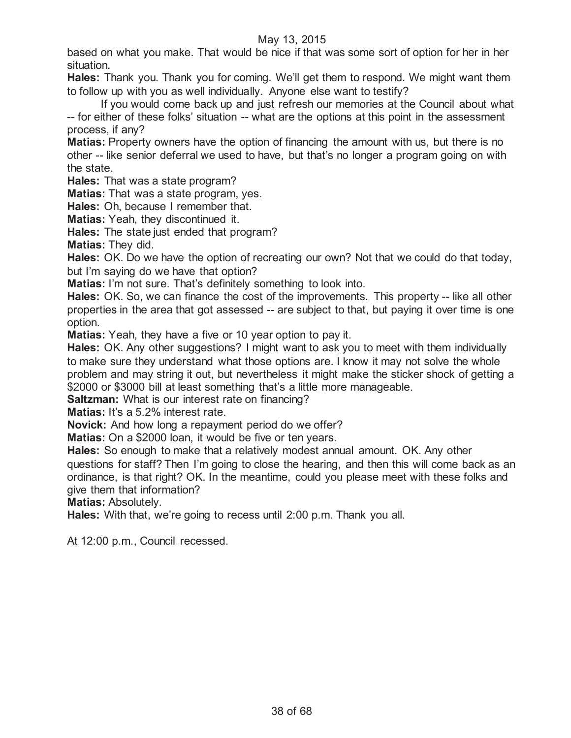based on what you make. That would be nice if that was some sort of option for her in her situation.

**Hales:** Thank you. Thank you for coming. We'll get them to respond. We might want them to follow up with you as well individually. Anyone else want to testify?

If you would come back up and just refresh our memories at the Council about what -- for either of these folks' situation -- what are the options at this point in the assessment process, if any?

**Matias:** Property owners have the option of financing the amount with us, but there is no other -- like senior deferral we used to have, but that's no longer a program going on with the state.

**Hales:** That was a state program?

**Matias:** That was a state program, yes.

**Hales:** Oh, because I remember that.

**Matias:** Yeah, they discontinued it.

**Hales:** The state just ended that program?

**Matias:** They did.

**Hales:** OK. Do we have the option of recreating our own? Not that we could do that today, but I'm saying do we have that option?

**Matias:** I'm not sure. That's definitely something to look into.

**Hales:** OK. So, we can finance the cost of the improvements. This property -- like all other properties in the area that got assessed -- are subject to that, but paying it over time is one option.

**Matias:** Yeah, they have a five or 10 year option to pay it.

**Hales:** OK. Any other suggestions? I might want to ask you to meet with them individually to make sure they understand what those options are. I know it may not solve the whole problem and may string it out, but nevertheless it might make the sticker shock of getting a \$2000 or \$3000 bill at least something that's a little more manageable.

**Saltzman:** What is our interest rate on financing?

**Matias:** It's a 5.2% interest rate.

**Novick:** And how long a repayment period do we offer?

**Matias:** On a \$2000 loan, it would be five or ten years.

**Hales:** So enough to make that a relatively modest annual amount. OK. Any other questions for staff? Then I'm going to close the hearing, and then this will come back as an ordinance, is that right? OK. In the meantime, could you please meet with these folks and give them that information?

**Matias:** Absolutely.

**Hales:** With that, we're going to recess until 2:00 p.m. Thank you all.

At 12:00 p.m., Council recessed.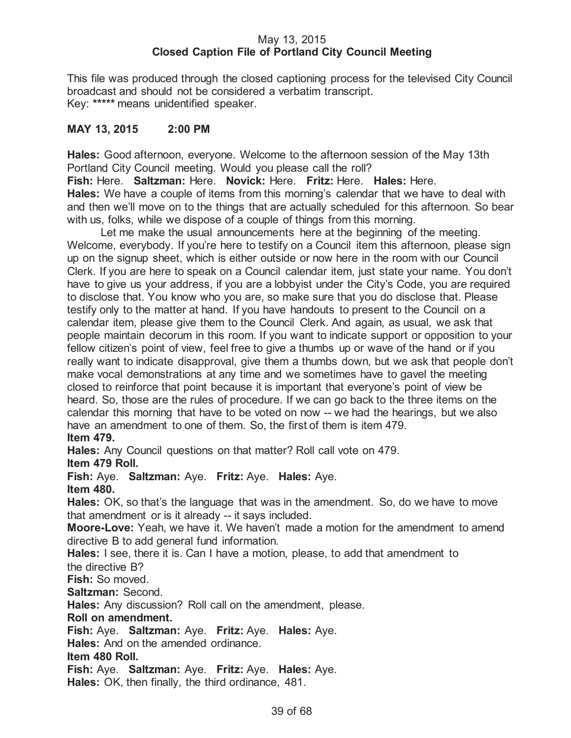# May 13, 2015 **Closed Caption File of Portland City Council Meeting**

This file was produced through the closed captioning process for the televised City Council broadcast and should not be considered a verbatim transcript. Key: **\*\*\*\*\*** means unidentified speaker.

# **MAY 13, 2015 2:00 PM**

**Hales:** Good afternoon, everyone. Welcome to the afternoon session of the May 13th Portland City Council meeting. Would you please call the roll?

**Fish:** Here. **Saltzman:** Here. **Novick:** Here. **Fritz:** Here. **Hales:** Here. **Hales:** We have a couple of items from this morning's calendar that we have to deal with and then we'll move on to the things that are actually scheduled for this afternoon. So bear with us, folks, while we dispose of a couple of things from this morning.

Let me make the usual announcements here at the beginning of the meeting. Welcome, everybody. If you're here to testify on a Council item this afternoon, please sign up on the signup sheet, which is either outside or now here in the room with our Council Clerk. If you are here to speak on a Council calendar item, just state your name. You don't have to give us your address, if you are a lobbyist under the City's Code, you are required to disclose that. You know who you are, so make sure that you do disclose that. Please testify only to the matter at hand. If you have handouts to present to the Council on a calendar item, please give them to the Council Clerk. And again, as usual, we ask that people maintain decorum in this room. If you want to indicate support or opposition to your fellow citizen's point of view, feel free to give a thumbs up or wave of the hand or if you really want to indicate disapproval, give them a thumbs down, but we ask that people don't make vocal demonstrations at any time and we sometimes have to gavel the meeting closed to reinforce that point because it is important that everyone's point of view be heard. So, those are the rules of procedure. If we can go back to the three items on the calendar this morning that have to be voted on now -- we had the hearings, but we also have an amendment to one of them. So, the first of them is item 479. **Item 479.**

**Hales:** Any Council questions on that matter? Roll call vote on 479.

**Item 479 Roll.**

**Fish:** Aye. **Saltzman:** Aye. **Fritz:** Aye. **Hales:** Aye.

**Item 480.**

**Hales:** OK, so that's the language that was in the amendment. So, do we have to move that amendment or is it already -- it says included.

**Moore-Love:** Yeah, we have it. We haven't made a motion for the amendment to amend directive B to add general fund information.

**Hales:** I see, there it is. Can I have a motion, please, to add that amendment to the directive B?

**Fish:** So moved.

**Saltzman:** Second.

**Hales:** Any discussion? Roll call on the amendment, please.

**Roll on amendment.**

**Fish:** Aye. **Saltzman:** Aye. **Fritz:** Aye. **Hales:** Aye.

**Hales:** And on the amended ordinance.

# **Item 480 Roll.**

**Fish:** Aye. **Saltzman:** Aye. **Fritz:** Aye. **Hales:** Aye.

**Hales:** OK, then finally, the third ordinance, 481.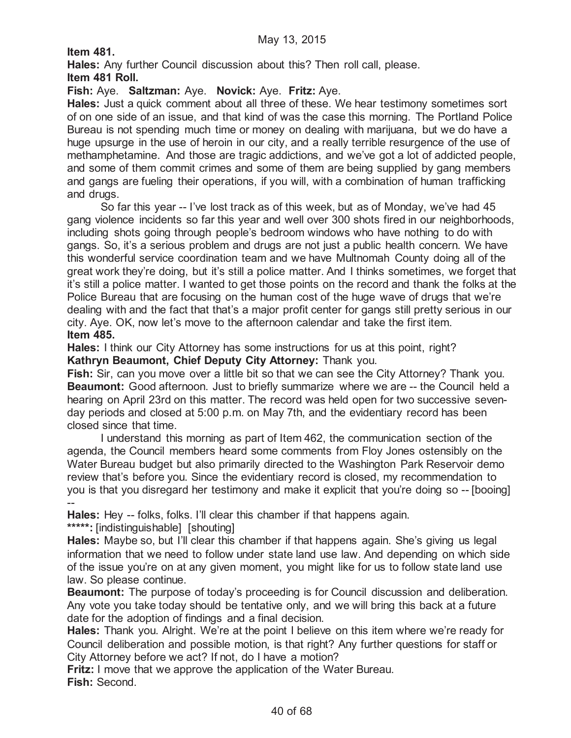**Item 481.**

**Hales:** Any further Council discussion about this? Then roll call, please.

**Item 481 Roll.**

**Fish:** Aye. **Saltzman:** Aye. **Novick:** Aye. **Fritz:** Aye.

**Hales:** Just a quick comment about all three of these. We hear testimony sometimes sort of on one side of an issue, and that kind of was the case this morning. The Portland Police Bureau is not spending much time or money on dealing with marijuana, but we do have a huge upsurge in the use of heroin in our city, and a really terrible resurgence of the use of methamphetamine. And those are tragic addictions, and we've got a lot of addicted people, and some of them commit crimes and some of them are being supplied by gang members and gangs are fueling their operations, if you will, with a combination of human trafficking and drugs.

So far this year -- I've lost track as of this week, but as of Monday, we've had 45 gang violence incidents so far this year and well over 300 shots fired in our neighborhoods, including shots going through people's bedroom windows who have nothing to do with gangs. So, it's a serious problem and drugs are not just a public health concern. We have this wonderful service coordination team and we have Multnomah County doing all of the great work they're doing, but it's still a police matter. And I thinks sometimes, we forget that it's still a police matter. I wanted to get those points on the record and thank the folks at the Police Bureau that are focusing on the human cost of the huge wave of drugs that we're dealing with and the fact that that's a major profit center for gangs still pretty serious in our city. Aye. OK, now let's move to the afternoon calendar and take the first item. **Item 485.**

**Hales:** I think our City Attorney has some instructions for us at this point, right? **Kathryn Beaumont, Chief Deputy City Attorney:** Thank you.

**Fish:** Sir, can you move over a little bit so that we can see the City Attorney? Thank you. **Beaumont:** Good afternoon. Just to briefly summarize where we are -- the Council held a hearing on April 23rd on this matter. The record was held open for two successive sevenday periods and closed at 5:00 p.m. on May 7th, and the evidentiary record has been closed since that time.

I understand this morning as part of Item 462, the communication section of the agenda, the Council members heard some comments from Floy Jones ostensibly on the Water Bureau budget but also primarily directed to the Washington Park Reservoir demo review that's before you. Since the evidentiary record is closed, my recommendation to you is that you disregard her testimony and make it explicit that you're doing so -- [booing] --

**Hales:** Hey -- folks, folks. I'll clear this chamber if that happens again.

**\*\*\*\*\*:** [indistinguishable] [shouting]

**Hales:** Maybe so, but I'll clear this chamber if that happens again. She's giving us legal information that we need to follow under state land use law. And depending on which side of the issue you're on at any given moment, you might like for us to follow state land use law. So please continue.

**Beaumont:** The purpose of today's proceeding is for Council discussion and deliberation. Any vote you take today should be tentative only, and we will bring this back at a future date for the adoption of findings and a final decision.

**Hales:** Thank you. Alright. We're at the point I believe on this item where we're ready for Council deliberation and possible motion, is that right? Any further questions for staff or City Attorney before we act? If not, do I have a motion?

**Fritz:** I move that we approve the application of the Water Bureau. **Fish:** Second.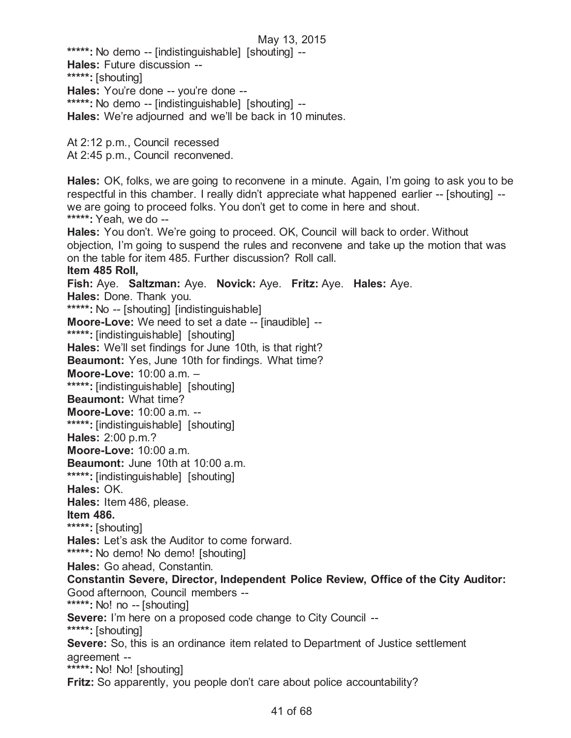**\*\*\*\*\*:** No demo -- [indistinguishable] [shouting] -- **Hales:** Future discussion -- **\*\*\*\*\*:** [shouting] **Hales:** You're done -- you're done -- **\*\*\*\*\*:** No demo -- [indistinguishable] [shouting] -- **Hales:** We're adjourned and we'll be back in 10 minutes.

At 2:12 p.m., Council recessed At 2:45 p.m., Council reconvened.

**Hales:** OK, folks, we are going to reconvene in a minute. Again, I'm going to ask you to be respectful in this chamber. I really didn't appreciate what happened earlier -- [shouting] - we are going to proceed folks. You don't get to come in here and shout. **\*\*\*\*\*:** Yeah, we do -- **Hales:** You don't. We're going to proceed. OK, Council will back to order. Without objection, I'm going to suspend the rules and reconvene and take up the motion that was on the table for item 485. Further discussion? Roll call. **Item 485 Roll, Fish:** Aye. **Saltzman:** Aye. **Novick:** Aye. **Fritz:** Aye. **Hales:** Aye. **Hales:** Done. Thank you. **\*\*\*\*\*:** No -- [shouting] [indistinguishable] **Moore-Love:** We need to set a date -- [inaudible] -- **\*\*\*\*\*:** [indistinguishable] [shouting] **Hales:** We'll set findings for June 10th, is that right? **Beaumont:** Yes, June 10th for findings. What time? **Moore-Love:** 10:00 a.m. – **\*\*\*\*\*:** [indistinguishable] [shouting] **Beaumont:** What time? **Moore-Love:** 10:00 a.m. -- **\*\*\*\*\*:** [indistinguishable] [shouting] **Hales:** 2:00 p.m.? **Moore-Love:** 10:00 a.m. **Beaumont:** June 10th at 10:00 a.m. **\*\*\*\*\*:** [indistinguishable] [shouting] **Hales:** OK. **Hales:** Item 486, please. **Item 486. \*\*\*\*\*:** [shouting] **Hales:** Let's ask the Auditor to come forward. **\*\*\*\*\*:** No demo! No demo! [shouting] **Hales:** Go ahead, Constantin. **Constantin Severe, Director, Independent Police Review, Office of the City Auditor:**  Good afternoon, Council members -- **\*\*\*\*\*:** No! no -- [shouting] **Severe:** I'm here on a proposed code change to City Council -- **\*\*\*\*\*:** [shouting] **Severe:** So, this is an ordinance item related to Department of Justice settlement agreement -- **\*\*\*\*\*:** No! No! [shouting] **Fritz:** So apparently, you people don't care about police accountability?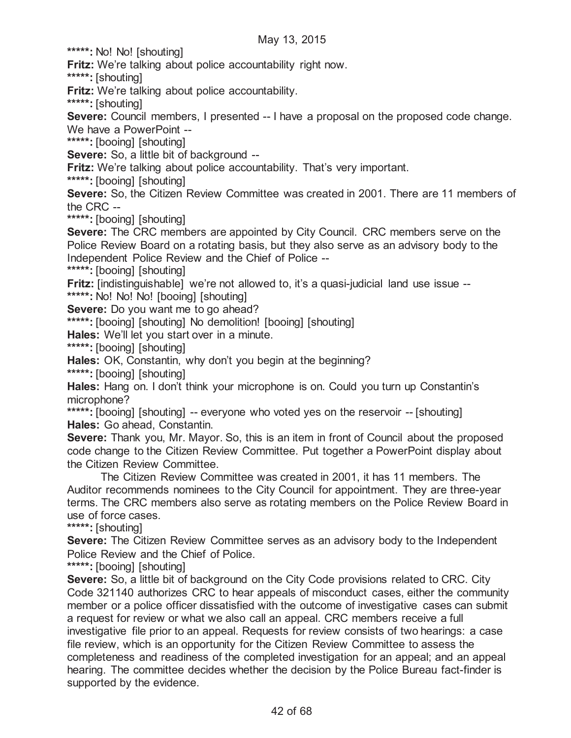**\*\*\*\*\*:** No! No! [shouting]

**Fritz:** We're talking about police accountability right now.

**\*\*\*\*\*:** [shouting]

**Fritz:** We're talking about police accountability.

**\*\*\*\*\*:** [shouting]

**Severe:** Council members, I presented -- I have a proposal on the proposed code change. We have a PowerPoint --

**\*\*\*\*\*:** [booing] [shouting]

**Severe:** So, a little bit of background --

**Fritz:** We're talking about police accountability. That's very important.

**\*\*\*\*\*:** [booing] [shouting]

**Severe:** So, the Citizen Review Committee was created in 2001. There are 11 members of the CRC --

**\*\*\*\*\*:** [booing] [shouting]

**Severe:** The CRC members are appointed by City Council. CRC members serve on the Police Review Board on a rotating basis, but they also serve as an advisory body to the Independent Police Review and the Chief of Police --

**\*\*\*\*\*:** [booing] [shouting]

**Fritz:** [indistinguishable] we're not allowed to, it's a quasi-judicial land use issue --

\*\*\*\*\*: No! No! No! [booing] [shouting]

**Severe:** Do you want me to go ahead?

**\*\*\*\*\*:** [booing] [shouting] No demolition! [booing] [shouting]

**Hales:** We'll let you start over in a minute.

**\*\*\*\*\*:** [booing] [shouting]

**Hales:** OK, Constantin, why don't you begin at the beginning?

**\*\*\*\*\*:** [booing] [shouting]

**Hales:** Hang on. I don't think your microphone is on. Could you turn up Constantin's microphone?

**\*\*\*\*\*:** [booing] [shouting] -- everyone who voted yes on the reservoir -- [shouting] **Hales:** Go ahead, Constantin.

**Severe:** Thank you, Mr. Mayor. So, this is an item in front of Council about the proposed code change to the Citizen Review Committee. Put together a PowerPoint display about the Citizen Review Committee.

The Citizen Review Committee was created in 2001, it has 11 members. The Auditor recommends nominees to the City Council for appointment. They are three-year terms. The CRC members also serve as rotating members on the Police Review Board in use of force cases.

**\*\*\*\*\*:** [shouting]

**Severe:** The Citizen Review Committee serves as an advisory body to the Independent Police Review and the Chief of Police.

**\*\*\*\*\*:** [booing] [shouting]

**Severe:** So, a little bit of background on the City Code provisions related to CRC. City Code 321140 authorizes CRC to hear appeals of misconduct cases, either the community member or a police officer dissatisfied with the outcome of investigative cases can submit a request for review or what we also call an appeal. CRC members receive a full investigative file prior to an appeal. Requests for review consists of two hearings: a case file review, which is an opportunity for the Citizen Review Committee to assess the completeness and readiness of the completed investigation for an appeal; and an appeal hearing. The committee decides whether the decision by the Police Bureau fact-finder is supported by the evidence.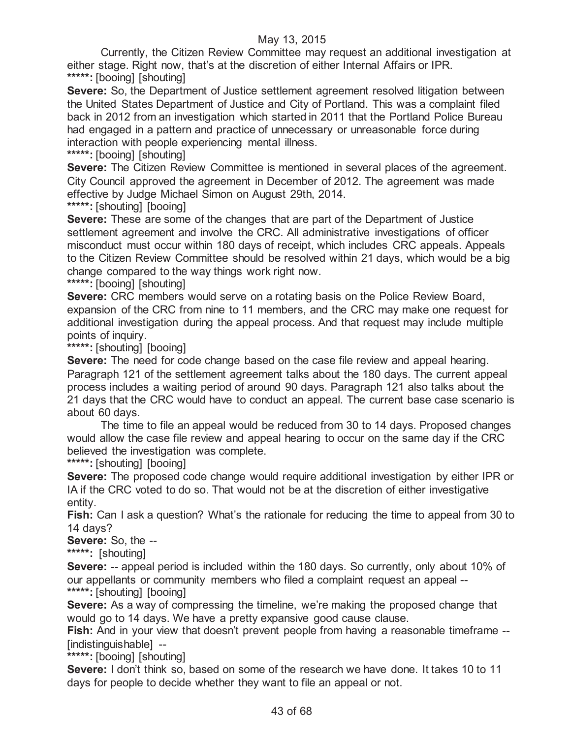Currently, the Citizen Review Committee may request an additional investigation at either stage. Right now, that's at the discretion of either Internal Affairs or IPR. **\*\*\*\*\*:** [booing] [shouting]

**Severe:** So, the Department of Justice settlement agreement resolved litigation between the United States Department of Justice and City of Portland. This was a complaint filed back in 2012 from an investigation which started in 2011 that the Portland Police Bureau had engaged in a pattern and practice of unnecessary or unreasonable force during interaction with people experiencing mental illness.

**\*\*\*\*\*:** [booing] [shouting]

**Severe:** The Citizen Review Committee is mentioned in several places of the agreement. City Council approved the agreement in December of 2012. The agreement was made effective by Judge Michael Simon on August 29th, 2014.

**\*\*\*\*\*:** [shouting] [booing]

**Severe:** These are some of the changes that are part of the Department of Justice settlement agreement and involve the CRC. All administrative investigations of officer misconduct must occur within 180 days of receipt, which includes CRC appeals. Appeals to the Citizen Review Committee should be resolved within 21 days, which would be a big change compared to the way things work right now.

**\*\*\*\*\*:** [booing] [shouting]

**Severe:** CRC members would serve on a rotating basis on the Police Review Board, expansion of the CRC from nine to 11 members, and the CRC may make one request for additional investigation during the appeal process. And that request may include multiple points of inquiry.

**\*\*\*\*\*:** [shouting] [booing]

**Severe:** The need for code change based on the case file review and appeal hearing. Paragraph 121 of the settlement agreement talks about the 180 days. The current appeal process includes a waiting period of around 90 days. Paragraph 121 also talks about the 21 days that the CRC would have to conduct an appeal. The current base case scenario is about 60 days.

The time to file an appeal would be reduced from 30 to 14 days. Proposed changes would allow the case file review and appeal hearing to occur on the same day if the CRC believed the investigation was complete.

**\*\*\*\*\*:** [shouting] [booing]

**Severe:** The proposed code change would require additional investigation by either IPR or IA if the CRC voted to do so. That would not be at the discretion of either investigative entity.

**Fish:** Can I ask a question? What's the rationale for reducing the time to appeal from 30 to 14 days?

**Severe:** So, the --

**\*\*\*\*\*:** [shouting]

**Severe:** -- appeal period is included within the 180 days. So currently, only about 10% of our appellants or community members who filed a complaint request an appeal -- **\*\*\*\*\*:** [shouting] [booing]

**Severe:** As a way of compressing the timeline, we're making the proposed change that would go to 14 days. We have a pretty expansive good cause clause.

**Fish:** And in your view that doesn't prevent people from having a reasonable timeframe --[indistinguishable] --

**\*\*\*\*\*:** [booing] [shouting]

**Severe:** I don't think so, based on some of the research we have done. It takes 10 to 11 days for people to decide whether they want to file an appeal or not.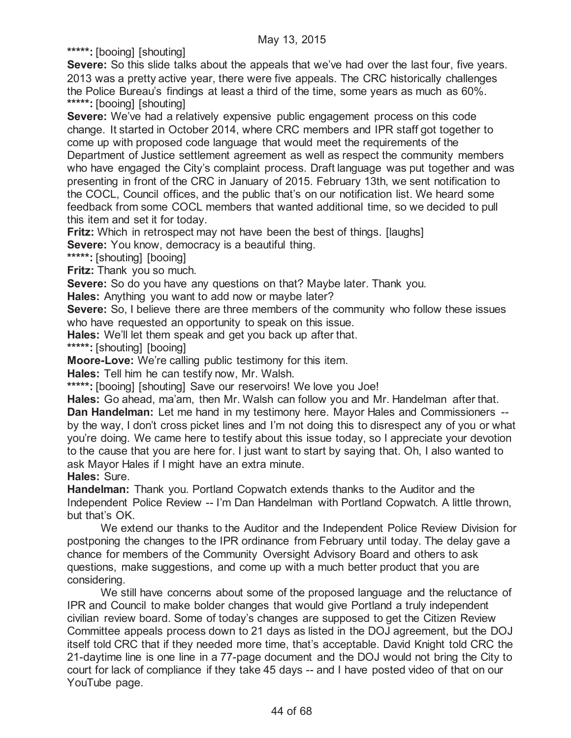**\*\*\*\*\*:** [booing] [shouting]

**Severe:** So this slide talks about the appeals that we've had over the last four, five years. 2013 was a pretty active year, there were five appeals. The CRC historically challenges the Police Bureau's findings at least a third of the time, some years as much as 60%. **\*\*\*\*\*:** [booing] [shouting]

**Severe:** We've had a relatively expensive public engagement process on this code change. It started in October 2014, where CRC members and IPR staff got together to come up with proposed code language that would meet the requirements of the Department of Justice settlement agreement as well as respect the community members who have engaged the City's complaint process. Draft language was put together and was presenting in front of the CRC in January of 2015. February 13th, we sent notification to the COCL, Council offices, and the public that's on our notification list. We heard some feedback from some COCL members that wanted additional time, so we decided to pull this item and set it for today.

**Fritz:** Which in retrospect may not have been the best of things. [laughs]

**Severe:** You know, democracy is a beautiful thing.

**\*\*\*\*\*:** [shouting] [booing]

**Fritz:** Thank you so much.

**Severe:** So do you have any questions on that? Maybe later. Thank you.

**Hales:** Anything you want to add now or maybe later?

**Severe:** So, I believe there are three members of the community who follow these issues who have requested an opportunity to speak on this issue.

**Hales:** We'll let them speak and get you back up after that.

**\*\*\*\*\*:** [shouting] [booing]

**Moore-Love:** We're calling public testimony for this item.

**Hales:** Tell him he can testify now, Mr. Walsh.

**\*\*\*\*\*:** [booing] [shouting] Save our reservoirs! We love you Joe!

**Hales:** Go ahead, ma'am, then Mr. Walsh can follow you and Mr. Handelman after that. **Dan Handelman:** Let me hand in my testimony here. Mayor Hales and Commissioners - by the way, I don't cross picket lines and I'm not doing this to disrespect any of you or what you're doing. We came here to testify about this issue today, so I appreciate your devotion to the cause that you are here for. I just want to start by saying that. Oh, I also wanted to ask Mayor Hales if I might have an extra minute.

**Hales:** Sure.

**Handelman:** Thank you. Portland Copwatch extends thanks to the Auditor and the Independent Police Review -- I'm Dan Handelman with Portland Copwatch. A little thrown, but that's OK.

We extend our thanks to the Auditor and the Independent Police Review Division for postponing the changes to the IPR ordinance from February until today. The delay gave a chance for members of the Community Oversight Advisory Board and others to ask questions, make suggestions, and come up with a much better product that you are considering.

We still have concerns about some of the proposed language and the reluctance of IPR and Council to make bolder changes that would give Portland a truly independent civilian review board. Some of today's changes are supposed to get the Citizen Review Committee appeals process down to 21 days as listed in the DOJ agreement, but the DOJ itself told CRC that if they needed more time, that's acceptable. David Knight told CRC the 21-daytime line is one line in a 77-page document and the DOJ would not bring the City to court for lack of compliance if they take 45 days -- and I have posted video of that on our YouTube page.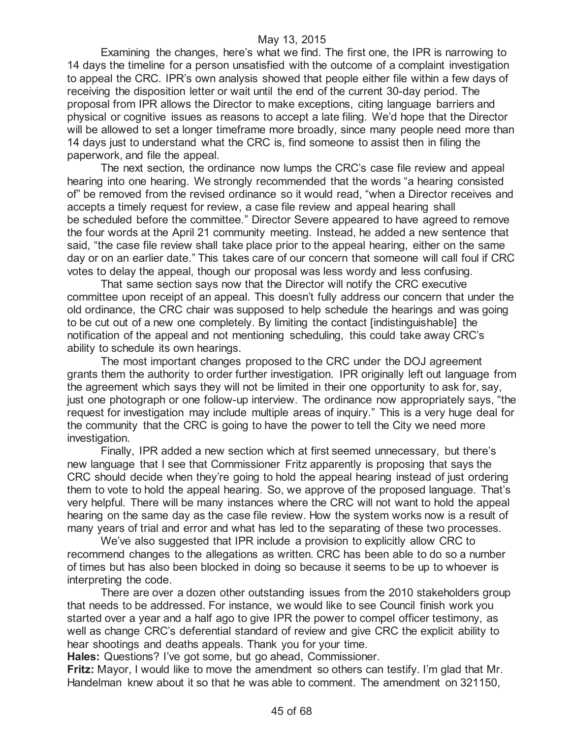Examining the changes, here's what we find. The first one, the IPR is narrowing to 14 days the timeline for a person unsatisfied with the outcome of a complaint investigation to appeal the CRC. IPR's own analysis showed that people either file within a few days of receiving the disposition letter or wait until the end of the current 30-day period. The proposal from IPR allows the Director to make exceptions, citing language barriers and physical or cognitive issues as reasons to accept a late filing. We'd hope that the Director will be allowed to set a longer timeframe more broadly, since many people need more than 14 days just to understand what the CRC is, find someone to assist then in filing the paperwork, and file the appeal.

The next section, the ordinance now lumps the CRC's case file review and appeal hearing into one hearing. We strongly recommended that the words "a hearing consisted of" be removed from the revised ordinance so it would read, "when a Director receives and accepts a timely request for review, a case file review and appeal hearing shall be scheduled before the committee." Director Severe appeared to have agreed to remove the four words at the April 21 community meeting. Instead, he added a new sentence that said, "the case file review shall take place prior to the appeal hearing, either on the same day or on an earlier date." This takes care of our concern that someone will call foul if CRC votes to delay the appeal, though our proposal was less wordy and less confusing.

That same section says now that the Director will notify the CRC executive committee upon receipt of an appeal. This doesn't fully address our concern that under the old ordinance, the CRC chair was supposed to help schedule the hearings and was going to be cut out of a new one completely. By limiting the contact [indistinguishable] the notification of the appeal and not mentioning scheduling, this could take away CRC's ability to schedule its own hearings.

The most important changes proposed to the CRC under the DOJ agreement grants them the authority to order further investigation. IPR originally left out language from the agreement which says they will not be limited in their one opportunity to ask for, say, just one photograph or one follow-up interview. The ordinance now appropriately says, "the request for investigation may include multiple areas of inquiry." This is a very huge deal for the community that the CRC is going to have the power to tell the City we need more investigation.

Finally, IPR added a new section which at first seemed unnecessary, but there's new language that I see that Commissioner Fritz apparently is proposing that says the CRC should decide when they're going to hold the appeal hearing instead of just ordering them to vote to hold the appeal hearing. So, we approve of the proposed language. That's very helpful. There will be many instances where the CRC will not want to hold the appeal hearing on the same day as the case file review. How the system works now is a result of many years of trial and error and what has led to the separating of these two processes.

We've also suggested that IPR include a provision to explicitly allow CRC to recommend changes to the allegations as written. CRC has been able to do so a number of times but has also been blocked in doing so because it seems to be up to whoever is interpreting the code.

There are over a dozen other outstanding issues from the 2010 stakeholders group that needs to be addressed. For instance, we would like to see Council finish work you started over a year and a half ago to give IPR the power to compel officer testimony, as well as change CRC's deferential standard of review and give CRC the explicit ability to hear shootings and deaths appeals. Thank you for your time.

**Hales:** Questions? I've got some, but go ahead, Commissioner.

**Fritz:** Mayor, I would like to move the amendment so others can testify. I'm glad that Mr. Handelman knew about it so that he was able to comment. The amendment on 321150,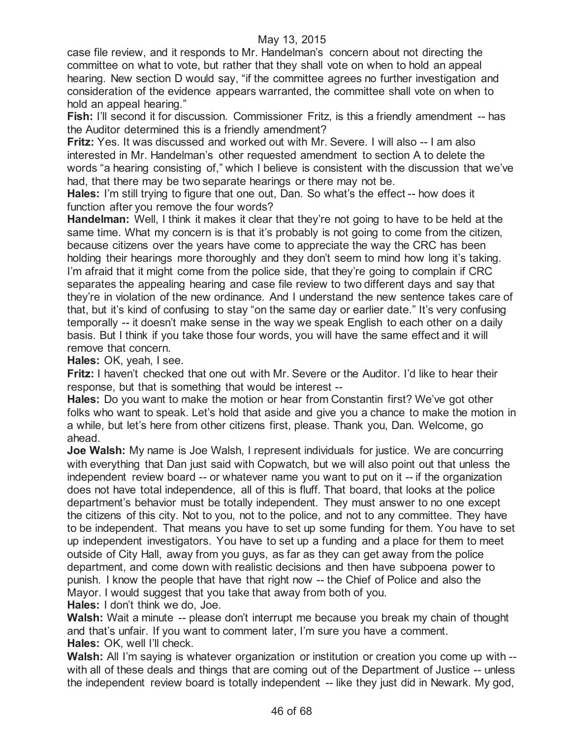case file review, and it responds to Mr. Handelman's concern about not directing the committee on what to vote, but rather that they shall vote on when to hold an appeal hearing. New section D would say, "if the committee agrees no further investigation and consideration of the evidence appears warranted, the committee shall vote on when to hold an appeal hearing."

**Fish:** I'll second it for discussion. Commissioner Fritz, is this a friendly amendment -- has the Auditor determined this is a friendly amendment?

**Fritz:** Yes. It was discussed and worked out with Mr. Severe. I will also -- I am also interested in Mr. Handelman's other requested amendment to section A to delete the words "a hearing consisting of," which I believe is consistent with the discussion that we've had, that there may be two separate hearings or there may not be.

**Hales:** I'm still trying to figure that one out, Dan. So what's the effect -- how does it function after you remove the four words?

**Handelman:** Well, I think it makes it clear that they're not going to have to be held at the same time. What my concern is is that it's probably is not going to come from the citizen, because citizens over the years have come to appreciate the way the CRC has been holding their hearings more thoroughly and they don't seem to mind how long it's taking. I'm afraid that it might come from the police side, that they're going to complain if CRC separates the appealing hearing and case file review to two different days and say that they're in violation of the new ordinance. And I understand the new sentence takes care of that, but it's kind of confusing to stay "on the same day or earlier date." It's very confusing temporally -- it doesn't make sense in the way we speak English to each other on a daily basis. But I think if you take those four words, you will have the same effect and it will remove that concern.

**Hales:** OK, yeah, I see.

**Fritz:** I haven't checked that one out with Mr. Severe or the Auditor. I'd like to hear their response, but that is something that would be interest --

**Hales:** Do you want to make the motion or hear from Constantin first? We've got other folks who want to speak. Let's hold that aside and give you a chance to make the motion in a while, but let's here from other citizens first, please. Thank you, Dan. Welcome, go ahead.

**Joe Walsh:** My name is Joe Walsh, I represent individuals for justice. We are concurring with everything that Dan just said with Copwatch, but we will also point out that unless the independent review board -- or whatever name you want to put on it -- if the organization does not have total independence, all of this is fluff. That board, that looks at the police department's behavior must be totally independent. They must answer to no one except the citizens of this city. Not to you, not to the police, and not to any committee. They have to be independent. That means you have to set up some funding for them. You have to set up independent investigators. You have to set up a funding and a place for them to meet outside of City Hall, away from you guys, as far as they can get away from the police department, and come down with realistic decisions and then have subpoena power to punish. I know the people that have that right now -- the Chief of Police and also the Mayor. I would suggest that you take that away from both of you.

**Hales:** I don't think we do, Joe.

**Walsh:** Wait a minute -- please don't interrupt me because you break my chain of thought and that's unfair. If you want to comment later, I'm sure you have a comment. **Hales:** OK, well I'll check.

**Walsh:** All I'm saying is whatever organization or institution or creation you come up with -with all of these deals and things that are coming out of the Department of Justice -- unless the independent review board is totally independent -- like they just did in Newark. My god,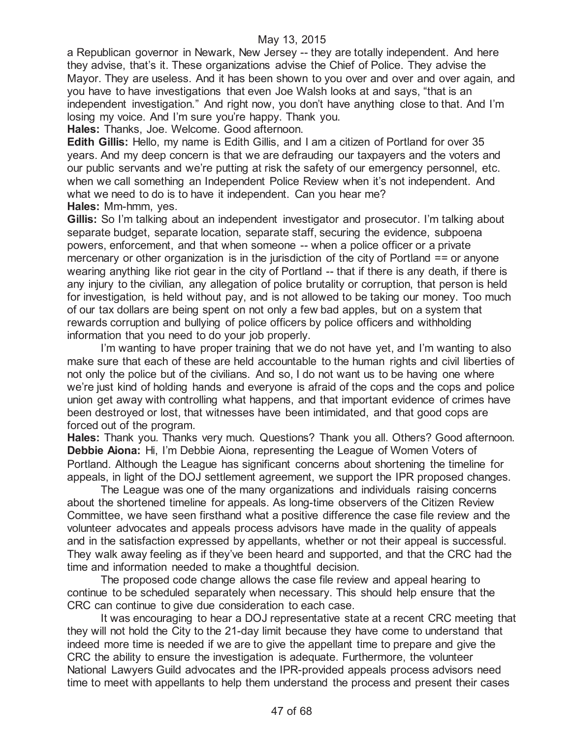a Republican governor in Newark, New Jersey -- they are totally independent. And here they advise, that's it. These organizations advise the Chief of Police. They advise the Mayor. They are useless. And it has been shown to you over and over and over again, and you have to have investigations that even Joe Walsh looks at and says, "that is an independent investigation." And right now, you don't have anything close to that. And I'm losing my voice. And I'm sure you're happy. Thank you.

**Hales:** Thanks, Joe. Welcome. Good afternoon.

**Edith Gillis:** Hello, my name is Edith Gillis, and I am a citizen of Portland for over 35 years. And my deep concern is that we are defrauding our taxpayers and the voters and our public servants and we're putting at risk the safety of our emergency personnel, etc. when we call something an Independent Police Review when it's not independent. And what we need to do is to have it independent. Can you hear me? **Hales:** Mm-hmm, yes.

**Gillis:** So I'm talking about an independent investigator and prosecutor. I'm talking about separate budget, separate location, separate staff, securing the evidence, subpoena powers, enforcement, and that when someone -- when a police officer or a private mercenary or other organization is in the jurisdiction of the city of Portland == or anyone wearing anything like riot gear in the city of Portland -- that if there is any death, if there is any injury to the civilian, any allegation of police brutality or corruption, that person is held for investigation, is held without pay, and is not allowed to be taking our money. Too much of our tax dollars are being spent on not only a few bad apples, but on a system that rewards corruption and bullying of police officers by police officers and withholding information that you need to do your job properly.

I'm wanting to have proper training that we do not have yet, and I'm wanting to also make sure that each of these are held accountable to the human rights and civil liberties of not only the police but of the civilians. And so, I do not want us to be having one where we're just kind of holding hands and everyone is afraid of the cops and the cops and police union get away with controlling what happens, and that important evidence of crimes have been destroyed or lost, that witnesses have been intimidated, and that good cops are forced out of the program.

**Hales:** Thank you. Thanks very much. Questions? Thank you all. Others? Good afternoon. **Debbie Aiona:** Hi, I'm Debbie Aiona, representing the League of Women Voters of Portland. Although the League has significant concerns about shortening the timeline for appeals, in light of the DOJ settlement agreement, we support the IPR proposed changes.

The League was one of the many organizations and individuals raising concerns about the shortened timeline for appeals. As long-time observers of the Citizen Review Committee, we have seen firsthand what a positive difference the case file review and the volunteer advocates and appeals process advisors have made in the quality of appeals and in the satisfaction expressed by appellants, whether or not their appeal is successful. They walk away feeling as if they've been heard and supported, and that the CRC had the time and information needed to make a thoughtful decision.

The proposed code change allows the case file review and appeal hearing to continue to be scheduled separately when necessary. This should help ensure that the CRC can continue to give due consideration to each case.

It was encouraging to hear a DOJ representative state at a recent CRC meeting that they will not hold the City to the 21-day limit because they have come to understand that indeed more time is needed if we are to give the appellant time to prepare and give the CRC the ability to ensure the investigation is adequate. Furthermore, the volunteer National Lawyers Guild advocates and the IPR-provided appeals process advisors need time to meet with appellants to help them understand the process and present their cases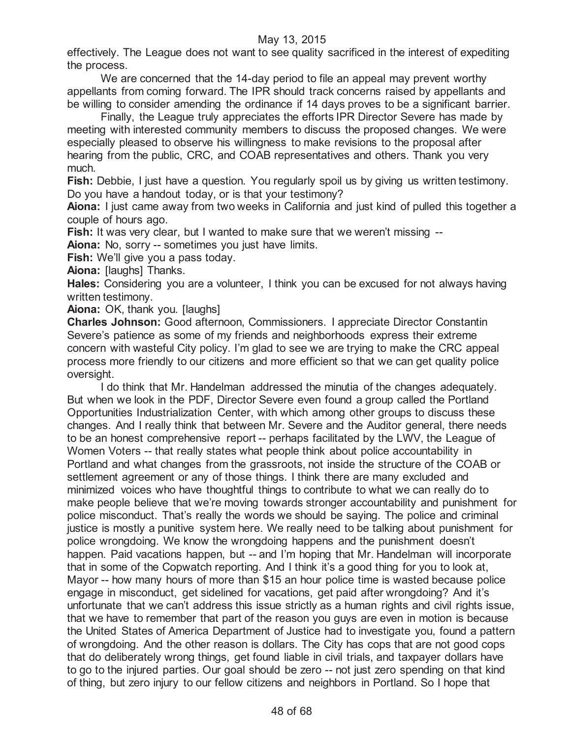effectively. The League does not want to see quality sacrificed in the interest of expediting the process.

We are concerned that the 14-day period to file an appeal may prevent worthy appellants from coming forward. The IPR should track concerns raised by appellants and be willing to consider amending the ordinance if 14 days proves to be a significant barrier.

Finally, the League truly appreciates the efforts IPR Director Severe has made by meeting with interested community members to discuss the proposed changes. We were especially pleased to observe his willingness to make revisions to the proposal after hearing from the public, CRC, and COAB representatives and others. Thank you very much.

**Fish:** Debbie, I just have a question. You regularly spoil us by giving us written testimony. Do you have a handout today, or is that your testimony?

**Aiona:** I just came away from two weeks in California and just kind of pulled this together a couple of hours ago.

**Fish:** It was very clear, but I wanted to make sure that we weren't missing --

**Aiona:** No, sorry -- sometimes you just have limits.

**Fish:** We'll give you a pass today.

**Aiona:** [laughs] Thanks.

**Hales:** Considering you are a volunteer, I think you can be excused for not always having written testimony.

**Aiona: OK, thank you. [laughs]** 

**Charles Johnson:** Good afternoon, Commissioners. I appreciate Director Constantin Severe's patience as some of my friends and neighborhoods express their extreme concern with wasteful City policy. I'm glad to see we are trying to make the CRC appeal process more friendly to our citizens and more efficient so that we can get quality police oversight.

I do think that Mr. Handelman addressed the minutia of the changes adequately. But when we look in the PDF, Director Severe even found a group called the Portland Opportunities Industrialization Center, with which among other groups to discuss these changes. And I really think that between Mr. Severe and the Auditor general, there needs to be an honest comprehensive report -- perhaps facilitated by the LWV, the League of Women Voters -- that really states what people think about police accountability in Portland and what changes from the grassroots, not inside the structure of the COAB or settlement agreement or any of those things. I think there are many excluded and minimized voices who have thoughtful things to contribute to what we can really do to make people believe that we're moving towards stronger accountability and punishment for police misconduct. That's really the words we should be saying. The police and criminal justice is mostly a punitive system here. We really need to be talking about punishment for police wrongdoing. We know the wrongdoing happens and the punishment doesn't happen. Paid vacations happen, but -- and I'm hoping that Mr. Handelman will incorporate that in some of the Copwatch reporting. And I think it's a good thing for you to look at, Mayor -- how many hours of more than \$15 an hour police time is wasted because police engage in misconduct, get sidelined for vacations, get paid after wrongdoing? And it's unfortunate that we can't address this issue strictly as a human rights and civil rights issue, that we have to remember that part of the reason you guys are even in motion is because the United States of America Department of Justice had to investigate you, found a pattern of wrongdoing. And the other reason is dollars. The City has cops that are not good cops that do deliberately wrong things, get found liable in civil trials, and taxpayer dollars have to go to the injured parties. Our goal should be zero -- not just zero spending on that kind of thing, but zero injury to our fellow citizens and neighbors in Portland. So I hope that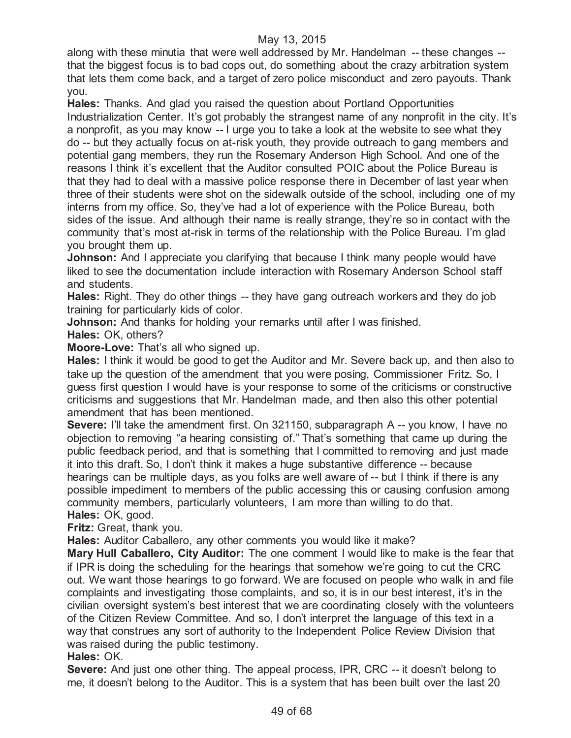along with these minutia that were well addressed by Mr. Handelman -- these changes - that the biggest focus is to bad cops out, do something about the crazy arbitration system that lets them come back, and a target of zero police misconduct and zero payouts. Thank you.

**Hales:** Thanks. And glad you raised the question about Portland Opportunities Industrialization Center. It's got probably the strangest name of any nonprofit in the city. It's a nonprofit, as you may know -- I urge you to take a look at the website to see what they do -- but they actually focus on at-risk youth, they provide outreach to gang members and potential gang members, they run the Rosemary Anderson High School. And one of the reasons I think it's excellent that the Auditor consulted POIC about the Police Bureau is that they had to deal with a massive police response there in December of last year when three of their students were shot on the sidewalk outside of the school, including one of my interns from my office. So, they've had a lot of experience with the Police Bureau, both sides of the issue. And although their name is really strange, they're so in contact with the community that's most at-risk in terms of the relationship with the Police Bureau. I'm glad you brought them up.

**Johnson:** And I appreciate you clarifying that because I think many people would have liked to see the documentation include interaction with Rosemary Anderson School staff and students.

**Hales:** Right. They do other things -- they have gang outreach workers and they do job training for particularly kids of color.

**Johnson:** And thanks for holding your remarks until after I was finished.

**Hales:** OK, others?

**Moore-Love:** That's all who signed up.

**Hales:** I think it would be good to get the Auditor and Mr. Severe back up, and then also to take up the question of the amendment that you were posing, Commissioner Fritz. So, I guess first question I would have is your response to some of the criticisms or constructive criticisms and suggestions that Mr. Handelman made, and then also this other potential amendment that has been mentioned.

**Severe:** I'll take the amendment first. On 321150, subparagraph A -- you know, I have no objection to removing "a hearing consisting of." That's something that came up during the public feedback period, and that is something that I committed to removing and just made it into this draft. So, I don't think it makes a huge substantive difference -- because hearings can be multiple days, as you folks are well aware of -- but I think if there is any possible impediment to members of the public accessing this or causing confusion among community members, particularly volunteers, I am more than willing to do that. **Hales:** OK, good.

**Fritz:** Great, thank you.

**Hales:** Auditor Caballero, any other comments you would like it make?

**Mary Hull Caballero, City Auditor:** The one comment I would like to make is the fear that if IPR is doing the scheduling for the hearings that somehow we're going to cut the CRC out. We want those hearings to go forward. We are focused on people who walk in and file complaints and investigating those complaints, and so, it is in our best interest, it's in the civilian oversight system's best interest that we are coordinating closely with the volunteers of the Citizen Review Committee. And so, I don't interpret the language of this text in a way that construes any sort of authority to the Independent Police Review Division that was raised during the public testimony.

#### **Hales:** OK.

**Severe:** And just one other thing. The appeal process, IPR, CRC -- it doesn't belong to me, it doesn't belong to the Auditor. This is a system that has been built over the last 20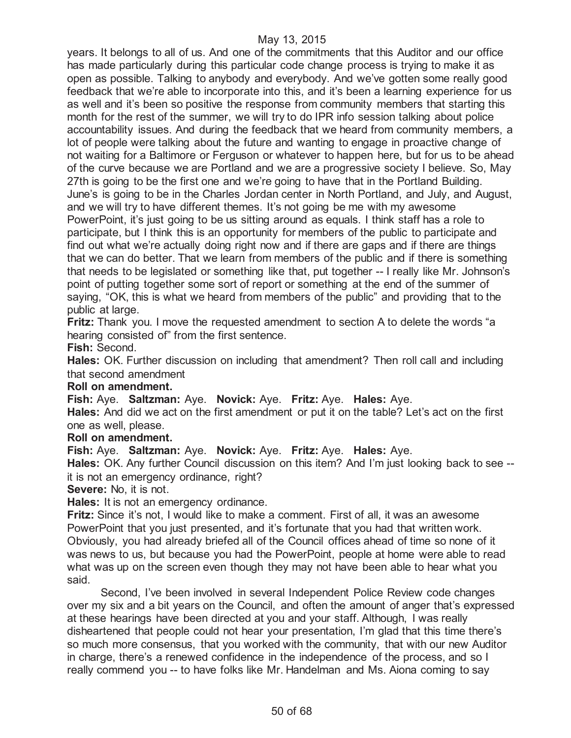years. It belongs to all of us. And one of the commitments that this Auditor and our office has made particularly during this particular code change process is trying to make it as open as possible. Talking to anybody and everybody. And we've gotten some really good feedback that we're able to incorporate into this, and it's been a learning experience for us as well and it's been so positive the response from community members that starting this month for the rest of the summer, we will try to do IPR info session talking about police accountability issues. And during the feedback that we heard from community members, a lot of people were talking about the future and wanting to engage in proactive change of not waiting for a Baltimore or Ferguson or whatever to happen here, but for us to be ahead of the curve because we are Portland and we are a progressive society I believe. So, May 27th is going to be the first one and we're going to have that in the Portland Building. June's is going to be in the Charles Jordan center in North Portland, and July, and August, and we will try to have different themes. It's not going be me with my awesome PowerPoint, it's just going to be us sitting around as equals. I think staff has a role to participate, but I think this is an opportunity for members of the public to participate and find out what we're actually doing right now and if there are gaps and if there are things that we can do better. That we learn from members of the public and if there is something that needs to be legislated or something like that, put together -- I really like Mr. Johnson's point of putting together some sort of report or something at the end of the summer of saying, "OK, this is what we heard from members of the public" and providing that to the public at large.

**Fritz:** Thank you. I move the requested amendment to section A to delete the words "a hearing consisted of" from the first sentence.

**Fish:** Second.

**Hales:** OK. Further discussion on including that amendment? Then roll call and including that second amendment

#### **Roll on amendment.**

**Fish:** Aye. **Saltzman:** Aye. **Novick:** Aye. **Fritz:** Aye. **Hales:** Aye.

**Hales:** And did we act on the first amendment or put it on the table? Let's act on the first one as well, please.

#### **Roll on amendment.**

**Fish:** Aye. **Saltzman:** Aye. **Novick:** Aye. **Fritz:** Aye. **Hales:** Aye.

**Hales:** OK. Any further Council discussion on this item? And I'm just looking back to see - it is not an emergency ordinance, right?

**Severe:** No, it is not.

**Hales:** It is not an emergency ordinance.

**Fritz:** Since it's not, I would like to make a comment. First of all, it was an awesome PowerPoint that you just presented, and it's fortunate that you had that written work. Obviously, you had already briefed all of the Council offices ahead of time so none of it was news to us, but because you had the PowerPoint, people at home were able to read what was up on the screen even though they may not have been able to hear what you said.

Second, I've been involved in several Independent Police Review code changes over my six and a bit years on the Council, and often the amount of anger that's expressed at these hearings have been directed at you and your staff. Although, I was really disheartened that people could not hear your presentation, I'm glad that this time there's so much more consensus, that you worked with the community, that with our new Auditor in charge, there's a renewed confidence in the independence of the process, and so I really commend you -- to have folks like Mr. Handelman and Ms. Aiona coming to say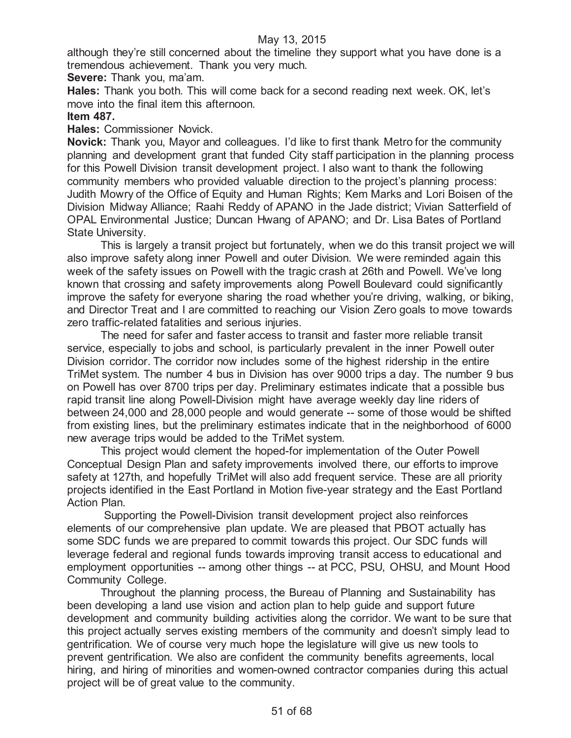although they're still concerned about the timeline they support what you have done is a tremendous achievement. Thank you very much.

**Severe:** Thank you, ma'am.

**Hales:** Thank you both. This will come back for a second reading next week. OK, let's move into the final item this afternoon.

# **Item 487.**

**Hales:** Commissioner Novick.

**Novick:** Thank you, Mayor and colleagues. I'd like to first thank Metro for the community planning and development grant that funded City staff participation in the planning process for this Powell Division transit development project. I also want to thank the following community members who provided valuable direction to the project's planning process: Judith Mowry of the Office of Equity and Human Rights; Kem Marks and Lori Boisen of the Division Midway Alliance; Raahi Reddy of APANO in the Jade district; Vivian Satterfield of OPAL Environmental Justice; Duncan Hwang of APANO; and Dr. Lisa Bates of Portland State University.

This is largely a transit project but fortunately, when we do this transit project we will also improve safety along inner Powell and outer Division. We were reminded again this week of the safety issues on Powell with the tragic crash at 26th and Powell. We've long known that crossing and safety improvements along Powell Boulevard could significantly improve the safety for everyone sharing the road whether you're driving, walking, or biking, and Director Treat and I are committed to reaching our Vision Zero goals to move towards zero traffic-related fatalities and serious injuries.

The need for safer and faster access to transit and faster more reliable transit service, especially to jobs and school, is particularly prevalent in the inner Powell outer Division corridor. The corridor now includes some of the highest ridership in the entire TriMet system. The number 4 bus in Division has over 9000 trips a day. The number 9 bus on Powell has over 8700 trips per day. Preliminary estimates indicate that a possible bus rapid transit line along Powell-Division might have average weekly day line riders of between 24,000 and 28,000 people and would generate -- some of those would be shifted from existing lines, but the preliminary estimates indicate that in the neighborhood of 6000 new average trips would be added to the TriMet system.

This project would clement the hoped-for implementation of the Outer Powell Conceptual Design Plan and safety improvements involved there, our efforts to improve safety at 127th, and hopefully TriMet will also add frequent service. These are all priority projects identified in the East Portland in Motion five-year strategy and the East Portland Action Plan.

Supporting the Powell-Division transit development project also reinforces elements of our comprehensive plan update. We are pleased that PBOT actually has some SDC funds we are prepared to commit towards this project. Our SDC funds will leverage federal and regional funds towards improving transit access to educational and employment opportunities -- among other things -- at PCC, PSU, OHSU, and Mount Hood Community College.

Throughout the planning process, the Bureau of Planning and Sustainability has been developing a land use vision and action plan to help guide and support future development and community building activities along the corridor. We want to be sure that this project actually serves existing members of the community and doesn't simply lead to gentrification. We of course very much hope the legislature will give us new tools to prevent gentrification. We also are confident the community benefits agreements, local hiring, and hiring of minorities and women-owned contractor companies during this actual project will be of great value to the community.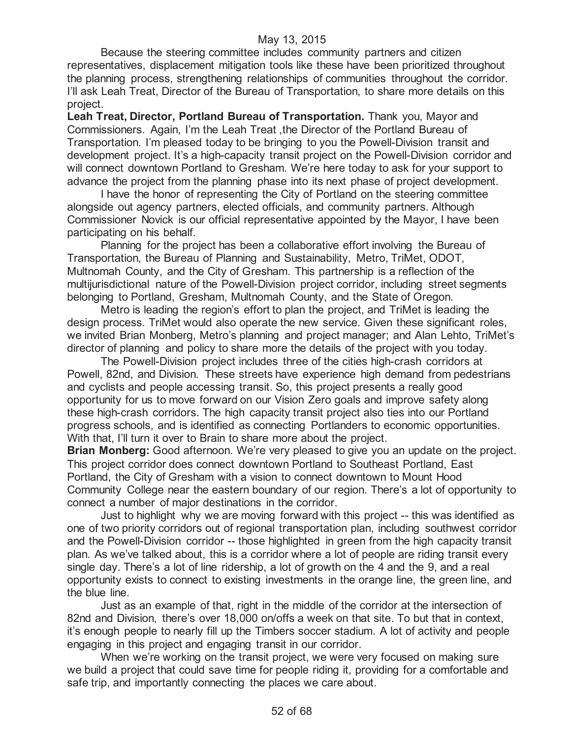Because the steering committee includes community partners and citizen representatives, displacement mitigation tools like these have been prioritized throughout the planning process, strengthening relationships of communities throughout the corridor. I'll ask Leah Treat, Director of the Bureau of Transportation, to share more details on this project.

**Leah Treat, Director, Portland Bureau of Transportation.** Thank you, Mayor and Commissioners. Again, I'm the Leah Treat ,the Director of the Portland Bureau of Transportation. I'm pleased today to be bringing to you the Powell-Division transit and development project. It's a high-capacity transit project on the Powell-Division corridor and will connect downtown Portland to Gresham. We're here today to ask for your support to advance the project from the planning phase into its next phase of project development.

I have the honor of representing the City of Portland on the steering committee alongside out agency partners, elected officials, and community partners. Although Commissioner Novick is our official representative appointed by the Mayor, I have been participating on his behalf.

Planning for the project has been a collaborative effort involving the Bureau of Transportation, the Bureau of Planning and Sustainability, Metro, TriMet, ODOT, Multnomah County, and the City of Gresham. This partnership is a reflection of the multijurisdictional nature of the Powell-Division project corridor, including street segments belonging to Portland, Gresham, Multnomah County, and the State of Oregon.

Metro is leading the region's effort to plan the project, and TriMet is leading the design process. TriMet would also operate the new service. Given these significant roles, we invited Brian Monberg, Metro's planning and project manager; and Alan Lehto, TriMet's director of planning and policy to share more the details of the project with you today.

The Powell-Division project includes three of the cities high-crash corridors at Powell, 82nd, and Division. These streets have experience high demand from pedestrians and cyclists and people accessing transit. So, this project presents a really good opportunity for us to move forward on our Vision Zero goals and improve safety along these high-crash corridors. The high capacity transit project also ties into our Portland progress schools, and is identified as connecting Portlanders to economic opportunities. With that, I'll turn it over to Brain to share more about the project.

**Brian Monberg:** Good afternoon. We're very pleased to give you an update on the project. This project corridor does connect downtown Portland to Southeast Portland, East Portland, the City of Gresham with a vision to connect downtown to Mount Hood Community College near the eastern boundary of our region. There's a lot of opportunity to connect a number of major destinations in the corridor.

Just to highlight why we are moving forward with this project -- this was identified as one of two priority corridors out of regional transportation plan, including southwest corridor and the Powell-Division corridor -- those highlighted in green from the high capacity transit plan. As we've talked about, this is a corridor where a lot of people are riding transit every single day. There's a lot of line ridership, a lot of growth on the 4 and the 9, and a real opportunity exists to connect to existing investments in the orange line, the green line, and the blue line.

Just as an example of that, right in the middle of the corridor at the intersection of 82nd and Division, there's over 18,000 on/offs a week on that site. To but that in context, it's enough people to nearly fill up the Timbers soccer stadium. A lot of activity and people engaging in this project and engaging transit in our corridor.

When we're working on the transit project, we were very focused on making sure we build a project that could save time for people riding it, providing for a comfortable and safe trip, and importantly connecting the places we care about.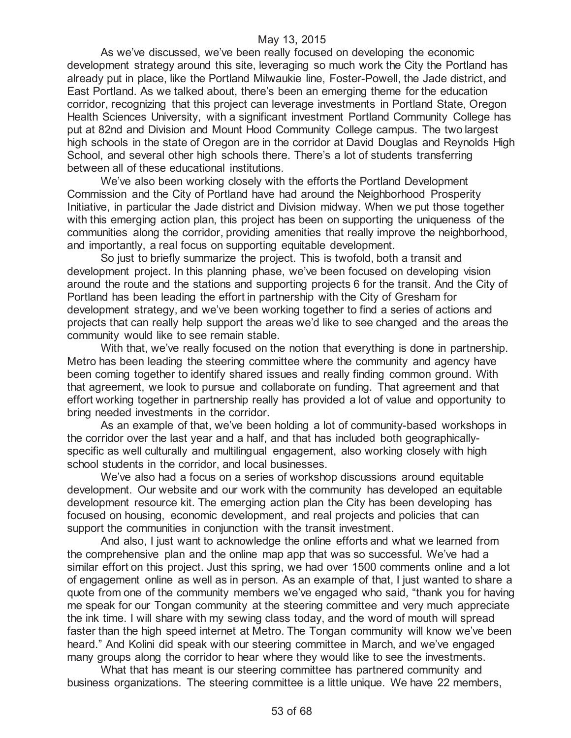As we've discussed, we've been really focused on developing the economic development strategy around this site, leveraging so much work the City the Portland has already put in place, like the Portland Milwaukie line, Foster-Powell, the Jade district, and East Portland. As we talked about, there's been an emerging theme for the education corridor, recognizing that this project can leverage investments in Portland State, Oregon Health Sciences University, with a significant investment Portland Community College has put at 82nd and Division and Mount Hood Community College campus. The two largest high schools in the state of Oregon are in the corridor at David Douglas and Reynolds High School, and several other high schools there. There's a lot of students transferring between all of these educational institutions.

We've also been working closely with the efforts the Portland Development Commission and the City of Portland have had around the Neighborhood Prosperity Initiative, in particular the Jade district and Division midway. When we put those together with this emerging action plan, this project has been on supporting the uniqueness of the communities along the corridor, providing amenities that really improve the neighborhood, and importantly, a real focus on supporting equitable development.

So just to briefly summarize the project. This is twofold, both a transit and development project. In this planning phase, we've been focused on developing vision around the route and the stations and supporting projects 6 for the transit. And the City of Portland has been leading the effort in partnership with the City of Gresham for development strategy, and we've been working together to find a series of actions and projects that can really help support the areas we'd like to see changed and the areas the community would like to see remain stable.

With that, we've really focused on the notion that everything is done in partnership. Metro has been leading the steering committee where the community and agency have been coming together to identify shared issues and really finding common ground. With that agreement, we look to pursue and collaborate on funding. That agreement and that effort working together in partnership really has provided a lot of value and opportunity to bring needed investments in the corridor.

As an example of that, we've been holding a lot of community-based workshops in the corridor over the last year and a half, and that has included both geographicallyspecific as well culturally and multilingual engagement, also working closely with high school students in the corridor, and local businesses.

We've also had a focus on a series of workshop discussions around equitable development. Our website and our work with the community has developed an equitable development resource kit. The emerging action plan the City has been developing has focused on housing, economic development, and real projects and policies that can support the communities in conjunction with the transit investment.

And also, I just want to acknowledge the online efforts and what we learned from the comprehensive plan and the online map app that was so successful. We've had a similar effort on this project. Just this spring, we had over 1500 comments online and a lot of engagement online as well as in person. As an example of that, I just wanted to share a quote from one of the community members we've engaged who said, "thank you for having me speak for our Tongan community at the steering committee and very much appreciate the ink time. I will share with my sewing class today, and the word of mouth will spread faster than the high speed internet at Metro. The Tongan community will know we've been heard." And Kolini did speak with our steering committee in March, and we've engaged many groups along the corridor to hear where they would like to see the investments.

What that has meant is our steering committee has partnered community and business organizations. The steering committee is a little unique. We have 22 members,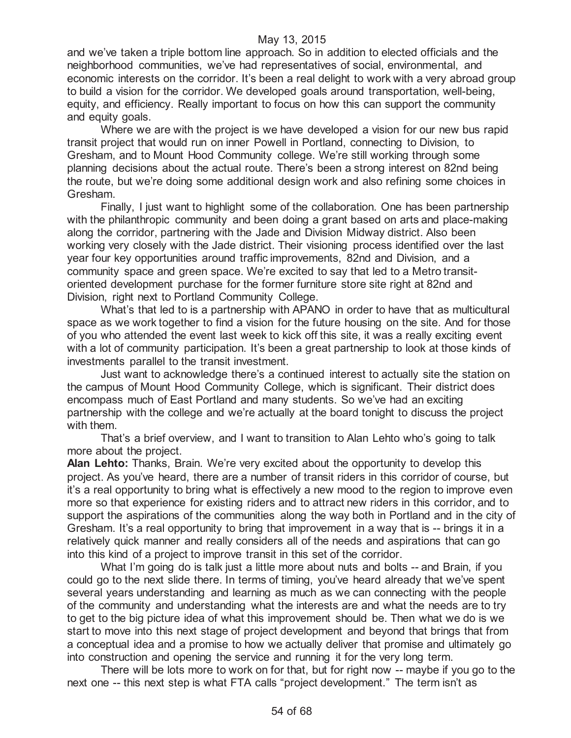and we've taken a triple bottom line approach. So in addition to elected officials and the neighborhood communities, we've had representatives of social, environmental, and economic interests on the corridor. It's been a real delight to work with a very abroad group to build a vision for the corridor. We developed goals around transportation, well-being, equity, and efficiency. Really important to focus on how this can support the community and equity goals.

Where we are with the project is we have developed a vision for our new bus rapid transit project that would run on inner Powell in Portland, connecting to Division, to Gresham, and to Mount Hood Community college. We're still working through some planning decisions about the actual route. There's been a strong interest on 82nd being the route, but we're doing some additional design work and also refining some choices in Gresham.

Finally, I just want to highlight some of the collaboration. One has been partnership with the philanthropic community and been doing a grant based on arts and place-making along the corridor, partnering with the Jade and Division Midway district. Also been working very closely with the Jade district. Their visioning process identified over the last year four key opportunities around traffic improvements, 82nd and Division, and a community space and green space. We're excited to say that led to a Metro transitoriented development purchase for the former furniture store site right at 82nd and Division, right next to Portland Community College.

What's that led to is a partnership with APANO in order to have that as multicultural space as we work together to find a vision for the future housing on the site. And for those of you who attended the event last week to kick off this site, it was a really exciting event with a lot of community participation. It's been a great partnership to look at those kinds of investments parallel to the transit investment.

Just want to acknowledge there's a continued interest to actually site the station on the campus of Mount Hood Community College, which is significant. Their district does encompass much of East Portland and many students. So we've had an exciting partnership with the college and we're actually at the board tonight to discuss the project with them.

That's a brief overview, and I want to transition to Alan Lehto who's going to talk more about the project.

**Alan Lehto:** Thanks, Brain. We're very excited about the opportunity to develop this project. As you've heard, there are a number of transit riders in this corridor of course, but it's a real opportunity to bring what is effectively a new mood to the region to improve even more so that experience for existing riders and to attract new riders in this corridor, and to support the aspirations of the communities along the way both in Portland and in the city of Gresham. It's a real opportunity to bring that improvement in a way that is -- brings it in a relatively quick manner and really considers all of the needs and aspirations that can go into this kind of a project to improve transit in this set of the corridor.

What I'm going do is talk just a little more about nuts and bolts -- and Brain, if you could go to the next slide there. In terms of timing, you've heard already that we've spent several years understanding and learning as much as we can connecting with the people of the community and understanding what the interests are and what the needs are to try to get to the big picture idea of what this improvement should be. Then what we do is we start to move into this next stage of project development and beyond that brings that from a conceptual idea and a promise to how we actually deliver that promise and ultimately go into construction and opening the service and running it for the very long term.

There will be lots more to work on for that, but for right now -- maybe if you go to the next one -- this next step is what FTA calls "project development." The term isn't as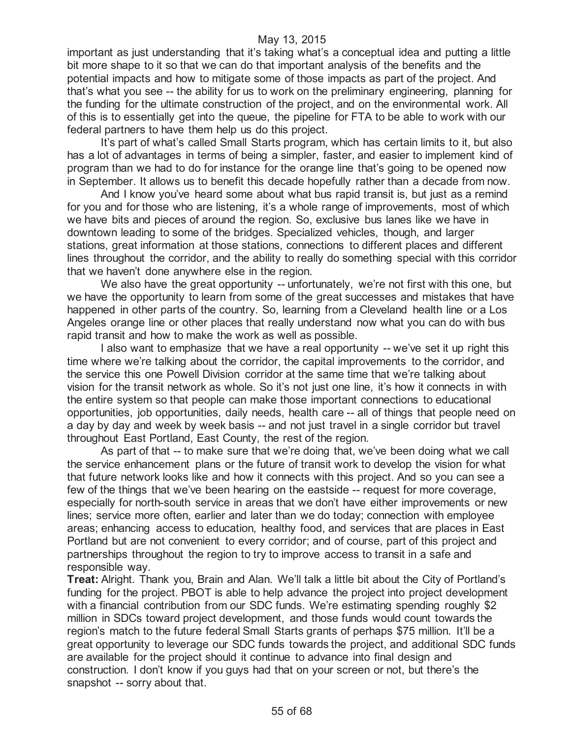important as just understanding that it's taking what's a conceptual idea and putting a little bit more shape to it so that we can do that important analysis of the benefits and the potential impacts and how to mitigate some of those impacts as part of the project. And that's what you see -- the ability for us to work on the preliminary engineering, planning for the funding for the ultimate construction of the project, and on the environmental work. All of this is to essentially get into the queue, the pipeline for FTA to be able to work with our federal partners to have them help us do this project.

It's part of what's called Small Starts program, which has certain limits to it, but also has a lot of advantages in terms of being a simpler, faster, and easier to implement kind of program than we had to do for instance for the orange line that's going to be opened now in September. It allows us to benefit this decade hopefully rather than a decade from now.

And I know you've heard some about what bus rapid transit is, but just as a remind for you and for those who are listening, it's a whole range of improvements, most of which we have bits and pieces of around the region. So, exclusive bus lanes like we have in downtown leading to some of the bridges. Specialized vehicles, though, and larger stations, great information at those stations, connections to different places and different lines throughout the corridor, and the ability to really do something special with this corridor that we haven't done anywhere else in the region.

We also have the great opportunity -- unfortunately, we're not first with this one, but we have the opportunity to learn from some of the great successes and mistakes that have happened in other parts of the country. So, learning from a Cleveland health line or a Los Angeles orange line or other places that really understand now what you can do with bus rapid transit and how to make the work as well as possible.

I also want to emphasize that we have a real opportunity -- we've set it up right this time where we're talking about the corridor, the capital improvements to the corridor, and the service this one Powell Division corridor at the same time that we're talking about vision for the transit network as whole. So it's not just one line, it's how it connects in with the entire system so that people can make those important connections to educational opportunities, job opportunities, daily needs, health care -- all of things that people need on a day by day and week by week basis -- and not just travel in a single corridor but travel throughout East Portland, East County, the rest of the region.

As part of that -- to make sure that we're doing that, we've been doing what we call the service enhancement plans or the future of transit work to develop the vision for what that future network looks like and how it connects with this project. And so you can see a few of the things that we've been hearing on the eastside -- request for more coverage, especially for north-south service in areas that we don't have either improvements or new lines; service more often, earlier and later than we do today; connection with employee areas; enhancing access to education, healthy food, and services that are places in East Portland but are not convenient to every corridor; and of course, part of this project and partnerships throughout the region to try to improve access to transit in a safe and responsible way.

**Treat:** Alright. Thank you, Brain and Alan. We'll talk a little bit about the City of Portland's funding for the project. PBOT is able to help advance the project into project development with a financial contribution from our SDC funds. We're estimating spending roughly \$2 million in SDCs toward project development, and those funds would count towards the region's match to the future federal Small Starts grants of perhaps \$75 million. It'll be a great opportunity to leverage our SDC funds towards the project, and additional SDC funds are available for the project should it continue to advance into final design and construction. I don't know if you guys had that on your screen or not, but there's the snapshot -- sorry about that.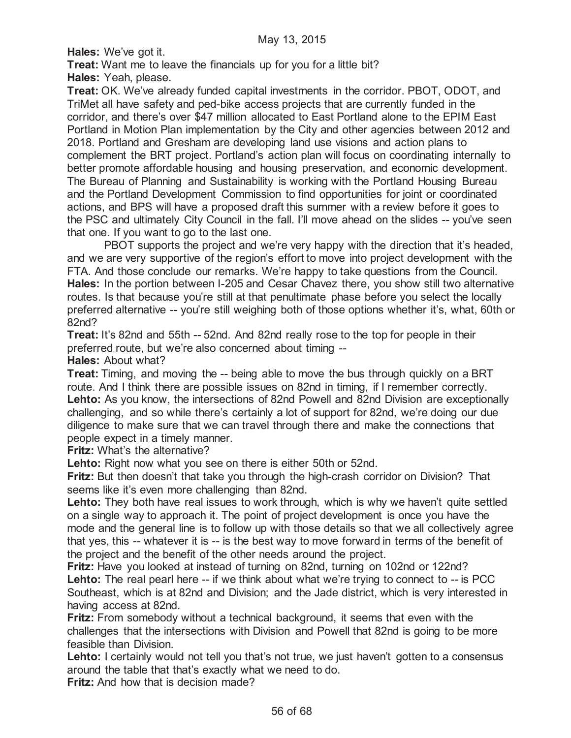**Hales:** We've got it.

**Treat:** Want me to leave the financials up for you for a little bit?

**Hales:** Yeah, please.

**Treat:** OK. We've already funded capital investments in the corridor. PBOT, ODOT, and TriMet all have safety and ped-bike access projects that are currently funded in the corridor, and there's over \$47 million allocated to East Portland alone to the EPIM East Portland in Motion Plan implementation by the City and other agencies between 2012 and 2018. Portland and Gresham are developing land use visions and action plans to complement the BRT project. Portland's action plan will focus on coordinating internally to better promote affordable housing and housing preservation, and economic development. The Bureau of Planning and Sustainability is working with the Portland Housing Bureau and the Portland Development Commission to find opportunities for joint or coordinated actions, and BPS will have a proposed draft this summer with a review before it goes to the PSC and ultimately City Council in the fall. I'll move ahead on the slides -- you've seen that one. If you want to go to the last one.

PBOT supports the project and we're very happy with the direction that it's headed, and we are very supportive of the region's effort to move into project development with the FTA. And those conclude our remarks. We're happy to take questions from the Council. **Hales:** In the portion between I-205 and Cesar Chavez there, you show still two alternative routes. Is that because you're still at that penultimate phase before you select the locally preferred alternative -- you're still weighing both of those options whether it's, what, 60th or 82nd?

**Treat:** It's 82nd and 55th -- 52nd. And 82nd really rose to the top for people in their preferred route, but we're also concerned about timing --

**Hales:** About what?

**Treat:** Timing, and moving the -- being able to move the bus through quickly on a BRT route. And I think there are possible issues on 82nd in timing, if I remember correctly. **Lehto:** As you know, the intersections of 82nd Powell and 82nd Division are exceptionally challenging, and so while there's certainly a lot of support for 82nd, we're doing our due diligence to make sure that we can travel through there and make the connections that people expect in a timely manner.

**Fritz:** What's the alternative?

Lehto: Right now what you see on there is either 50th or 52nd.

**Fritz:** But then doesn't that take you through the high-crash corridor on Division? That seems like it's even more challenging than 82nd.

Lehto: They both have real issues to work through, which is why we haven't quite settled on a single way to approach it. The point of project development is once you have the mode and the general line is to follow up with those details so that we all collectively agree that yes, this -- whatever it is -- is the best way to move forward in terms of the benefit of the project and the benefit of the other needs around the project.

**Fritz:** Have you looked at instead of turning on 82nd, turning on 102nd or 122nd? Lehto: The real pearl here -- if we think about what we're trying to connect to -- is PCC Southeast, which is at 82nd and Division; and the Jade district, which is very interested in having access at 82nd.

**Fritz:** From somebody without a technical background, it seems that even with the challenges that the intersections with Division and Powell that 82nd is going to be more feasible than Division.

Lehto: I certainly would not tell you that's not true, we just haven't gotten to a consensus around the table that that's exactly what we need to do.

**Fritz:** And how that is decision made?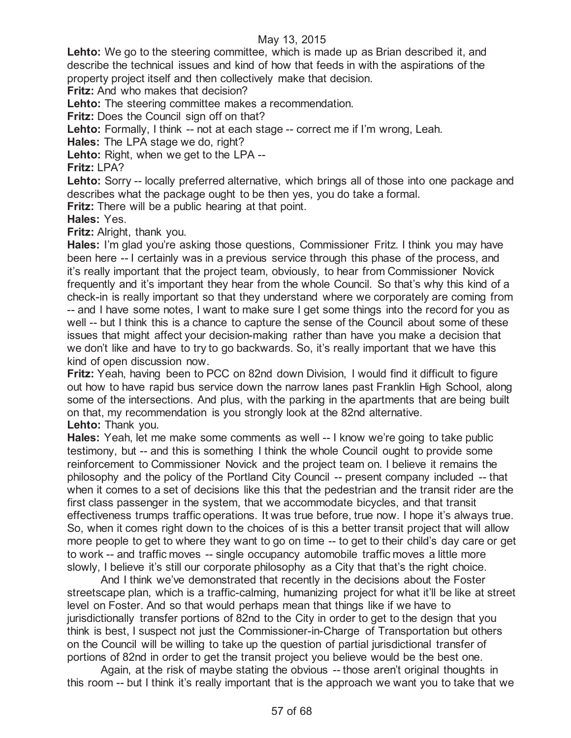**Lehto:** We go to the steering committee, which is made up as Brian described it, and describe the technical issues and kind of how that feeds in with the aspirations of the property project itself and then collectively make that decision.

**Fritz:** And who makes that decision?

Lehto: The steering committee makes a recommendation.

**Fritz:** Does the Council sign off on that?

**Lehto:** Formally, I think -- not at each stage -- correct me if I'm wrong, Leah.

**Hales:** The LPA stage we do, right?

Lehto: Right, when we get to the LPA --

**Fritz:** LPA?

Lehto: Sorry -- locally preferred alternative, which brings all of those into one package and describes what the package ought to be then yes, you do take a formal.

**Fritz:** There will be a public hearing at that point.

**Hales:** Yes.

**Fritz:** Alright, thank you.

**Hales:** I'm glad you're asking those questions, Commissioner Fritz. I think you may have been here -- I certainly was in a previous service through this phase of the process, and it's really important that the project team, obviously, to hear from Commissioner Novick frequently and it's important they hear from the whole Council. So that's why this kind of a check-in is really important so that they understand where we corporately are coming from -- and I have some notes, I want to make sure I get some things into the record for you as well -- but I think this is a chance to capture the sense of the Council about some of these issues that might affect your decision-making rather than have you make a decision that we don't like and have to try to go backwards. So, it's really important that we have this kind of open discussion now.

**Fritz:** Yeah, having been to PCC on 82nd down Division, I would find it difficult to figure out how to have rapid bus service down the narrow lanes past Franklin High School, along some of the intersections. And plus, with the parking in the apartments that are being built on that, my recommendation is you strongly look at the 82nd alternative. **Lehto:** Thank you.

**Hales:** Yeah, let me make some comments as well -- I know we're going to take public testimony, but -- and this is something I think the whole Council ought to provide some reinforcement to Commissioner Novick and the project team on. I believe it remains the philosophy and the policy of the Portland City Council -- present company included -- that when it comes to a set of decisions like this that the pedestrian and the transit rider are the first class passenger in the system, that we accommodate bicycles, and that transit effectiveness trumps traffic operations. It was true before, true now. I hope it's always true. So, when it comes right down to the choices of is this a better transit project that will allow more people to get to where they want to go on time -- to get to their child's day care or get to work -- and traffic moves -- single occupancy automobile traffic moves a little more slowly, I believe it's still our corporate philosophy as a City that that's the right choice.

And I think we've demonstrated that recently in the decisions about the Foster streetscape plan, which is a traffic-calming, humanizing project for what it'll be like at street level on Foster. And so that would perhaps mean that things like if we have to jurisdictionally transfer portions of 82nd to the City in order to get to the design that you think is best, I suspect not just the Commissioner-in-Charge of Transportation but others on the Council will be willing to take up the question of partial jurisdictional transfer of portions of 82nd in order to get the transit project you believe would be the best one.

Again, at the risk of maybe stating the obvious -- those aren't original thoughts in this room -- but I think it's really important that is the approach we want you to take that we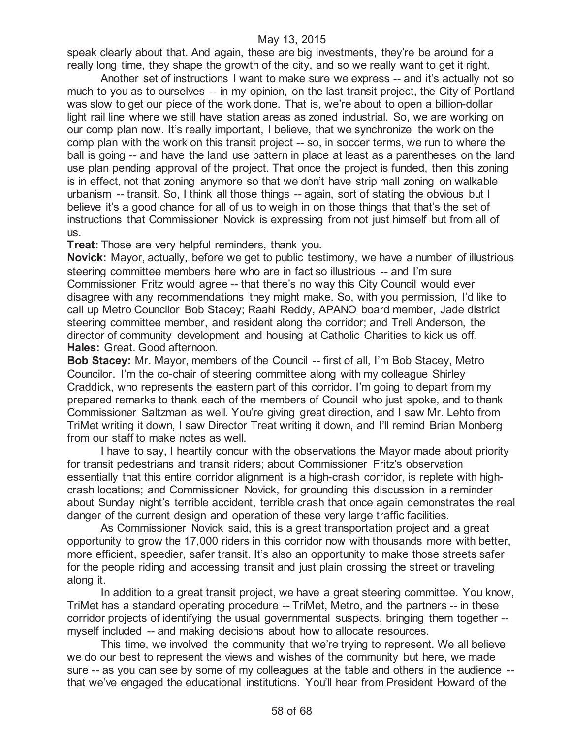speak clearly about that. And again, these are big investments, they're be around for a really long time, they shape the growth of the city, and so we really want to get it right.

Another set of instructions I want to make sure we express -- and it's actually not so much to you as to ourselves -- in my opinion, on the last transit project, the City of Portland was slow to get our piece of the work done. That is, we're about to open a billion-dollar light rail line where we still have station areas as zoned industrial. So, we are working on our comp plan now. It's really important, I believe, that we synchronize the work on the comp plan with the work on this transit project -- so, in soccer terms, we run to where the ball is going -- and have the land use pattern in place at least as a parentheses on the land use plan pending approval of the project. That once the project is funded, then this zoning is in effect, not that zoning anymore so that we don't have strip mall zoning on walkable urbanism -- transit. So, I think all those things -- again, sort of stating the obvious but I believe it's a good chance for all of us to weigh in on those things that that's the set of instructions that Commissioner Novick is expressing from not just himself but from all of us.

**Treat:** Those are very helpful reminders, thank you.

**Novick:** Mayor, actually, before we get to public testimony, we have a number of illustrious steering committee members here who are in fact so illustrious -- and I'm sure Commissioner Fritz would agree -- that there's no way this City Council would ever disagree with any recommendations they might make. So, with you permission, I'd like to call up Metro Councilor Bob Stacey; Raahi Reddy, APANO board member, Jade district steering committee member, and resident along the corridor; and Trell Anderson, the director of community development and housing at Catholic Charities to kick us off. **Hales:** Great. Good afternoon.

**Bob Stacey:** Mr. Mayor, members of the Council -- first of all, I'm Bob Stacey, Metro Councilor. I'm the co-chair of steering committee along with my colleague Shirley Craddick, who represents the eastern part of this corridor. I'm going to depart from my prepared remarks to thank each of the members of Council who just spoke, and to thank Commissioner Saltzman as well. You're giving great direction, and I saw Mr. Lehto from TriMet writing it down, I saw Director Treat writing it down, and I'll remind Brian Monberg from our staff to make notes as well.

I have to say, I heartily concur with the observations the Mayor made about priority for transit pedestrians and transit riders; about Commissioner Fritz's observation essentially that this entire corridor alignment is a high-crash corridor, is replete with highcrash locations; and Commissioner Novick, for grounding this discussion in a reminder about Sunday night's terrible accident, terrible crash that once again demonstrates the real danger of the current design and operation of these very large traffic facilities.

As Commissioner Novick said, this is a great transportation project and a great opportunity to grow the 17,000 riders in this corridor now with thousands more with better, more efficient, speedier, safer transit. It's also an opportunity to make those streets safer for the people riding and accessing transit and just plain crossing the street or traveling along it.

In addition to a great transit project, we have a great steering committee. You know, TriMet has a standard operating procedure -- TriMet, Metro, and the partners -- in these corridor projects of identifying the usual governmental suspects, bringing them together - myself included -- and making decisions about how to allocate resources.

This time, we involved the community that we're trying to represent. We all believe we do our best to represent the views and wishes of the community but here, we made sure -- as you can see by some of my colleagues at the table and others in the audience - that we've engaged the educational institutions. You'll hear from President Howard of the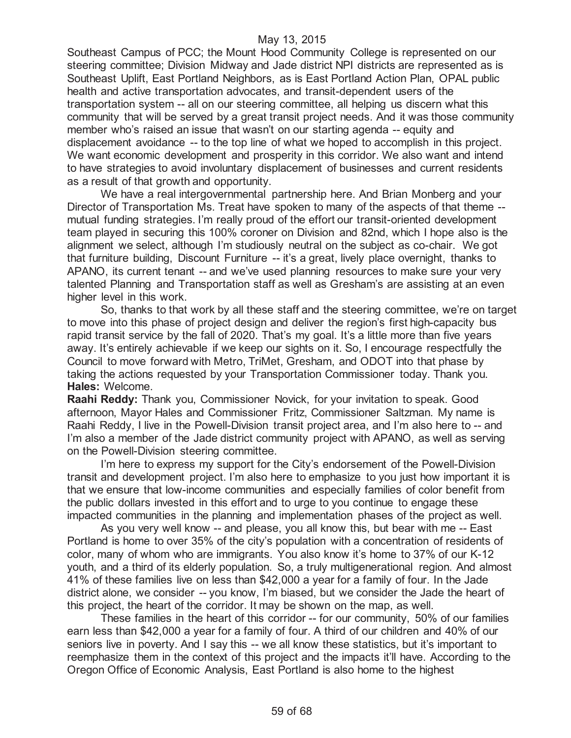Southeast Campus of PCC; the Mount Hood Community College is represented on our steering committee; Division Midway and Jade district NPI districts are represented as is Southeast Uplift, East Portland Neighbors, as is East Portland Action Plan, OPAL public health and active transportation advocates, and transit-dependent users of the transportation system -- all on our steering committee, all helping us discern what this community that will be served by a great transit project needs. And it was those community member who's raised an issue that wasn't on our starting agenda -- equity and displacement avoidance -- to the top line of what we hoped to accomplish in this project. We want economic development and prosperity in this corridor. We also want and intend to have strategies to avoid involuntary displacement of businesses and current residents as a result of that growth and opportunity.

We have a real intergovernmental partnership here. And Brian Monberg and your Director of Transportation Ms. Treat have spoken to many of the aspects of that theme - mutual funding strategies. I'm really proud of the effort our transit-oriented development team played in securing this 100% coroner on Division and 82nd, which I hope also is the alignment we select, although I'm studiously neutral on the subject as co-chair. We got that furniture building, Discount Furniture -- it's a great, lively place overnight, thanks to APANO, its current tenant -- and we've used planning resources to make sure your very talented Planning and Transportation staff as well as Gresham's are assisting at an even higher level in this work.

So, thanks to that work by all these staff and the steering committee, we're on target to move into this phase of project design and deliver the region's first high-capacity bus rapid transit service by the fall of 2020. That's my goal. It's a little more than five years away. It's entirely achievable if we keep our sights on it. So, I encourage respectfully the Council to move forward with Metro, TriMet, Gresham, and ODOT into that phase by taking the actions requested by your Transportation Commissioner today. Thank you. **Hales:** Welcome.

**Raahi Reddy:** Thank you, Commissioner Novick, for your invitation to speak. Good afternoon, Mayor Hales and Commissioner Fritz, Commissioner Saltzman. My name is Raahi Reddy, I live in the Powell-Division transit project area, and I'm also here to -- and I'm also a member of the Jade district community project with APANO, as well as serving on the Powell-Division steering committee.

I'm here to express my support for the City's endorsement of the Powell-Division transit and development project. I'm also here to emphasize to you just how important it is that we ensure that low-income communities and especially families of color benefit from the public dollars invested in this effort and to urge to you continue to engage these impacted communities in the planning and implementation phases of the project as well.

As you very well know -- and please, you all know this, but bear with me -- East Portland is home to over 35% of the city's population with a concentration of residents of color, many of whom who are immigrants. You also know it's home to 37% of our K-12 youth, and a third of its elderly population. So, a truly multigenerational region. And almost 41% of these families live on less than \$42,000 a year for a family of four. In the Jade district alone, we consider -- you know, I'm biased, but we consider the Jade the heart of this project, the heart of the corridor. It may be shown on the map, as well.

These families in the heart of this corridor -- for our community, 50% of our families earn less than \$42,000 a year for a family of four. A third of our children and 40% of our seniors live in poverty. And I say this -- we all know these statistics, but it's important to reemphasize them in the context of this project and the impacts it'll have. According to the Oregon Office of Economic Analysis, East Portland is also home to the highest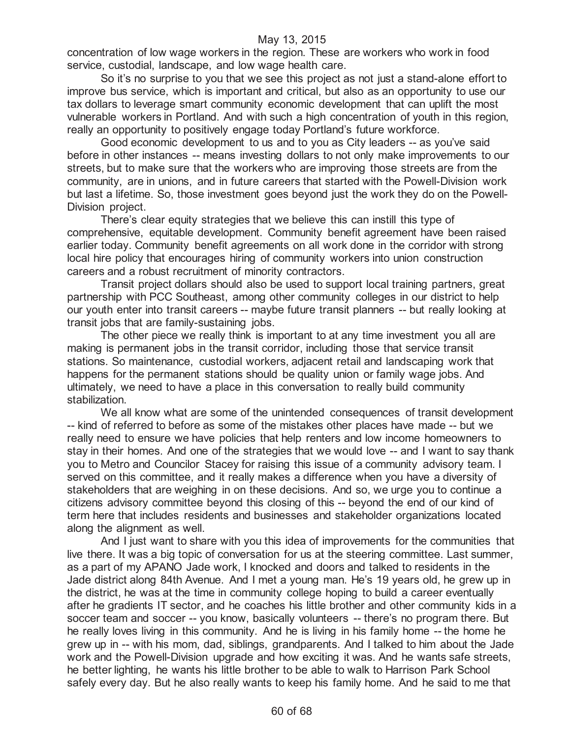concentration of low wage workers in the region. These are workers who work in food service, custodial, landscape, and low wage health care.

So it's no surprise to you that we see this project as not just a stand-alone effort to improve bus service, which is important and critical, but also as an opportunity to use our tax dollars to leverage smart community economic development that can uplift the most vulnerable workers in Portland. And with such a high concentration of youth in this region, really an opportunity to positively engage today Portland's future workforce.

Good economic development to us and to you as City leaders -- as you've said before in other instances -- means investing dollars to not only make improvements to our streets, but to make sure that the workers who are improving those streets are from the community, are in unions, and in future careers that started with the Powell-Division work but last a lifetime. So, those investment goes beyond just the work they do on the Powell-Division project.

There's clear equity strategies that we believe this can instill this type of comprehensive, equitable development. Community benefit agreement have been raised earlier today. Community benefit agreements on all work done in the corridor with strong local hire policy that encourages hiring of community workers into union construction careers and a robust recruitment of minority contractors.

Transit project dollars should also be used to support local training partners, great partnership with PCC Southeast, among other community colleges in our district to help our youth enter into transit careers -- maybe future transit planners -- but really looking at transit jobs that are family-sustaining jobs.

The other piece we really think is important to at any time investment you all are making is permanent jobs in the transit corridor, including those that service transit stations. So maintenance, custodial workers, adjacent retail and landscaping work that happens for the permanent stations should be quality union or family wage jobs. And ultimately, we need to have a place in this conversation to really build community stabilization.

We all know what are some of the unintended consequences of transit development -- kind of referred to before as some of the mistakes other places have made -- but we really need to ensure we have policies that help renters and low income homeowners to stay in their homes. And one of the strategies that we would love -- and I want to say thank you to Metro and Councilor Stacey for raising this issue of a community advisory team. I served on this committee, and it really makes a difference when you have a diversity of stakeholders that are weighing in on these decisions. And so, we urge you to continue a citizens advisory committee beyond this closing of this -- beyond the end of our kind of term here that includes residents and businesses and stakeholder organizations located along the alignment as well.

And I just want to share with you this idea of improvements for the communities that live there. It was a big topic of conversation for us at the steering committee. Last summer, as a part of my APANO Jade work, I knocked and doors and talked to residents in the Jade district along 84th Avenue. And I met a young man. He's 19 years old, he grew up in the district, he was at the time in community college hoping to build a career eventually after he gradients IT sector, and he coaches his little brother and other community kids in a soccer team and soccer -- you know, basically volunteers -- there's no program there. But he really loves living in this community. And he is living in his family home -- the home he grew up in -- with his mom, dad, siblings, grandparents. And I talked to him about the Jade work and the Powell-Division upgrade and how exciting it was. And he wants safe streets, he better lighting, he wants his little brother to be able to walk to Harrison Park School safely every day. But he also really wants to keep his family home. And he said to me that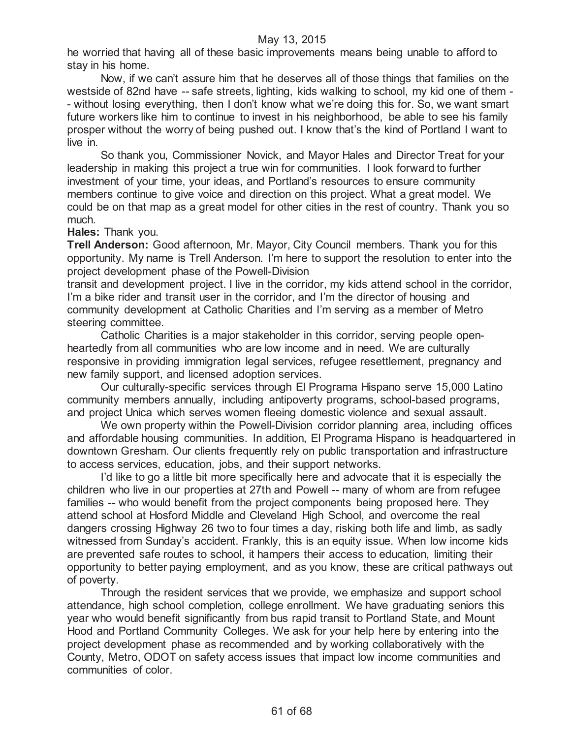he worried that having all of these basic improvements means being unable to afford to stay in his home.

Now, if we can't assure him that he deserves all of those things that families on the westside of 82nd have -- safe streets, lighting, kids walking to school, my kid one of them - - without losing everything, then I don't know what we're doing this for. So, we want smart future workers like him to continue to invest in his neighborhood, be able to see his family prosper without the worry of being pushed out. I know that's the kind of Portland I want to live in.

So thank you, Commissioner Novick, and Mayor Hales and Director Treat for your leadership in making this project a true win for communities. I look forward to further investment of your time, your ideas, and Portland's resources to ensure community members continue to give voice and direction on this project. What a great model. We could be on that map as a great model for other cities in the rest of country. Thank you so much.

# **Hales:** Thank you.

**Trell Anderson:** Good afternoon, Mr. Mayor, City Council members. Thank you for this opportunity. My name is Trell Anderson. I'm here to support the resolution to enter into the project development phase of the Powell-Division

transit and development project. I live in the corridor, my kids attend school in the corridor, I'm a bike rider and transit user in the corridor, and I'm the director of housing and community development at Catholic Charities and I'm serving as a member of Metro steering committee.

Catholic Charities is a major stakeholder in this corridor, serving people openheartedly from all communities who are low income and in need. We are culturally responsive in providing immigration legal services, refugee resettlement, pregnancy and new family support, and licensed adoption services.

Our culturally-specific services through El Programa Hispano serve 15,000 Latino community members annually, including antipoverty programs, school-based programs, and project Unica which serves women fleeing domestic violence and sexual assault.

We own property within the Powell-Division corridor planning area, including offices and affordable housing communities. In addition, El Programa Hispano is headquartered in downtown Gresham. Our clients frequently rely on public transportation and infrastructure to access services, education, jobs, and their support networks.

I'd like to go a little bit more specifically here and advocate that it is especially the children who live in our properties at 27th and Powell -- many of whom are from refugee families -- who would benefit from the project components being proposed here. They attend school at Hosford Middle and Cleveland High School, and overcome the real dangers crossing Highway 26 two to four times a day, risking both life and limb, as sadly witnessed from Sunday's accident. Frankly, this is an equity issue. When low income kids are prevented safe routes to school, it hampers their access to education, limiting their opportunity to better paying employment, and as you know, these are critical pathways out of poverty.

Through the resident services that we provide, we emphasize and support school attendance, high school completion, college enrollment. We have graduating seniors this year who would benefit significantly from bus rapid transit to Portland State, and Mount Hood and Portland Community Colleges. We ask for your help here by entering into the project development phase as recommended and by working collaboratively with the County, Metro, ODOT on safety access issues that impact low income communities and communities of color.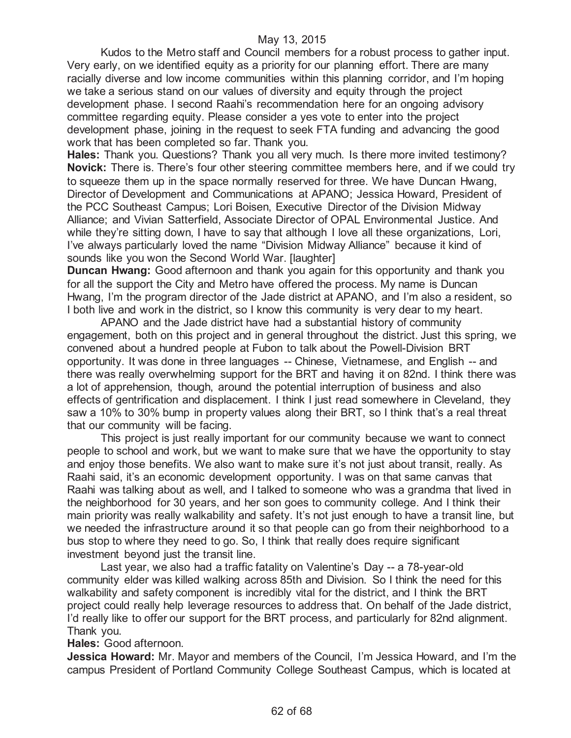Kudos to the Metro staff and Council members for a robust process to gather input. Very early, on we identified equity as a priority for our planning effort. There are many racially diverse and low income communities within this planning corridor, and I'm hoping we take a serious stand on our values of diversity and equity through the project development phase. I second Raahi's recommendation here for an ongoing advisory committee regarding equity. Please consider a yes vote to enter into the project development phase, joining in the request to seek FTA funding and advancing the good work that has been completed so far. Thank you.

**Hales:** Thank you. Questions? Thank you all very much. Is there more invited testimony? **Novick:** There is. There's four other steering committee members here, and if we could try to squeeze them up in the space normally reserved for three. We have Duncan Hwang, Director of Development and Communications at APANO; Jessica Howard, President of the PCC Southeast Campus; Lori Boisen, Executive Director of the Division Midway Alliance; and Vivian Satterfield, Associate Director of OPAL Environmental Justice. And while they're sitting down, I have to say that although I love all these organizations, Lori, I've always particularly loved the name "Division Midway Alliance" because it kind of sounds like you won the Second World War. [laughter]

**Duncan Hwang:** Good afternoon and thank you again for this opportunity and thank you for all the support the City and Metro have offered the process. My name is Duncan Hwang, I'm the program director of the Jade district at APANO, and I'm also a resident, so I both live and work in the district, so I know this community is very dear to my heart.

APANO and the Jade district have had a substantial history of community engagement, both on this project and in general throughout the district. Just this spring, we convened about a hundred people at Fubon to talk about the Powell-Division BRT opportunity. It was done in three languages -- Chinese, Vietnamese, and English -- and there was really overwhelming support for the BRT and having it on 82nd. I think there was a lot of apprehension, though, around the potential interruption of business and also effects of gentrification and displacement. I think I just read somewhere in Cleveland, they saw a 10% to 30% bump in property values along their BRT, so I think that's a real threat that our community will be facing.

This project is just really important for our community because we want to connect people to school and work, but we want to make sure that we have the opportunity to stay and enjoy those benefits. We also want to make sure it's not just about transit, really. As Raahi said, it's an economic development opportunity. I was on that same canvas that Raahi was talking about as well, and I talked to someone who was a grandma that lived in the neighborhood for 30 years, and her son goes to community college. And I think their main priority was really walkability and safety. It's not just enough to have a transit line, but we needed the infrastructure around it so that people can go from their neighborhood to a bus stop to where they need to go. So, I think that really does require significant investment beyond just the transit line.

Last year, we also had a traffic fatality on Valentine's Day -- a 78-year-old community elder was killed walking across 85th and Division. So I think the need for this walkability and safety component is incredibly vital for the district, and I think the BRT project could really help leverage resources to address that. On behalf of the Jade district, I'd really like to offer our support for the BRT process, and particularly for 82nd alignment. Thank you.

#### **Hales:** Good afternoon.

**Jessica Howard:** Mr. Mayor and members of the Council, I'm Jessica Howard, and I'm the campus President of Portland Community College Southeast Campus, which is located at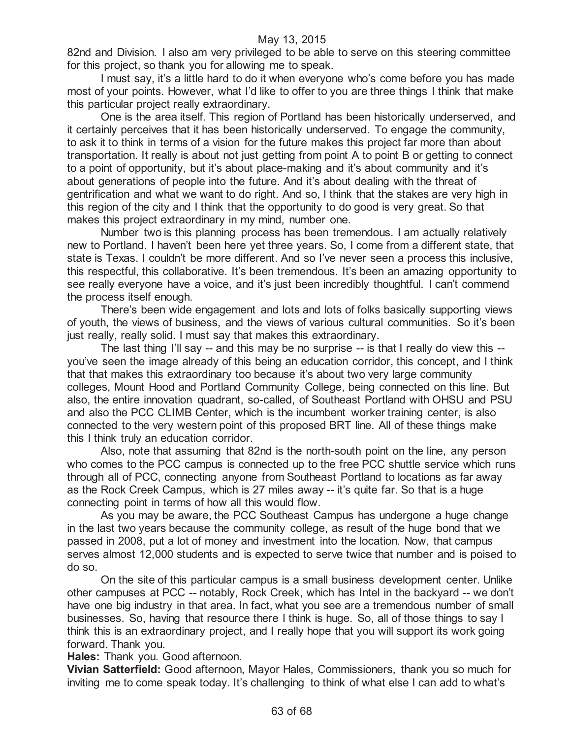82nd and Division. I also am very privileged to be able to serve on this steering committee for this project, so thank you for allowing me to speak.

I must say, it's a little hard to do it when everyone who's come before you has made most of your points. However, what I'd like to offer to you are three things I think that make this particular project really extraordinary.

One is the area itself. This region of Portland has been historically underserved, and it certainly perceives that it has been historically underserved. To engage the community, to ask it to think in terms of a vision for the future makes this project far more than about transportation. It really is about not just getting from point A to point B or getting to connect to a point of opportunity, but it's about place-making and it's about community and it's about generations of people into the future. And it's about dealing with the threat of gentrification and what we want to do right. And so, I think that the stakes are very high in this region of the city and I think that the opportunity to do good is very great. So that makes this project extraordinary in my mind, number one.

Number two is this planning process has been tremendous. I am actually relatively new to Portland. I haven't been here yet three years. So, I come from a different state, that state is Texas. I couldn't be more different. And so I've never seen a process this inclusive, this respectful, this collaborative. It's been tremendous. It's been an amazing opportunity to see really everyone have a voice, and it's just been incredibly thoughtful. I can't commend the process itself enough.

There's been wide engagement and lots and lots of folks basically supporting views of youth, the views of business, and the views of various cultural communities. So it's been just really, really solid. I must say that makes this extraordinary.

The last thing I'll say -- and this may be no surprise -- is that I really do view this -you've seen the image already of this being an education corridor, this concept, and I think that that makes this extraordinary too because it's about two very large community colleges, Mount Hood and Portland Community College, being connected on this line. But also, the entire innovation quadrant, so-called, of Southeast Portland with OHSU and PSU and also the PCC CLIMB Center, which is the incumbent worker training center, is also connected to the very western point of this proposed BRT line. All of these things make this I think truly an education corridor.

Also, note that assuming that 82nd is the north-south point on the line, any person who comes to the PCC campus is connected up to the free PCC shuttle service which runs through all of PCC, connecting anyone from Southeast Portland to locations as far away as the Rock Creek Campus, which is 27 miles away -- it's quite far. So that is a huge connecting point in terms of how all this would flow.

As you may be aware, the PCC Southeast Campus has undergone a huge change in the last two years because the community college, as result of the huge bond that we passed in 2008, put a lot of money and investment into the location. Now, that campus serves almost 12,000 students and is expected to serve twice that number and is poised to do so.

On the site of this particular campus is a small business development center. Unlike other campuses at PCC -- notably, Rock Creek, which has Intel in the backyard -- we don't have one big industry in that area. In fact, what you see are a tremendous number of small businesses. So, having that resource there I think is huge. So, all of those things to say I think this is an extraordinary project, and I really hope that you will support its work going forward. Thank you.

**Hales:** Thank you. Good afternoon.

**Vivian Satterfield:** Good afternoon, Mayor Hales, Commissioners, thank you so much for inviting me to come speak today. It's challenging to think of what else I can add to what's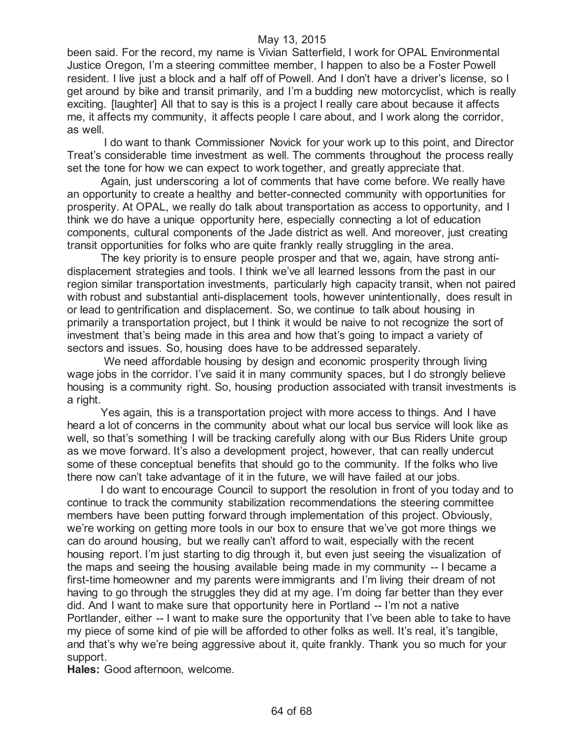been said. For the record, my name is Vivian Satterfield, I work for OPAL Environmental Justice Oregon, I'm a steering committee member, I happen to also be a Foster Powell resident. I live just a block and a half off of Powell. And I don't have a driver's license, so I get around by bike and transit primarily, and I'm a budding new motorcyclist, which is really exciting. [laughter] All that to say is this is a project I really care about because it affects me, it affects my community, it affects people I care about, and I work along the corridor, as well.

I do want to thank Commissioner Novick for your work up to this point, and Director Treat's considerable time investment as well. The comments throughout the process really set the tone for how we can expect to work together, and greatly appreciate that.

Again, just underscoring a lot of comments that have come before. We really have an opportunity to create a healthy and better-connected community with opportunities for prosperity. At OPAL, we really do talk about transportation as access to opportunity, and I think we do have a unique opportunity here, especially connecting a lot of education components, cultural components of the Jade district as well. And moreover, just creating transit opportunities for folks who are quite frankly really struggling in the area.

The key priority is to ensure people prosper and that we, again, have strong antidisplacement strategies and tools. I think we've all learned lessons from the past in our region similar transportation investments, particularly high capacity transit, when not paired with robust and substantial anti-displacement tools, however unintentionally, does result in or lead to gentrification and displacement. So, we continue to talk about housing in primarily a transportation project, but I think it would be naive to not recognize the sort of investment that's being made in this area and how that's going to impact a variety of sectors and issues. So, housing does have to be addressed separately.

We need affordable housing by design and economic prosperity through living wage jobs in the corridor. I've said it in many community spaces, but I do strongly believe housing is a community right. So, housing production associated with transit investments is a right.

Yes again, this is a transportation project with more access to things. And I have heard a lot of concerns in the community about what our local bus service will look like as well, so that's something I will be tracking carefully along with our Bus Riders Unite group as we move forward. It's also a development project, however, that can really undercut some of these conceptual benefits that should go to the community. If the folks who live there now can't take advantage of it in the future, we will have failed at our jobs.

I do want to encourage Council to support the resolution in front of you today and to continue to track the community stabilization recommendations the steering committee members have been putting forward through implementation of this project. Obviously, we're working on getting more tools in our box to ensure that we've got more things we can do around housing, but we really can't afford to wait, especially with the recent housing report. I'm just starting to dig through it, but even just seeing the visualization of the maps and seeing the housing available being made in my community -- I became a first-time homeowner and my parents were immigrants and I'm living their dream of not having to go through the struggles they did at my age. I'm doing far better than they ever did. And I want to make sure that opportunity here in Portland -- I'm not a native Portlander, either -- I want to make sure the opportunity that I've been able to take to have my piece of some kind of pie will be afforded to other folks as well. It's real, it's tangible, and that's why we're being aggressive about it, quite frankly. Thank you so much for your support.

**Hales:** Good afternoon, welcome.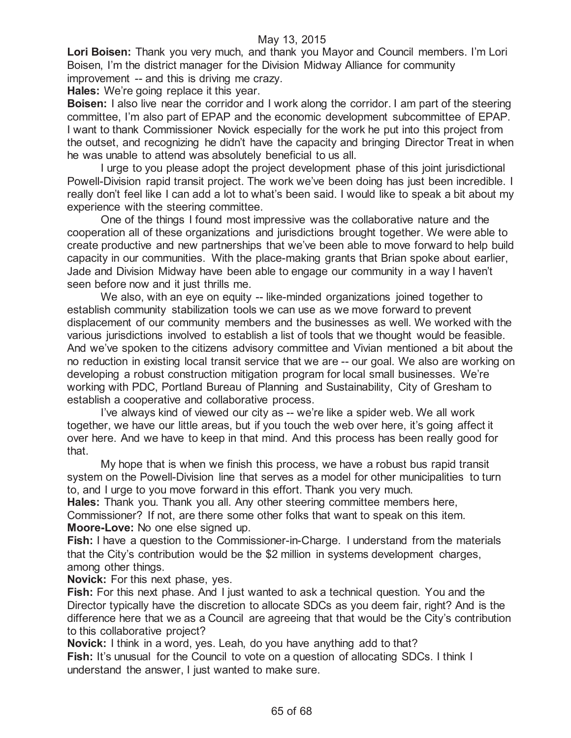**Lori Boisen:** Thank you very much, and thank you Mayor and Council members. I'm Lori Boisen, I'm the district manager for the Division Midway Alliance for community improvement -- and this is driving me crazy.

**Hales:** We're going replace it this year.

**Boisen:** I also live near the corridor and I work along the corridor. I am part of the steering committee, I'm also part of EPAP and the economic development subcommittee of EPAP. I want to thank Commissioner Novick especially for the work he put into this project from the outset, and recognizing he didn't have the capacity and bringing Director Treat in when he was unable to attend was absolutely beneficial to us all.

I urge to you please adopt the project development phase of this joint jurisdictional Powell-Division rapid transit project. The work we've been doing has just been incredible. I really don't feel like I can add a lot to what's been said. I would like to speak a bit about my experience with the steering committee.

One of the things I found most impressive was the collaborative nature and the cooperation all of these organizations and jurisdictions brought together. We were able to create productive and new partnerships that we've been able to move forward to help build capacity in our communities. With the place-making grants that Brian spoke about earlier, Jade and Division Midway have been able to engage our community in a way I haven't seen before now and it just thrills me.

We also, with an eye on equity -- like-minded organizations joined together to establish community stabilization tools we can use as we move forward to prevent displacement of our community members and the businesses as well. We worked with the various jurisdictions involved to establish a list of tools that we thought would be feasible. And we've spoken to the citizens advisory committee and Vivian mentioned a bit about the no reduction in existing local transit service that we are -- our goal. We also are working on developing a robust construction mitigation program for local small businesses. We're working with PDC, Portland Bureau of Planning and Sustainability, City of Gresham to establish a cooperative and collaborative process.

I've always kind of viewed our city as -- we're like a spider web. We all work together, we have our little areas, but if you touch the web over here, it's going affect it over here. And we have to keep in that mind. And this process has been really good for that.

My hope that is when we finish this process, we have a robust bus rapid transit system on the Powell-Division line that serves as a model for other municipalities to turn to, and I urge to you move forward in this effort. Thank you very much.

**Hales:** Thank you. Thank you all. Any other steering committee members here, Commissioner? If not, are there some other folks that want to speak on this item. **Moore-Love:** No one else signed up.

**Fish:** I have a question to the Commissioner-in-Charge. I understand from the materials that the City's contribution would be the \$2 million in systems development charges, among other things.

**Novick:** For this next phase, yes.

**Fish:** For this next phase. And I just wanted to ask a technical question. You and the Director typically have the discretion to allocate SDCs as you deem fair, right? And is the difference here that we as a Council are agreeing that that would be the City's contribution to this collaborative project?

**Novick:** I think in a word, yes. Leah, do you have anything add to that? **Fish:** It's unusual for the Council to vote on a question of allocating SDCs. I think I understand the answer, I just wanted to make sure.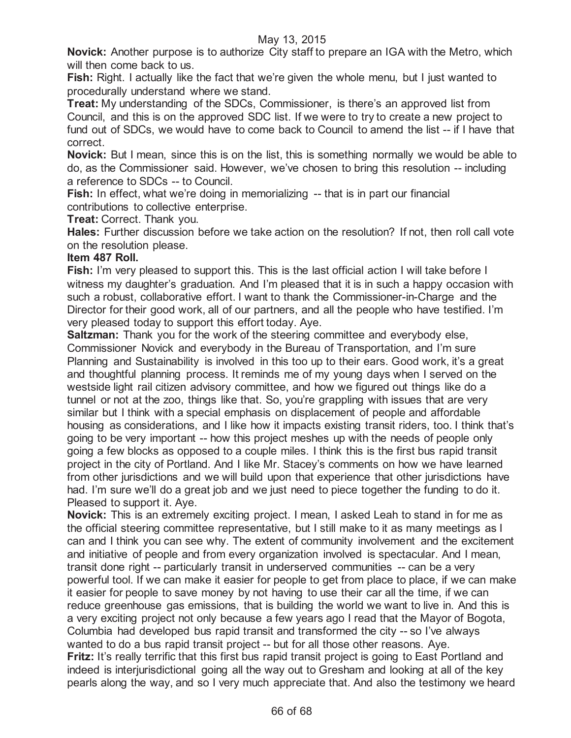**Novick:** Another purpose is to authorize City staff to prepare an IGA with the Metro, which will then come back to us.

**Fish:** Right. I actually like the fact that we're given the whole menu, but I just wanted to procedurally understand where we stand.

**Treat:** My understanding of the SDCs, Commissioner, is there's an approved list from Council, and this is on the approved SDC list. If we were to try to create a new project to fund out of SDCs, we would have to come back to Council to amend the list -- if I have that correct.

**Novick:** But I mean, since this is on the list, this is something normally we would be able to do, as the Commissioner said. However, we've chosen to bring this resolution -- including a reference to SDCs -- to Council.

**Fish:** In effect, what we're doing in memorializing -- that is in part our financial contributions to collective enterprise.

**Treat:** Correct. Thank you.

**Hales:** Further discussion before we take action on the resolution? If not, then roll call vote on the resolution please.

# **Item 487 Roll.**

**Fish:** I'm very pleased to support this. This is the last official action I will take before I witness my daughter's graduation. And I'm pleased that it is in such a happy occasion with such a robust, collaborative effort. I want to thank the Commissioner-in-Charge and the Director for their good work, all of our partners, and all the people who have testified. I'm very pleased today to support this effort today. Aye.

**Saltzman:** Thank you for the work of the steering committee and everybody else, Commissioner Novick and everybody in the Bureau of Transportation, and I'm sure Planning and Sustainability is involved in this too up to their ears. Good work, it's a great and thoughtful planning process. It reminds me of my young days when I served on the westside light rail citizen advisory committee, and how we figured out things like do a tunnel or not at the zoo, things like that. So, you're grappling with issues that are very similar but I think with a special emphasis on displacement of people and affordable housing as considerations, and I like how it impacts existing transit riders, too. I think that's going to be very important -- how this project meshes up with the needs of people only going a few blocks as opposed to a couple miles. I think this is the first bus rapid transit project in the city of Portland. And I like Mr. Stacey's comments on how we have learned from other jurisdictions and we will build upon that experience that other jurisdictions have had. I'm sure we'll do a great job and we just need to piece together the funding to do it. Pleased to support it. Aye.

**Novick:** This is an extremely exciting project. I mean, I asked Leah to stand in for me as the official steering committee representative, but I still make to it as many meetings as I can and I think you can see why. The extent of community involvement and the excitement and initiative of people and from every organization involved is spectacular. And I mean, transit done right -- particularly transit in underserved communities -- can be a very powerful tool. If we can make it easier for people to get from place to place, if we can make it easier for people to save money by not having to use their car all the time, if we can reduce greenhouse gas emissions, that is building the world we want to live in. And this is a very exciting project not only because a few years ago I read that the Mayor of Bogota, Columbia had developed bus rapid transit and transformed the city -- so I've always wanted to do a bus rapid transit project -- but for all those other reasons. Aye. **Fritz:** It's really terrific that this first bus rapid transit project is going to East Portland and indeed is interjurisdictional going all the way out to Gresham and looking at all of the key pearls along the way, and so I very much appreciate that. And also the testimony we heard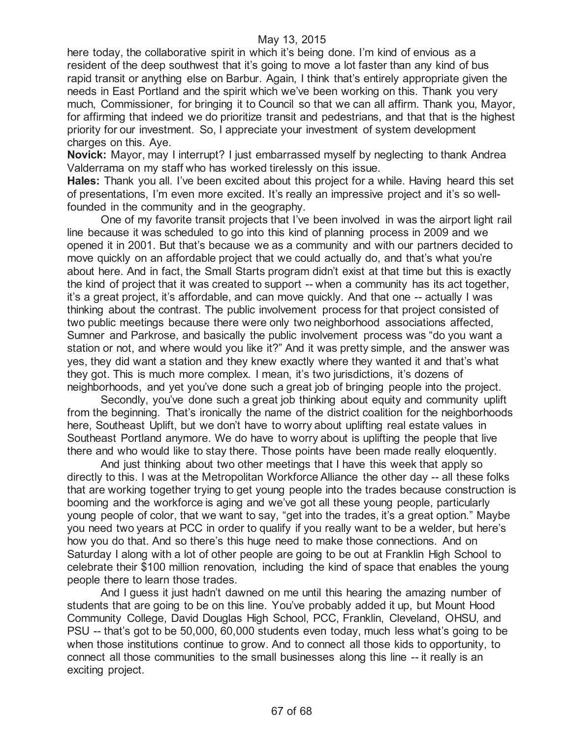here today, the collaborative spirit in which it's being done. I'm kind of envious as a resident of the deep southwest that it's going to move a lot faster than any kind of bus rapid transit or anything else on Barbur. Again, I think that's entirely appropriate given the needs in East Portland and the spirit which we've been working on this. Thank you very much, Commissioner, for bringing it to Council so that we can all affirm. Thank you, Mayor, for affirming that indeed we do prioritize transit and pedestrians, and that that is the highest priority for our investment. So, I appreciate your investment of system development charges on this. Aye.

**Novick:** Mayor, may I interrupt? I just embarrassed myself by neglecting to thank Andrea Valderrama on my staff who has worked tirelessly on this issue.

**Hales:** Thank you all. I've been excited about this project for a while. Having heard this set of presentations, I'm even more excited. It's really an impressive project and it's so wellfounded in the community and in the geography.

One of my favorite transit projects that I've been involved in was the airport light rail line because it was scheduled to go into this kind of planning process in 2009 and we opened it in 2001. But that's because we as a community and with our partners decided to move quickly on an affordable project that we could actually do, and that's what you're about here. And in fact, the Small Starts program didn't exist at that time but this is exactly the kind of project that it was created to support -- when a community has its act together, it's a great project, it's affordable, and can move quickly. And that one -- actually I was thinking about the contrast. The public involvement process for that project consisted of two public meetings because there were only two neighborhood associations affected, Sumner and Parkrose, and basically the public involvement process was "do you want a station or not, and where would you like it?" And it was pretty simple, and the answer was yes, they did want a station and they knew exactly where they wanted it and that's what they got. This is much more complex. I mean, it's two jurisdictions, it's dozens of neighborhoods, and yet you've done such a great job of bringing people into the project.

Secondly, you've done such a great job thinking about equity and community uplift from the beginning. That's ironically the name of the district coalition for the neighborhoods here, Southeast Uplift, but we don't have to worry about uplifting real estate values in Southeast Portland anymore. We do have to worry about is uplifting the people that live there and who would like to stay there. Those points have been made really eloquently.

And just thinking about two other meetings that I have this week that apply so directly to this. I was at the Metropolitan Workforce Alliance the other day -- all these folks that are working together trying to get young people into the trades because construction is booming and the workforce is aging and we've got all these young people, particularly young people of color, that we want to say, "get into the trades, it's a great option." Maybe you need two years at PCC in order to qualify if you really want to be a welder, but here's how you do that. And so there's this huge need to make those connections. And on Saturday I along with a lot of other people are going to be out at Franklin High School to celebrate their \$100 million renovation, including the kind of space that enables the young people there to learn those trades.

And I guess it just hadn't dawned on me until this hearing the amazing number of students that are going to be on this line. You've probably added it up, but Mount Hood Community College, David Douglas High School, PCC, Franklin, Cleveland, OHSU, and PSU -- that's got to be 50,000, 60,000 students even today, much less what's going to be when those institutions continue to grow. And to connect all those kids to opportunity, to connect all those communities to the small businesses along this line -- it really is an exciting project.